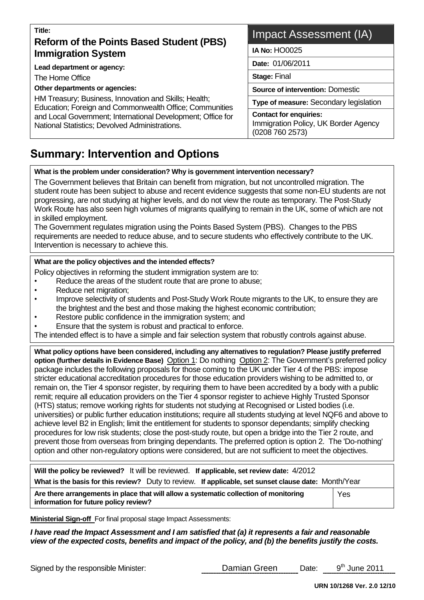# **Title: Reform of the Points Based Student (PBS) Immigration System**

**Lead department or agency:**

The Home Office

**Other departments or agencies:**

HM Treasury; Business, Innovation and Skills; Health; Education; Foreign and Commonwealth Office; Communities and Local Government; International Development; Office for National Statistics; Devolved Administrations.

# Impact Assessment (IA)

**IA No:** HO0025

**Date:** 01/06/2011

**Stage:** Final

**Source of intervention:** Domestic

**Type of measure:** Secondary legislation

**Contact for enquiries:** Immigration Policy, UK Border Agency (0208 760 2573)

# **Summary: Intervention and Options**

#### **What is the problem under consideration? Why is government intervention necessary?**

The Government believes that Britain can benefit from migration, but not uncontrolled migration. The student route has been subject to abuse and recent evidence suggests that some non-EU students are not progressing, are not studying at higher levels, and do not view the route as temporary. The Post-Study Work Route has also seen high volumes of migrants qualifying to remain in the UK, some of which are not in skilled employment.

The Government regulates migration using the Points Based System (PBS). Changes to the PBS requirements are needed to reduce abuse, and to secure students who effectively contribute to the UK. Intervention is necessary to achieve this.

#### **What are the policy objectives and the intended effects?**

Policy objectives in reforming the student immigration system are to:

- Reduce the areas of the student route that are prone to abuse;
- Reduce net migration:
- Improve selectivity of students and Post-Study Work Route migrants to the UK, to ensure they are the brightest and the best and those making the highest economic contribution;
- Restore public confidence in the immigration system; and
- Ensure that the system is robust and practical to enforce.

The intended effect is to have a simple and fair selection system that robustly controls against abuse.

**What policy options have been considered, including any alternatives to regulation? Please justify preferred option (further details in Evidence Base)** Option 1: Do nothing Option 2: The Government's preferred policy package includes the following proposals for those coming to the UK under Tier 4 of the PBS: impose stricter educational accreditation procedures for those education providers wishing to be admitted to, or remain on, the Tier 4 sponsor register, by requiring them to have been accredited by a body with a public remit; require all education providers on the Tier 4 sponsor register to achieve Highly Trusted Sponsor (HTS) status; remove working rights for students not studying at Recognised or Listed bodies (i.e. universities) or public further education institutions; require all students studying at level NQF6 and above to achieve level B2 in English; limit the entitlement for students to sponsor dependants; simplify checking procedures for low risk students; close the post-study route, but open a bridge into the Tier 2 route, and prevent those from overseas from bringing dependants. The preferred option is option 2. The 'Do-nothing' option and other non-regulatory options were considered, but are not sufficient to meet the objectives.

| Will the policy be reviewed? It will be reviewed. If applicable, set review date: 4/2012                                       |     |
|--------------------------------------------------------------------------------------------------------------------------------|-----|
| What is the basis for this review? Duty to review. If applicable, set sunset clause date: Month/Year                           |     |
| Are there arrangements in place that will allow a systematic collection of monitoring<br>information for future policy review? | Yes |

**Ministerial Sign-off** For final proposal stage Impact Assessments:

*I have read the Impact Assessment and I am satisfied that (a) it represents a fair and reasonable view of the expected costs, benefits and impact of the policy, and (b) the benefits justify the costs.*

Signed by the responsible Minister: Damian Green Date:

 $9<sup>th</sup>$  June 2011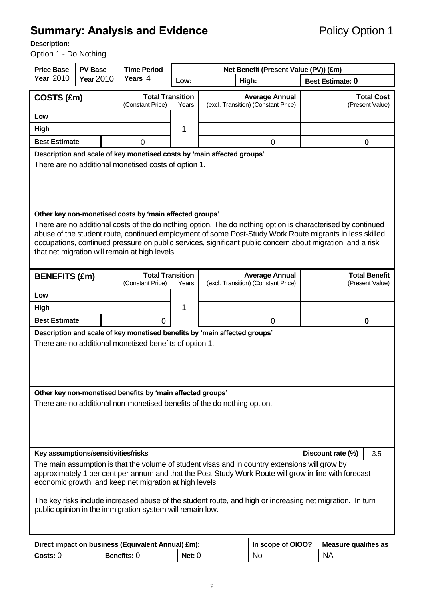# **Summary: Analysis and Evidence** Policy Option 1

## **Description:**

Option 1 - Do Nothing

| <b>Price Base</b>                   | <b>PV Base</b>   | <b>Time Period</b>                                                                                                                     |        | Net Benefit (Present Value (PV)) (£m)                                                          |                                                                                                                                                                                                                                                                                                                                      |
|-------------------------------------|------------------|----------------------------------------------------------------------------------------------------------------------------------------|--------|------------------------------------------------------------------------------------------------|--------------------------------------------------------------------------------------------------------------------------------------------------------------------------------------------------------------------------------------------------------------------------------------------------------------------------------------|
| <b>Year 2010</b>                    | <b>Year 2010</b> | Years 4                                                                                                                                | Low:   | High:                                                                                          | <b>Best Estimate: 0</b>                                                                                                                                                                                                                                                                                                              |
| COSTS (£m)                          |                  | <b>Total Transition</b><br>(Constant Price)                                                                                            | Years  | <b>Average Annual</b><br>(excl. Transition) (Constant Price)                                   | <b>Total Cost</b><br>(Present Value)                                                                                                                                                                                                                                                                                                 |
| Low                                 |                  |                                                                                                                                        |        |                                                                                                |                                                                                                                                                                                                                                                                                                                                      |
| <b>High</b>                         |                  |                                                                                                                                        | 1      |                                                                                                |                                                                                                                                                                                                                                                                                                                                      |
| <b>Best Estimate</b>                |                  | 0                                                                                                                                      |        | 0                                                                                              | 0                                                                                                                                                                                                                                                                                                                                    |
|                                     |                  | Description and scale of key monetised costs by 'main affected groups'<br>There are no additional monetised costs of option 1.         |        |                                                                                                |                                                                                                                                                                                                                                                                                                                                      |
|                                     |                  | Other key non-monetised costs by 'main affected groups'<br>that net migration will remain at high levels.                              |        |                                                                                                | There are no additional costs of the do nothing option. The do nothing option is characterised by continued<br>abuse of the student route, continued employment of some Post-Study Work Route migrants in less skilled<br>occupations, continued pressure on public services, significant public concern about migration, and a risk |
| <b>BENEFITS (£m)</b>                |                  | <b>Total Transition</b><br>(Constant Price)                                                                                            | Years  | <b>Average Annual</b><br>(excl. Transition) (Constant Price)                                   | <b>Total Benefit</b><br>(Present Value)                                                                                                                                                                                                                                                                                              |
| Low                                 |                  |                                                                                                                                        |        |                                                                                                |                                                                                                                                                                                                                                                                                                                                      |
| High                                |                  |                                                                                                                                        | 1      |                                                                                                |                                                                                                                                                                                                                                                                                                                                      |
| <b>Best Estimate</b>                |                  | $\overline{0}$                                                                                                                         |        | $\mathbf 0$                                                                                    | 0                                                                                                                                                                                                                                                                                                                                    |
|                                     |                  | Description and scale of key monetised benefits by 'main affected groups'<br>There are no additional monetised benefits of option 1.   |        |                                                                                                |                                                                                                                                                                                                                                                                                                                                      |
|                                     |                  | Other key non-monetised benefits by 'main affected groups'<br>There are no additional non-monetised benefits of the do nothing option. |        |                                                                                                |                                                                                                                                                                                                                                                                                                                                      |
| Key assumptions/sensitivities/risks |                  |                                                                                                                                        |        |                                                                                                | Discount rate (%)<br>3.5                                                                                                                                                                                                                                                                                                             |
|                                     |                  | economic growth, and keep net migration at high levels.<br>public opinion in the immigration system will remain low.                   |        | The main assumption is that the volume of student visas and in country extensions will grow by | approximately 1 per cent per annum and that the Post-Study Work Route will grow in line with forecast<br>The key risks include increased abuse of the student route, and high or increasing net migration. In turn                                                                                                                   |
|                                     |                  | Direct impact on business (Equivalent Annual) £m):                                                                                     |        | In scope of OIOO?                                                                              | <b>Measure qualifies as</b>                                                                                                                                                                                                                                                                                                          |
| Costs: 0                            |                  | Benefits: 0                                                                                                                            | Net: 0 | <b>No</b>                                                                                      | <b>NA</b>                                                                                                                                                                                                                                                                                                                            |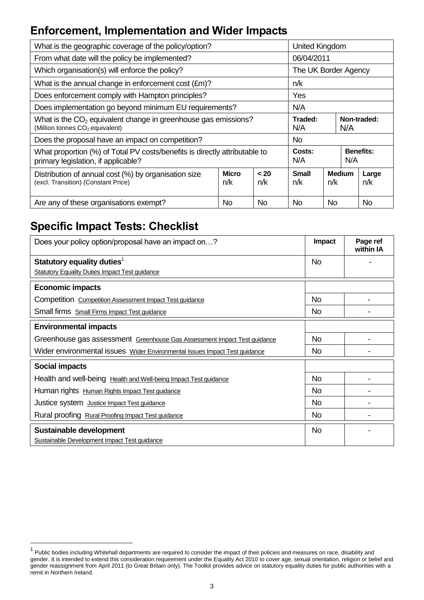# **Enforcement, Implementation and Wider Impacts**

| What is the geographic coverage of the policy/option?                                                                     |                     |             | United Kingdom       |           |               |                  |
|---------------------------------------------------------------------------------------------------------------------------|---------------------|-------------|----------------------|-----------|---------------|------------------|
| From what date will the policy be implemented?                                                                            |                     |             | 06/04/2011           |           |               |                  |
| Which organisation(s) will enforce the policy?                                                                            |                     |             | The UK Border Agency |           |               |                  |
| What is the annual change in enforcement cost (£m)?                                                                       |                     |             | n/k                  |           |               |                  |
| Does enforcement comply with Hampton principles?                                                                          |                     |             | Yes                  |           |               |                  |
| Does implementation go beyond minimum EU requirements?                                                                    |                     |             | N/A                  |           |               |                  |
| What is the CO <sub>2</sub> equivalent change in greenhouse gas emissions?<br>(Million tonnes CO <sub>2</sub> equivalent) |                     |             | Traded:<br>N/A       |           | N/A           | Non-traded:      |
| Does the proposal have an impact on competition?                                                                          |                     |             | No.                  |           |               |                  |
| What proportion (%) of Total PV costs/benefits is directly attributable to<br>primary legislation, if applicable?         |                     |             | Costs:<br>N/A        |           | N/A           | <b>Benefits:</b> |
| Distribution of annual cost (%) by organisation size<br>(excl. Transition) (Constant Price)                               | <b>Micro</b><br>n/k | < 20<br>n/k | <b>Small</b><br>n/k  | n/k       | <b>Medium</b> | Large<br>n/k     |
| Are any of these organisations exempt?                                                                                    | No                  | No.         | No                   | <b>No</b> |               | No               |

# **Specific Impact Tests: Checklist**

| Does your policy option/proposal have an impact on?                        | Impact         | Page ref<br>within IA |
|----------------------------------------------------------------------------|----------------|-----------------------|
| Statutory equality duties <sup>1</sup>                                     | No.            |                       |
| <b>Statutory Equality Duties Impact Test guidance</b>                      |                |                       |
| <b>Economic impacts</b>                                                    |                |                       |
| Competition Competition Assessment Impact Test guidance                    | No.            |                       |
| Small firms Small Firms Impact Test guidance                               | <b>No</b>      |                       |
| <b>Environmental impacts</b>                                               |                |                       |
| Greenhouse gas assessment Greenhouse Gas Assessment Impact Test guidance   | No.            |                       |
| Wider environmental issues Wider Environmental Issues Impact Test guidance | <b>No</b>      |                       |
| Social impacts                                                             |                |                       |
| Health and well-being Health and Well-being Impact Test guidance           | <b>No</b>      |                       |
| Human rights Human Rights Impact Test guidance                             | N <sub>o</sub> |                       |
| Justice system Justice Impact Test guidance                                | N <sub>o</sub> |                       |
| Rural proofing Rural Proofing Impact Test guidance                         | N <sub>o</sub> |                       |
| Sustainable development<br>Sustainable Development Impact Test guidance    | <b>No</b>      |                       |

 1 Public bodies including Whitehall departments are required to consider the impact of their policies and measures on race, disability and gender. It is intended to extend this consideration requirement under the Equality Act 2010 to cover age, sexual orientation, religion or belief and gender reassignment from April 2011 (to Great Britain only). The Toolkit provides advice on statutory equality duties for public authorities with a remit in Northern Ireland.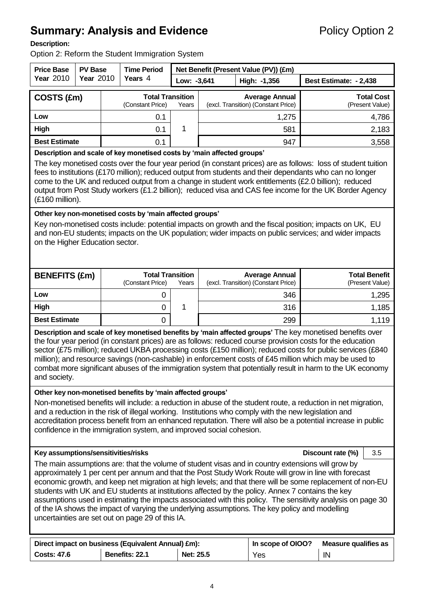# **Summary: Analysis and Evidence** Policy Option 2

### **Description:**

Option 2: Reform the Student Immigration System

| <b>Price Base</b>                   | <b>PV Base</b>   | <b>Time Period</b>                                                                                                                |             | Net Benefit (Present Value (PV)) (£m)                                                                                                                                                                                                                                                                                                                                                                                                                                                                                                                                                                                                         |                                         |                   |
|-------------------------------------|------------------|-----------------------------------------------------------------------------------------------------------------------------------|-------------|-----------------------------------------------------------------------------------------------------------------------------------------------------------------------------------------------------------------------------------------------------------------------------------------------------------------------------------------------------------------------------------------------------------------------------------------------------------------------------------------------------------------------------------------------------------------------------------------------------------------------------------------------|-----------------------------------------|-------------------|
| <b>Year 2010</b>                    | <b>Year 2010</b> | Years 4                                                                                                                           | Low: -3,641 | High: -1,356                                                                                                                                                                                                                                                                                                                                                                                                                                                                                                                                                                                                                                  | Best Estimate: - 2,438                  |                   |
| COSTS (£m)                          |                  | <b>Total Transition</b><br>(Constant Price)                                                                                       | Years       | <b>Average Annual</b><br>(excl. Transition) (Constant Price)                                                                                                                                                                                                                                                                                                                                                                                                                                                                                                                                                                                  | (Present Value)                         | <b>Total Cost</b> |
| Low                                 |                  | 0.1                                                                                                                               |             | 1,275                                                                                                                                                                                                                                                                                                                                                                                                                                                                                                                                                                                                                                         |                                         | 4,786             |
| High                                |                  | 0.1                                                                                                                               | 1           | 581                                                                                                                                                                                                                                                                                                                                                                                                                                                                                                                                                                                                                                           |                                         | 2,183             |
| <b>Best Estimate</b>                |                  | 0.1                                                                                                                               |             | 947                                                                                                                                                                                                                                                                                                                                                                                                                                                                                                                                                                                                                                           |                                         | 3,558             |
| (£160 million).                     |                  | Description and scale of key monetised costs by 'main affected groups'                                                            |             | The key monetised costs over the four year period (in constant prices) are as follows: loss of student tuition<br>fees to institutions (£170 million); reduced output from students and their dependants who can no longer<br>come to the UK and reduced output from a change in student work entitlements (£2.0 billion); reduced<br>output from Post Study workers (£1.2 billion); reduced visa and CAS fee income for the UK Border Agency                                                                                                                                                                                                 |                                         |                   |
| on the Higher Education sector.     |                  | Other key non-monetised costs by 'main affected groups'                                                                           |             | Key non-monetised costs include: potential impacts on growth and the fiscal position; impacts on UK, EU<br>and non-EU students; impacts on the UK population; wider impacts on public services; and wider impacts                                                                                                                                                                                                                                                                                                                                                                                                                             |                                         |                   |
| <b>BENEFITS (£m)</b>                |                  | <b>Total Transition</b><br>(Constant Price)                                                                                       | Years       | <b>Average Annual</b><br>(excl. Transition) (Constant Price)                                                                                                                                                                                                                                                                                                                                                                                                                                                                                                                                                                                  | <b>Total Benefit</b><br>(Present Value) |                   |
| Low                                 |                  | 0                                                                                                                                 |             | 346                                                                                                                                                                                                                                                                                                                                                                                                                                                                                                                                                                                                                                           |                                         | 1,295             |
| High                                |                  | 0                                                                                                                                 | 1           | 316                                                                                                                                                                                                                                                                                                                                                                                                                                                                                                                                                                                                                                           |                                         | 1,185             |
| <b>Best Estimate</b>                |                  | 0                                                                                                                                 |             | 299                                                                                                                                                                                                                                                                                                                                                                                                                                                                                                                                                                                                                                           |                                         | 1,119             |
| and society.                        |                  |                                                                                                                                   |             | Description and scale of key monetised benefits by 'main affected groups' The key monetised benefits over<br>the four year period (in constant prices) are as follows: reduced course provision costs for the education<br>sector (£75 million); reduced UKBA processing costs (£150 million); reduced costs for public services (£840<br>million); and resource savings (non-cashable) in enforcement costs of £45 million which may be used to<br>combat more significant abuses of the immigration system that potentially result in harm to the UK economy                                                                                |                                         |                   |
|                                     |                  | Other key non-monetised benefits by 'main affected groups'<br>confidence in the immigration system, and improved social cohesion. |             | Non-monetised benefits will include: a reduction in abuse of the student route, a reduction in net migration,<br>and a reduction in the risk of illegal working. Institutions who comply with the new legislation and<br>accreditation process benefit from an enhanced reputation. There will also be a potential increase in public                                                                                                                                                                                                                                                                                                         |                                         |                   |
| Key assumptions/sensitivities/risks |                  |                                                                                                                                   |             |                                                                                                                                                                                                                                                                                                                                                                                                                                                                                                                                                                                                                                               | Discount rate (%)                       | 3.5               |
|                                     |                  | uncertainties are set out on page 29 of this IA.                                                                                  |             | The main assumptions are: that the volume of student visas and in country extensions will grow by<br>approximately 1 per cent per annum and that the Post Study Work Route will grow in line with forecast<br>economic growth, and keep net migration at high levels; and that there will be some replacement of non-EU<br>students with UK and EU students at institutions affected by the policy. Annex 7 contains the key<br>assumptions used in estimating the impacts associated with this policy. The sensitivity analysis on page 30<br>of the IA shows the impact of varying the underlying assumptions. The key policy and modelling |                                         |                   |
| <b>Costs: 47.6</b>                  |                  | Direct impact on business (Equivalent Annual) £m):<br>Benefits: 22.1                                                              | Net: 25.5   | In scope of OIOO?<br>Yes                                                                                                                                                                                                                                                                                                                                                                                                                                                                                                                                                                                                                      | <b>Measure qualifies as</b><br>IN       |                   |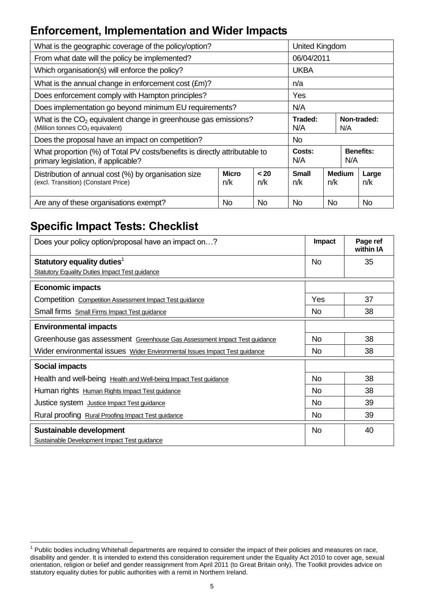# **Enforcement, Implementation and Wider Impacts**

| What is the geographic coverage of the policy/option?                                                             |                     |             | United Kingdom      |     |               |                  |
|-------------------------------------------------------------------------------------------------------------------|---------------------|-------------|---------------------|-----|---------------|------------------|
| From what date will the policy be implemented?                                                                    |                     |             | 06/04/2011          |     |               |                  |
| Which organisation(s) will enforce the policy?                                                                    |                     |             | <b>UKBA</b>         |     |               |                  |
| What is the annual change in enforcement cost (£m)?                                                               |                     |             | n/a                 |     |               |                  |
| Does enforcement comply with Hampton principles?                                                                  |                     |             | Yes                 |     |               |                  |
| Does implementation go beyond minimum EU requirements?                                                            |                     |             | N/A                 |     |               |                  |
| What is the $CO2$ equivalent change in greenhouse gas emissions?<br>(Million tonnes CO <sub>2</sub> equivalent)   |                     |             | Traded:<br>N/A      |     | N/A           | Non-traded:      |
| Does the proposal have an impact on competition?                                                                  |                     |             | No.                 |     |               |                  |
| What proportion (%) of Total PV costs/benefits is directly attributable to<br>primary legislation, if applicable? |                     |             | Costs:<br>N/A       |     | N/A           | <b>Benefits:</b> |
| Distribution of annual cost (%) by organisation size<br>(excl. Transition) (Constant Price)                       | <b>Micro</b><br>n/k | < 20<br>n/k | <b>Small</b><br>n/k | n/k | <b>Medium</b> | Large<br>n/k     |
| Are any of these organisations exempt?                                                                            | No                  | No.         | No                  | No  |               | No               |

# **Specific Impact Tests: Checklist**

| Does your policy option/proposal have an impact on?                        | <b>Impact</b>  | Page ref<br>within IA |
|----------------------------------------------------------------------------|----------------|-----------------------|
| Statutory equality duties <sup>1</sup>                                     | No.            | 35                    |
| <b>Statutory Equality Duties Impact Test guidance</b>                      |                |                       |
| <b>Economic impacts</b>                                                    |                |                       |
| Competition Competition Assessment Impact Test guidance                    | Yes            | 37                    |
| Small firms Small Firms Impact Test guidance                               | <b>No</b>      | 38                    |
| <b>Environmental impacts</b>                                               |                |                       |
| Greenhouse gas assessment Greenhouse Gas Assessment Impact Test guidance   | No.            | 38                    |
| Wider environmental issues Wider Environmental Issues Impact Test guidance | <b>No</b>      | 38                    |
| <b>Social impacts</b>                                                      |                |                       |
| Health and well-being Health and Well-being Impact Test guidance           | No.            | 38                    |
| Human rights Human Rights Impact Test guidance                             | N <sub>o</sub> | 38                    |
| Justice system Justice Impact Test guidance                                | <b>No</b>      | 39                    |
| Rural proofing Rural Proofing Impact Test guidance                         | <b>No</b>      | 39                    |
| Sustainable development<br>Sustainable Development Impact Test guidance    | <b>No</b>      | 40                    |

 1 Public bodies including Whitehall departments are required to consider the impact of their policies and measures on race, disability and gender. It is intended to extend this consideration requirement under the Equality Act 2010 to cover age, sexual orientation, religion or belief and gender reassignment from April 2011 (to Great Britain only). The Toolkit provides advice on statutory equality duties for public authorities with a remit in Northern Ireland.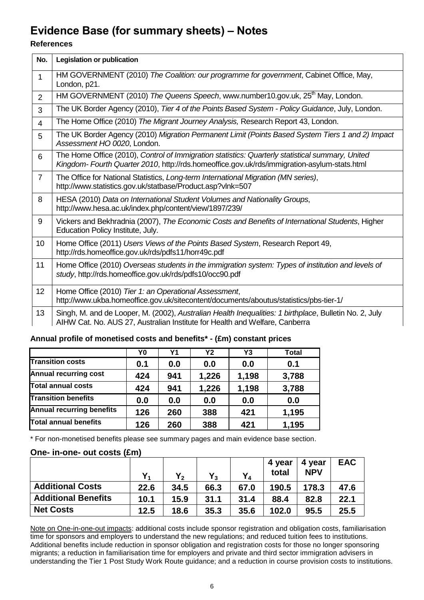# **Evidence Base (for summary sheets) – Notes**

## **References**

| No.            | <b>Legislation or publication</b>                                                                                                                                                               |
|----------------|-------------------------------------------------------------------------------------------------------------------------------------------------------------------------------------------------|
| $\mathbf{1}$   | HM GOVERNMENT (2010) The Coalition: our programme for government, Cabinet Office, May,<br>London, p21.                                                                                          |
| $\overline{2}$ | HM GOVERNMENT (2010) The Queens Speech, www.number10.gov.uk, 25 <sup>th</sup> May, London.                                                                                                      |
| 3              | The UK Border Agency (2010), Tier 4 of the Points Based System - Policy Guidance, July, London.                                                                                                 |
| $\overline{4}$ | The Home Office (2010) The Migrant Journey Analysis, Research Report 43, London.                                                                                                                |
| 5              | The UK Border Agency (2010) Migration Permanent Limit (Points Based System Tiers 1 and 2) Impact<br>Assessment HO 0020, London.                                                                 |
| 6              | The Home Office (2010), Control of Immigration statistics: Quarterly statistical summary, United<br>Kingdom-Fourth Quarter 2010, http://rds.homeoffice.gov.uk/rds/immigration-asylum-stats.html |
| $\overline{7}$ | The Office for National Statistics, Long-term International Migration (MN series),<br>http://www.statistics.gov.uk/statbase/Product.asp?vlnk=507                                                |
| 8              | HESA (2010) Data on International Student Volumes and Nationality Groups,<br>http://www.hesa.ac.uk/index.php/content/view/1897/239/                                                             |
| 9              | Vickers and Bekhradnia (2007), The Economic Costs and Benefits of International Students, Higher<br>Education Policy Institute, July.                                                           |
| 10             | Home Office (2011) Users Views of the Points Based System, Research Report 49,<br>http://rds.homeoffice.gov.uk/rds/pdfs11/horr49c.pdf                                                           |
| 11             | Home Office (2010) Overseas students in the immigration system: Types of institution and levels of<br>study, http://rds.homeoffice.gov.uk/rds/pdfs10/occ90.pdf                                  |
| 12             | Home Office (2010) Tier 1: an Operational Assessment,<br>http://www.ukba.homeoffice.gov.uk/sitecontent/documents/aboutus/statistics/pbs-tier-1/                                                 |
| 13             | Singh, M. and de Looper, M. (2002), Australian Health Inequalities: 1 birthplace, Bulletin No. 2, July<br>AIHW Cat. No. AUS 27, Australian Institute for Health and Welfare, Canberra           |

## **Annual profile of monetised costs and benefits\* - (£m) constant prices**

|                                  | Y0  | Υ1  | <b>Y2</b> | Y3    | <b>Total</b> |
|----------------------------------|-----|-----|-----------|-------|--------------|
| <b>Transition costs</b>          | 0.1 | 0.0 | 0.0       | 0.0   | 0.1          |
| <b>Annual recurring cost</b>     | 424 | 941 | 1,226     | 1,198 | 3,788        |
| Total annual costs               | 424 | 941 | 1,226     | 1,198 | 3,788        |
| <b>Transition benefits</b>       | 0.0 | 0.0 | 0.0       | 0.0   | 0.0          |
| <b>Annual recurring benefits</b> | 126 | 260 | 388       | 421   | 1,195        |
| <b>Total annual benefits</b>     | 126 | 260 | 388       | 421   | 1,195        |

\* For non-monetised benefits please see summary pages and main evidence base section.

## **One- in-one- out costs (£m)**

|                            |      |      | $Y_3$ | $Y_4$ | 4 year<br>total | 4 year<br><b>NPV</b> | <b>EAC</b> |
|----------------------------|------|------|-------|-------|-----------------|----------------------|------------|
| <b>Additional Costs</b>    | 22.6 | 34.5 | 66.3  | 67.0  | 190.5           | 178.3                | 47.6       |
| <b>Additional Benefits</b> | 10.1 | 15.9 | 31.1  | 31.4  | 88.4            | 82.8                 | 22.1       |
| <b>Net Costs</b>           | 12.5 | 18.6 | 35.3  | 35.6  | 102.0           | 95.5                 | 25.5       |

Note on One-in-one-out impacts: additional costs include sponsor registration and obligation costs, familiarisation time for sponsors and employers to understand the new regulations; and reduced tuition fees to institutions. Additional benefits include reduction in sponsor obligation and registration costs for those no longer sponsoring migrants; a reduction in familiarisation time for employers and private and third sector immigration advisers in understanding the Tier 1 Post Study Work Route guidance; and a reduction in course provision costs to institutions.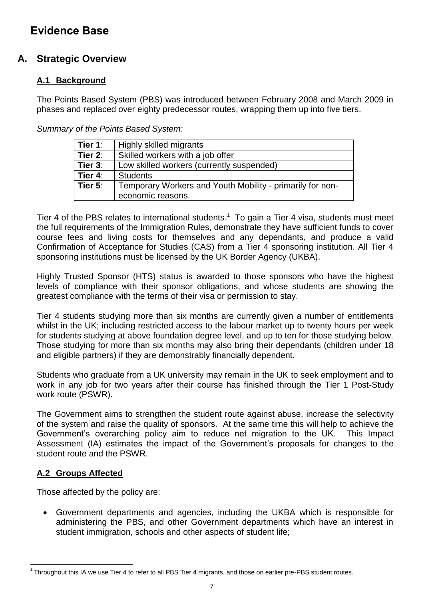# **Evidence Base**

# **A. Strategic Overview**

# **A.1 Background**

The Points Based System (PBS) was introduced between February 2008 and March 2009 in phases and replaced over eighty predecessor routes, wrapping them up into five tiers.

*Summary of the Points Based System:*

| Tier 1:    | Highly skilled migrants                                   |
|------------|-----------------------------------------------------------|
| Tier 2:    | Skilled workers with a job offer                          |
| Tier $3$ : | Low skilled workers (currently suspended)                 |
| Tier 4:    | <b>Students</b>                                           |
| Tier $5:$  | Temporary Workers and Youth Mobility - primarily for non- |
|            | economic reasons.                                         |

Tier 4 of the PBS relates to international students.<sup>1</sup> To gain a Tier 4 visa, students must meet the full requirements of the Immigration Rules, demonstrate they have sufficient funds to cover course fees and living costs for themselves and any dependants, and produce a valid Confirmation of Acceptance for Studies (CAS) from a Tier 4 sponsoring institution. All Tier 4 sponsoring institutions must be licensed by the UK Border Agency (UKBA).

Highly Trusted Sponsor (HTS) status is awarded to those sponsors who have the highest levels of compliance with their sponsor obligations, and whose students are showing the greatest compliance with the terms of their visa or permission to stay.

Tier 4 students studying more than six months are currently given a number of entitlements whilst in the UK; including restricted access to the labour market up to twenty hours per week for students studying at above foundation degree level, and up to ten for those studying below. Those studying for more than six months may also bring their dependants (children under 18 and eligible partners) if they are demonstrably financially dependent.

Students who graduate from a UK university may remain in the UK to seek employment and to work in any job for two years after their course has finished through the Tier 1 Post-Study work route (PSWR).

The Government aims to strengthen the student route against abuse, increase the selectivity of the system and raise the quality of sponsors. At the same time this will help to achieve the Government"s overarching policy aim to reduce net migration to the UK. This Impact Assessment (IA) estimates the impact of the Government"s proposals for changes to the student route and the PSWR.

## **A.2 Groups Affected**

Those affected by the policy are:

 Government departments and agencies, including the UKBA which is responsible for administering the PBS, and other Government departments which have an interest in student immigration, schools and other aspects of student life;

l  $1$ Throughout this IA we use Tier 4 to refer to all PBS Tier 4 migrants, and those on earlier pre-PBS student routes.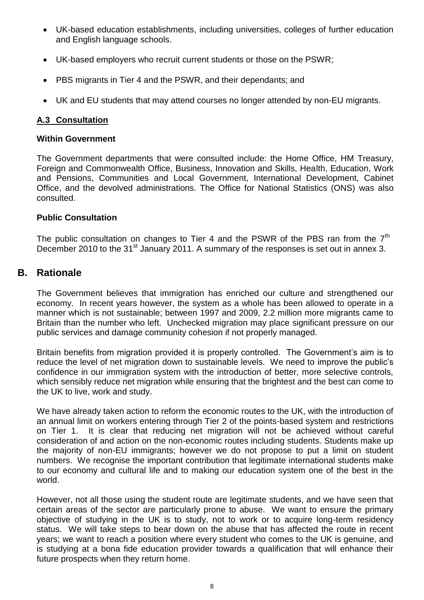- UK-based education establishments, including universities, colleges of further education and English language schools.
- UK-based employers who recruit current students or those on the PSWR;
- PBS migrants in Tier 4 and the PSWR, and their dependants; and
- UK and EU students that may attend courses no longer attended by non-EU migrants.

## **A.3 Consultation**

### **Within Government**

The Government departments that were consulted include: the Home Office, HM Treasury, Foreign and Commonwealth Office, Business, Innovation and Skills, Health, Education, Work and Pensions, Communities and Local Government, International Development, Cabinet Office, and the devolved administrations. The Office for National Statistics (ONS) was also consulted.

## **Public Consultation**

The public consultation on changes to Tier 4 and the PSWR of the PBS ran from the  $7<sup>th</sup>$ December 2010 to the 31<sup>st</sup> January 2011. A summary of the responses is set out in annex 3.

# **B. Rationale**

The Government believes that immigration has enriched our culture and strengthened our economy. In recent years however, the system as a whole has been allowed to operate in a manner which is not sustainable; between 1997 and 2009, 2.2 million more migrants came to Britain than the number who left. Unchecked migration may place significant pressure on our public services and damage community cohesion if not properly managed.

Britain benefits from migration provided it is properly controlled. The Government's aim is to reduce the level of net migration down to sustainable levels. We need to improve the public"s confidence in our immigration system with the introduction of better, more selective controls, which sensibly reduce net migration while ensuring that the brightest and the best can come to the UK to live, work and study.

We have already taken action to reform the economic routes to the UK, with the introduction of an annual limit on workers entering through Tier 2 of the points-based system and restrictions on Tier 1. It is clear that reducing net migration will not be achieved without careful consideration of and action on the non-economic routes including students. Students make up the majority of non-EU immigrants; however we do not propose to put a limit on student numbers. We recognise the important contribution that legitimate international students make to our economy and cultural life and to making our education system one of the best in the world.

However, not all those using the student route are legitimate students, and we have seen that certain areas of the sector are particularly prone to abuse. We want to ensure the primary objective of studying in the UK is to study, not to work or to acquire long-term residency status. We will take steps to bear down on the abuse that has affected the route in recent years; we want to reach a position where every student who comes to the UK is genuine, and is studying at a bona fide education provider towards a qualification that will enhance their future prospects when they return home.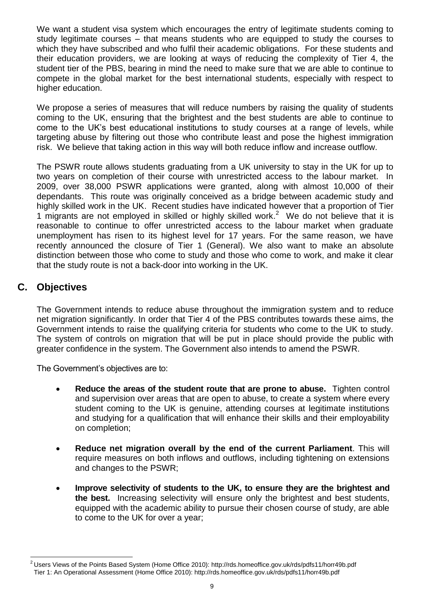We want a student visa system which encourages the entry of legitimate students coming to study legitimate courses – that means students who are equipped to study the courses to which they have subscribed and who fulfil their academic obligations. For these students and their education providers, we are looking at ways of reducing the complexity of Tier 4, the student tier of the PBS, bearing in mind the need to make sure that we are able to continue to compete in the global market for the best international students, especially with respect to higher education.

We propose a series of measures that will reduce numbers by raising the quality of students coming to the UK, ensuring that the brightest and the best students are able to continue to come to the UK"s best educational institutions to study courses at a range of levels, while targeting abuse by filtering out those who contribute least and pose the highest immigration risk. We believe that taking action in this way will both reduce inflow and increase outflow.

The PSWR route allows students graduating from a UK university to stay in the UK for up to two years on completion of their course with unrestricted access to the labour market. In 2009, over 38,000 PSWR applications were granted, along with almost 10,000 of their dependants. This route was originally conceived as a bridge between academic study and highly skilled work in the UK. Recent studies have indicated however that a proportion of Tier 1 migrants are not employed in skilled or highly skilled work.<sup>2</sup> We do not believe that it is reasonable to continue to offer unrestricted access to the labour market when graduate unemployment has risen to its highest level for 17 years. For the same reason, we have recently announced the closure of Tier 1 (General). We also want to make an absolute distinction between those who come to study and those who come to work, and make it clear that the study route is not a back-door into working in the UK.

# **C. Objectives**

The Government intends to reduce abuse throughout the immigration system and to reduce net migration significantly. In order that Tier 4 of the PBS contributes towards these aims, the Government intends to raise the qualifying criteria for students who come to the UK to study. The system of controls on migration that will be put in place should provide the public with greater confidence in the system. The Government also intends to amend the PSWR.

The Government's objectives are to:

- **Reduce the areas of the student route that are prone to abuse.** Tighten control and supervision over areas that are open to abuse, to create a system where every student coming to the UK is genuine, attending courses at legitimate institutions and studying for a qualification that will enhance their skills and their employability on completion;
- **Reduce net migration overall by the end of the current Parliament**. This will require measures on both inflows and outflows, including tightening on extensions and changes to the PSWR;
- **Improve selectivity of students to the UK, to ensure they are the brightest and the best.** Increasing selectivity will ensure only the brightest and best students, equipped with the academic ability to pursue their chosen course of study, are able to come to the UK for over a year;

 $\overline{a}$  $^2$ Users Views of the Points Based System (Home Office 2010)[: http://rds.homeoffice.gov.uk/rds/pdfs11/horr49b.pdf](http://rds.homeoffice.gov.uk/rds/pdfs11/horr49b.pdf) Tier 1: An Operational Assessment (Home Office 2010): http://rds.homeoffice.gov.uk/rds/pdfs11/horr49b.pdf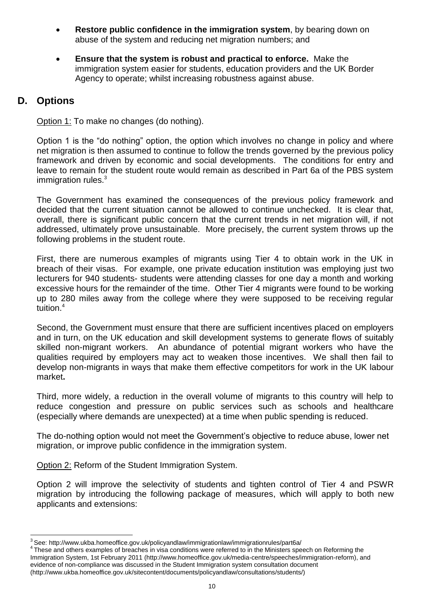- **Restore public confidence in the immigration system**, by bearing down on abuse of the system and reducing net migration numbers; and
- **Ensure that the system is robust and practical to enforce.** Make the immigration system easier for students, education providers and the UK Border Agency to operate; whilst increasing robustness against abuse.

# **D. Options**

l

Option 1: To make no changes (do nothing).

Option 1 is the "do nothing" option, the option which involves no change in policy and where net migration is then assumed to continue to follow the trends governed by the previous policy framework and driven by economic and social developments. The conditions for entry and leave to remain for the student route would remain as described in Part 6a of the PBS system immigration rules. $3$ 

The Government has examined the consequences of the previous policy framework and decided that the current situation cannot be allowed to continue unchecked. It is clear that, overall, there is significant public concern that the current trends in net migration will, if not addressed, ultimately prove unsustainable. More precisely, the current system throws up the following problems in the student route.

First, there are numerous examples of migrants using Tier 4 to obtain work in the UK in breach of their visas. For example, one private education institution was employing just two lecturers for 940 students- students were attending classes for one day a month and working excessive hours for the remainder of the time. Other Tier 4 migrants were found to be working up to 280 miles away from the college where they were supposed to be receiving regular tuition.<sup>4</sup>

Second, the Government must ensure that there are sufficient incentives placed on employers and in turn, on the UK education and skill development systems to generate flows of suitably skilled non-migrant workers. An abundance of potential migrant workers who have the qualities required by employers may act to weaken those incentives. We shall then fail to develop non-migrants in ways that make them effective competitors for work in the UK labour market**.**

Third, more widely, a reduction in the overall volume of migrants to this country will help to reduce congestion and pressure on public services such as schools and healthcare (especially where demands are unexpected) at a time when public spending is reduced.

The do-nothing option would not meet the Government"s objective to reduce abuse, lower net migration, or improve public confidence in the immigration system.

Option 2: Reform of the Student Immigration System.

Option 2 will improve the selectivity of students and tighten control of Tier 4 and PSWR migration by introducing the following package of measures, which will apply to both new applicants and extensions:

<sup>&</sup>lt;sup>3</sup>See: http://www.ukba.homeoffice.gov.uk/policyandlaw/immigrationlaw/immigrationrules/part6a/

<sup>&</sup>lt;sup>4</sup> These and others examples of breaches in visa conditions were referred to in the Ministers speech on Reforming the Immigration System, 1st February 2011 [\(http://www.homeoffice.gov.uk/media-centre/speeches/immigration-reform\)](http://www.homeoffice.gov.uk/media-centre/speeches/immigration-reform), and evidence of non-compliance was discussed in the Student Immigration system consultation document (http://www.ukba.homeoffice.gov.uk/sitecontent/documents/policyandlaw/consultations/students/)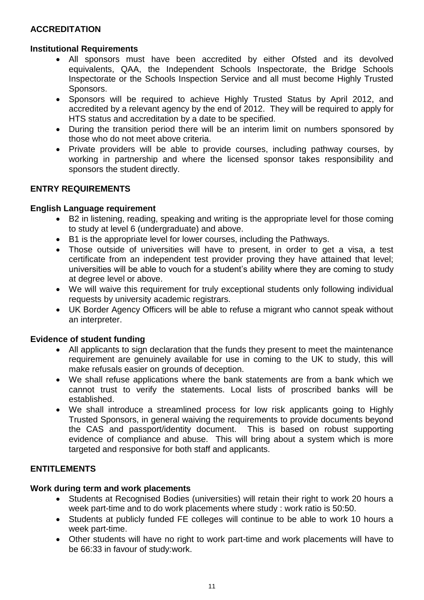## **ACCREDITATION**

## **Institutional Requirements**

- All sponsors must have been accredited by either Ofsted and its devolved equivalents, QAA, the Independent Schools Inspectorate, the Bridge Schools Inspectorate or the Schools Inspection Service and all must become Highly Trusted Sponsors.
- Sponsors will be required to achieve Highly Trusted Status by April 2012, and accredited by a relevant agency by the end of 2012. They will be required to apply for HTS status and accreditation by a date to be specified.
- During the transition period there will be an interim limit on numbers sponsored by those who do not meet above criteria.
- Private providers will be able to provide courses, including pathway courses, by working in partnership and where the licensed sponsor takes responsibility and sponsors the student directly.

## **ENTRY REQUIREMENTS**

### **English Language requirement**

- B2 in listening, reading, speaking and writing is the appropriate level for those coming to study at level 6 (undergraduate) and above.
- B1 is the appropriate level for lower courses, including the Pathways.
- Those outside of universities will have to present, in order to get a visa, a test certificate from an independent test provider proving they have attained that level; universities will be able to vouch for a student"s ability where they are coming to study at degree level or above.
- We will waive this requirement for truly exceptional students only following individual requests by university academic registrars.
- UK Border Agency Officers will be able to refuse a migrant who cannot speak without an interpreter.

## **Evidence of student funding**

- All applicants to sign declaration that the funds they present to meet the maintenance requirement are genuinely available for use in coming to the UK to study, this will make refusals easier on grounds of deception.
- We shall refuse applications where the bank statements are from a bank which we cannot trust to verify the statements. Local lists of proscribed banks will be established.
- We shall introduce a streamlined process for low risk applicants going to Highly Trusted Sponsors, in general waiving the requirements to provide documents beyond the CAS and passport/identity document. This is based on robust supporting evidence of compliance and abuse. This will bring about a system which is more targeted and responsive for both staff and applicants.

## **ENTITLEMENTS**

#### **Work during term and work placements**

- Students at Recognised Bodies (universities) will retain their right to work 20 hours a week part-time and to do work placements where study : work ratio is 50:50.
- Students at publicly funded FE colleges will continue to be able to work 10 hours a week part-time.
- Other students will have no right to work part-time and work placements will have to be 66:33 in favour of study:work.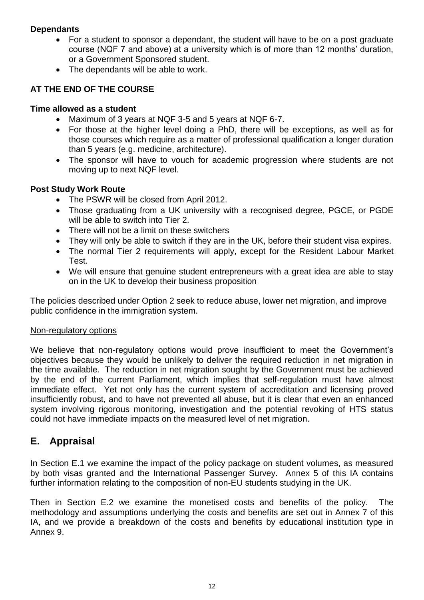## **Dependants**

- For a student to sponsor a dependant, the student will have to be on a post graduate course (NQF 7 and above) at a university which is of more than 12 months" duration, or a Government Sponsored student.
- The dependants will be able to work.

## **AT THE END OF THE COURSE**

## **Time allowed as a student**

- Maximum of 3 years at NQF 3-5 and 5 years at NQF 6-7.
- For those at the higher level doing a PhD, there will be exceptions, as well as for those courses which require as a matter of professional qualification a longer duration than 5 years (e.g. medicine, architecture).
- The sponsor will have to vouch for academic progression where students are not moving up to next NQF level.

## **Post Study Work Route**

- The PSWR will be closed from April 2012.
- Those graduating from a UK university with a recognised degree, PGCE, or PGDE will be able to switch into Tier 2.
- There will not be a limit on these switchers
- They will only be able to switch if they are in the UK, before their student visa expires.
- The normal Tier 2 requirements will apply, except for the Resident Labour Market Test.
- We will ensure that genuine student entrepreneurs with a great idea are able to stay on in the UK to develop their business proposition

The policies described under Option 2 seek to reduce abuse, lower net migration, and improve public confidence in the immigration system.

## Non-regulatory options

We believe that non-regulatory options would prove insufficient to meet the Government's objectives because they would be unlikely to deliver the required reduction in net migration in the time available. The reduction in net migration sought by the Government must be achieved by the end of the current Parliament, which implies that self-regulation must have almost immediate effect. Yet not only has the current system of accreditation and licensing proved insufficiently robust, and to have not prevented all abuse, but it is clear that even an enhanced system involving rigorous monitoring, investigation and the potential revoking of HTS status could not have immediate impacts on the measured level of net migration.

# **E. Appraisal**

In Section E.1 we examine the impact of the policy package on student volumes, as measured by both visas granted and the International Passenger Survey. Annex 5 of this IA contains further information relating to the composition of non-EU students studying in the UK.

Then in Section E.2 we examine the monetised costs and benefits of the policy. The methodology and assumptions underlying the costs and benefits are set out in Annex 7 of this IA, and we provide a breakdown of the costs and benefits by educational institution type in Annex 9.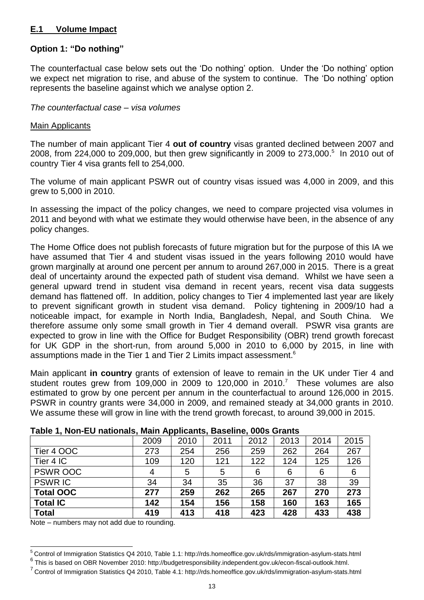## **E.1 Volume Impact**

## **Option 1: "Do nothing"**

The counterfactual case below sets out the "Do nothing" option. Under the "Do nothing" option we expect net migration to rise, and abuse of the system to continue. The "Do nothing" option represents the baseline against which we analyse option 2.

#### *The counterfactual case – visa volumes*

#### Main Applicants

The number of main applicant Tier 4 **out of country** visas granted declined between 2007 and 2008, from 224,000 to 209,000, but then grew significantly in 2009 to 273,000. 5 In 2010 out of country Tier 4 visa grants fell to 254,000.

The volume of main applicant PSWR out of country visas issued was 4,000 in 2009, and this grew to 5,000 in 2010.

In assessing the impact of the policy changes, we need to compare projected visa volumes in 2011 and beyond with what we estimate they would otherwise have been, in the absence of any policy changes.

The Home Office does not publish forecasts of future migration but for the purpose of this IA we have assumed that Tier 4 and student visas issued in the years following 2010 would have grown marginally at around one percent per annum to around 267,000 in 2015. There is a great deal of uncertainty around the expected path of student visa demand. Whilst we have seen a general upward trend in student visa demand in recent years, recent visa data suggests demand has flattened off. In addition, policy changes to Tier 4 implemented last year are likely to prevent significant growth in student visa demand. Policy tightening in 2009/10 had a noticeable impact, for example in North India, Bangladesh, Nepal, and South China. We therefore assume only some small growth in Tier 4 demand overall. PSWR visa grants are expected to grow in line with the Office for Budget Responsibility (OBR) trend growth forecast for UK GDP in the short-run, from around 5,000 in 2010 to 6,000 by 2015, in line with assumptions made in the Tier 1 and Tier 2 Limits impact assessment.<sup>6</sup>

Main applicant **in country** grants of extension of leave to remain in the UK under Tier 4 and student routes grew from 109,000 in 2009 to 120,000 in 2010.<sup>7</sup> These volumes are also estimated to grow by one percent per annum in the counterfactual to around 126,000 in 2015. PSWR in country grants were 34,000 in 2009, and remained steady at 34,000 grants in 2010. We assume these will grow in line with the trend growth forecast, to around 39,000 in 2015.

|--|

|                  | 2009 | 2010 | 2011 | 2012 | 2013 | 2014 | 2015 |
|------------------|------|------|------|------|------|------|------|
| Tier 4 OOC       | 273  | 254  | 256  | 259  | 262  | 264  | 267  |
| Tier 4 IC        | 109  | 120  | 121  | 122  | 124  | 125  | 126  |
| <b>PSWR OOC</b>  | 4    | 5    | 5    | 6    | 6    | 6    | 6    |
| <b>PSWRIC</b>    | 34   | 34   | 35   | 36   | 37   | 38   | 39   |
| <b>Total OOC</b> | 277  | 259  | 262  | 265  | 267  | 270  | 273  |
| <b>Total IC</b>  | 142  | 154  | 156  | 158  | 160  | 163  | 165  |
| <b>Total</b>     | 419  | 413  | 418  | 423  | 428  | 433  | 438  |

Note – numbers may not add due to rounding.

 $\overline{a}$ 

<sup>&</sup>lt;sup>5</sup> Control of Immigration Statistics Q4 2010, Table 1.1: http://rds.homeoffice.gov.uk/rds/immigration-asylum-stats.html

<sup>&</sup>lt;sup>6</sup> This is based on OBR November 2010[: http://budgetresponsibility.independent.gov.uk/econ-fiscal-outlook.html.](http://budgetresponsibility.independent.gov.uk/econ-fiscal-outlook.html)

<sup>&</sup>lt;sup>7</sup> Control of Immigration Statistics Q4 2010, Table 4.1: http://rds.homeoffice.gov.uk/rds/immigration-asylum-stats.html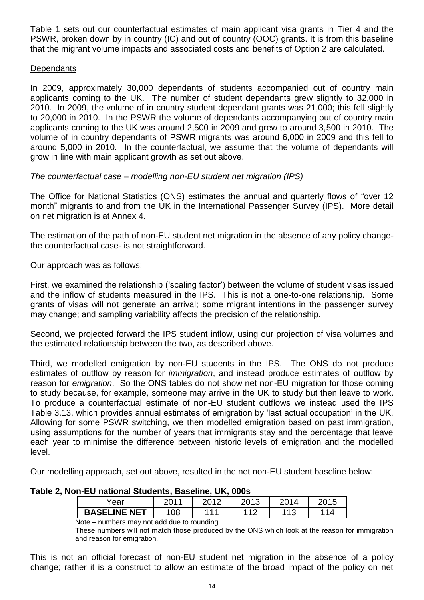Table 1 sets out our counterfactual estimates of main applicant visa grants in Tier 4 and the PSWR, broken down by in country (IC) and out of country (OOC) grants. It is from this baseline that the migrant volume impacts and associated costs and benefits of Option 2 are calculated.

## **Dependants**

In 2009, approximately 30,000 dependants of students accompanied out of country main applicants coming to the UK. The number of student dependants grew slightly to 32,000 in 2010. In 2009, the volume of in country student dependant grants was 21,000; this fell slightly to 20,000 in 2010. In the PSWR the volume of dependants accompanying out of country main applicants coming to the UK was around 2,500 in 2009 and grew to around 3,500 in 2010. The volume of in country dependants of PSWR migrants was around 6,000 in 2009 and this fell to around 5,000 in 2010. In the counterfactual, we assume that the volume of dependants will grow in line with main applicant growth as set out above.

*The counterfactual case – modelling non-EU student net migration (IPS)*

The Office for National Statistics (ONS) estimates the annual and quarterly flows of "over 12 month" migrants to and from the UK in the International Passenger Survey (IPS). More detail on net migration is at Annex 4.

The estimation of the path of non-EU student net migration in the absence of any policy changethe counterfactual case- is not straightforward.

Our approach was as follows:

First, we examined the relationship ("scaling factor") between the volume of student visas issued and the inflow of students measured in the IPS. This is not a one-to-one relationship. Some grants of visas will not generate an arrival; some migrant intentions in the passenger survey may change; and sampling variability affects the precision of the relationship.

Second, we projected forward the IPS student inflow, using our projection of visa volumes and the estimated relationship between the two, as described above.

Third, we modelled emigration by non-EU students in the IPS. The ONS do not produce estimates of outflow by reason for *immigration*, and instead produce estimates of outflow by reason for *emigration*. So the ONS tables do not show net non-EU migration for those coming to study because, for example, someone may arrive in the UK to study but then leave to work. To produce a counterfactual estimate of non-EU student outflows we instead used the IPS Table 3.13, which provides annual estimates of emigration by "last actual occupation" in the UK. Allowing for some PSWR switching, we then modelled emigration based on past immigration, using assumptions for the number of years that immigrants stay and the percentage that leave each year to minimise the difference between historic levels of emigration and the modelled level.

Our modelling approach, set out above, resulted in the net non-EU student baseline below:

| Table 2, Non-EU national Students, Baseline, UK, 000s |  |  |  |
|-------------------------------------------------------|--|--|--|
|-------------------------------------------------------|--|--|--|

| ∕ear                | بە مە | ാവ ? | ∩^י ∩<br>' ၊ ၁<br>ZU. | 014         |    |
|---------------------|-------|------|-----------------------|-------------|----|
| <b>BASELINE NET</b> | 08    | -44  | $-110$                | 11 O<br>ں ا | 14 |

### Note – numbers may not add due to rounding.

These numbers will not match those produced by the ONS which look at the reason for immigration and reason for emigration.

This is not an official forecast of non-EU student net migration in the absence of a policy change; rather it is a construct to allow an estimate of the broad impact of the policy on net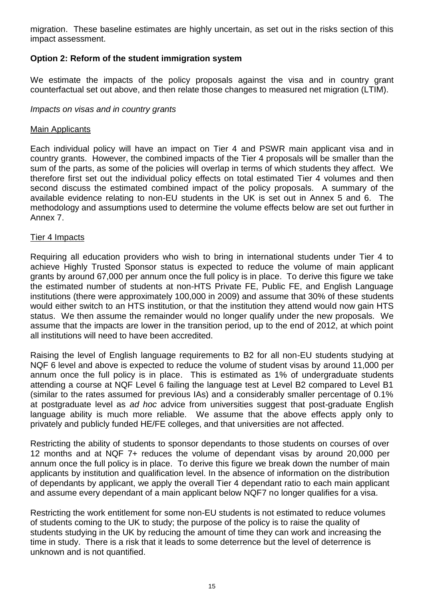migration. These baseline estimates are highly uncertain, as set out in the risks section of this impact assessment.

## **Option 2: Reform of the student immigration system**

We estimate the impacts of the policy proposals against the visa and in country grant counterfactual set out above, and then relate those changes to measured net migration (LTIM).

### *Impacts on visas and in country grants*

#### Main Applicants

Each individual policy will have an impact on Tier 4 and PSWR main applicant visa and in country grants. However, the combined impacts of the Tier 4 proposals will be smaller than the sum of the parts, as some of the policies will overlap in terms of which students they affect. We therefore first set out the individual policy effects on total estimated Tier 4 volumes and then second discuss the estimated combined impact of the policy proposals. A summary of the available evidence relating to non-EU students in the UK is set out in Annex 5 and 6. The methodology and assumptions used to determine the volume effects below are set out further in Annex 7.

### Tier 4 Impacts

Requiring all education providers who wish to bring in international students under Tier 4 to achieve Highly Trusted Sponsor status is expected to reduce the volume of main applicant grants by around 67,000 per annum once the full policy is in place. To derive this figure we take the estimated number of students at non-HTS Private FE, Public FE, and English Language institutions (there were approximately 100,000 in 2009) and assume that 30% of these students would either switch to an HTS institution, or that the institution they attend would now gain HTS status. We then assume the remainder would no longer qualify under the new proposals. We assume that the impacts are lower in the transition period, up to the end of 2012, at which point all institutions will need to have been accredited.

Raising the level of English language requirements to B2 for all non-EU students studying at NQF 6 level and above is expected to reduce the volume of student visas by around 11,000 per annum once the full policy is in place. This is estimated as 1% of undergraduate students attending a course at NQF Level 6 failing the language test at Level B2 compared to Level B1 (similar to the rates assumed for previous IAs) and a considerably smaller percentage of 0.1% at postgraduate level as *ad hoc* advice from universities suggest that post-graduate English language ability is much more reliable. We assume that the above effects apply only to privately and publicly funded HE/FE colleges, and that universities are not affected.

Restricting the ability of students to sponsor dependants to those students on courses of over 12 months and at NQF 7+ reduces the volume of dependant visas by around 20,000 per annum once the full policy is in place. To derive this figure we break down the number of main applicants by institution and qualification level. In the absence of information on the distribution of dependants by applicant, we apply the overall Tier 4 dependant ratio to each main applicant and assume every dependant of a main applicant below NQF7 no longer qualifies for a visa.

Restricting the work entitlement for some non-EU students is not estimated to reduce volumes of students coming to the UK to study; the purpose of the policy is to raise the quality of students studying in the UK by reducing the amount of time they can work and increasing the time in study. There is a risk that it leads to some deterrence but the level of deterrence is unknown and is not quantified.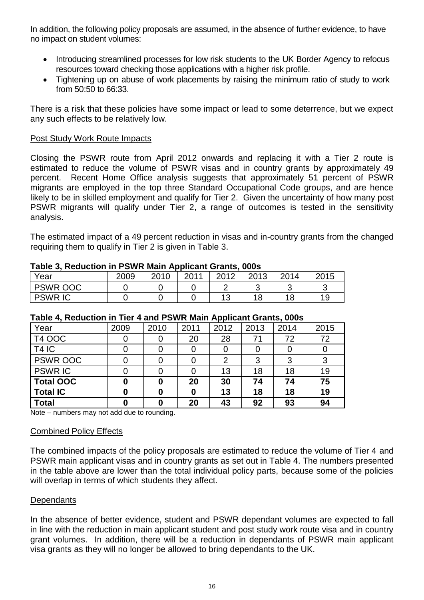In addition, the following policy proposals are assumed, in the absence of further evidence, to have no impact on student volumes:

- Introducing streamlined processes for low risk students to the UK Border Agency to refocus resources toward checking those applications with a higher risk profile.
- Tightening up on abuse of work placements by raising the minimum ratio of study to work from 50:50 to 66:33.

There is a risk that these policies have some impact or lead to some deterrence, but we expect any such effects to be relatively low.

### Post Study Work Route Impacts

Closing the PSWR route from April 2012 onwards and replacing it with a Tier 2 route is estimated to reduce the volume of PSWR visas and in country grants by approximately 49 percent. Recent Home Office analysis suggests that approximately 51 percent of PSWR migrants are employed in the top three Standard Occupational Code groups, and are hence likely to be in skilled employment and qualify for Tier 2. Given the uncertainty of how many post PSWR migrants will qualify under Tier 2, a range of outcomes is tested in the sensitivity analysis.

The estimated impact of a 49 percent reduction in visas and in-country grants from the changed requiring them to qualify in Tier 2 is given in Table 3.

| Year            | 2009 | 2010 | 2011 | ററ⊀റ | 2013 | 2014 | 2015 |
|-----------------|------|------|------|------|------|------|------|
| <b>PSWR OOC</b> |      |      |      |      |      |      |      |
| <b>PSWRIC</b>   |      |      |      |      |      | 18   | 19   |

#### **Table 3, Reduction in PSWR Main Applicant Grants, 000s**

| .                 |      |      |      |      |      |      |      |  |  |  |
|-------------------|------|------|------|------|------|------|------|--|--|--|
| Year              | 2009 | 2010 | 2011 | 2012 | 2013 | 2014 | 2015 |  |  |  |
| <b>T4 OOC</b>     |      |      | 20   | 28   | 71   | 72   | 72   |  |  |  |
| T <sub>4</sub> IC |      |      |      |      |      |      |      |  |  |  |
| <b>PSWR OOC</b>   |      |      |      | 2    | 3    | 3    | 3    |  |  |  |
| <b>PSWRIC</b>     |      |      |      | 13   | 18   | 18   | 19   |  |  |  |
| <b>Total OOC</b>  | 0    |      | 20   | 30   | 74   | 74   | 75   |  |  |  |
| <b>Total IC</b>   | 0    |      | 0    | 13   | 18   | 18   | 19   |  |  |  |
| <b>Total</b>      | 0    |      | 20   | 43   | 92   | 93   | 94   |  |  |  |

## **Table 4, Reduction in Tier 4 and PSWR Main Applicant Grants, 000s**

Note – numbers may not add due to rounding.

#### Combined Policy Effects

The combined impacts of the policy proposals are estimated to reduce the volume of Tier 4 and PSWR main applicant visas and in country grants as set out in Table 4. The numbers presented in the table above are lower than the total individual policy parts, because some of the policies will overlap in terms of which students they affect.

#### **Dependants**

In the absence of better evidence, student and PSWR dependant volumes are expected to fall in line with the reduction in main applicant student and post study work route visa and in country grant volumes. In addition, there will be a reduction in dependants of PSWR main applicant visa grants as they will no longer be allowed to bring dependants to the UK.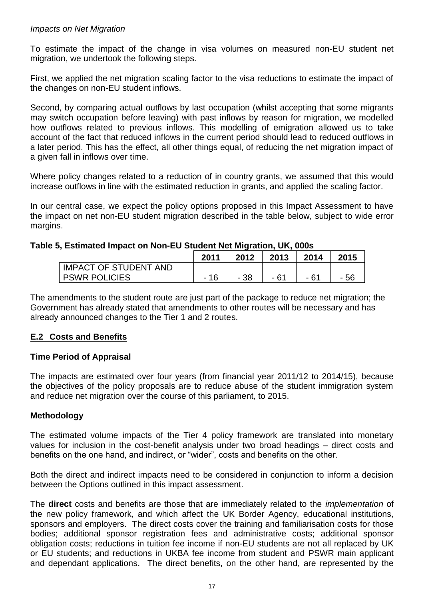### *Impacts on Net Migration*

To estimate the impact of the change in visa volumes on measured non-EU student net migration, we undertook the following steps.

First, we applied the net migration scaling factor to the visa reductions to estimate the impact of the changes on non-EU student inflows.

Second, by comparing actual outflows by last occupation (whilst accepting that some migrants may switch occupation before leaving) with past inflows by reason for migration, we modelled how outflows related to previous inflows. This modelling of emigration allowed us to take account of the fact that reduced inflows in the current period should lead to reduced outflows in a later period. This has the effect, all other things equal, of reducing the net migration impact of a given fall in inflows over time.

Where policy changes related to a reduction of in country grants, we assumed that this would increase outflows in line with the estimated reduction in grants, and applied the scaling factor.

In our central case, we expect the policy options proposed in this Impact Assessment to have the impact on net non-EU student migration described in the table below, subject to wide error margins.

## **Table 5, Estimated Impact on Non-EU Student Net Migration, UK, 000s**

|                              | 2011 | 2012 | 2013  | 2014 | 2015 |
|------------------------------|------|------|-------|------|------|
| <b>IMPACT OF STUDENT AND</b> |      |      |       |      |      |
| <b>PSWR POLICIES</b>         |      | - 38 | $-62$ | - 61 |      |

The amendments to the student route are just part of the package to reduce net migration; the Government has already stated that amendments to other routes will be necessary and has already announced changes to the Tier 1 and 2 routes.

## **E.2 Costs and Benefits**

## **Time Period of Appraisal**

The impacts are estimated over four years (from financial year 2011/12 to 2014/15), because the objectives of the policy proposals are to reduce abuse of the student immigration system and reduce net migration over the course of this parliament, to 2015.

## **Methodology**

The estimated volume impacts of the Tier 4 policy framework are translated into monetary values for inclusion in the cost-benefit analysis under two broad headings – direct costs and benefits on the one hand, and indirect, or "wider", costs and benefits on the other.

Both the direct and indirect impacts need to be considered in conjunction to inform a decision between the Options outlined in this impact assessment.

The **direct** costs and benefits are those that are immediately related to the *implementation* of the new policy framework, and which affect the UK Border Agency, educational institutions, sponsors and employers. The direct costs cover the training and familiarisation costs for those bodies; additional sponsor registration fees and administrative costs; additional sponsor obligation costs; reductions in tuition fee income if non-EU students are not all replaced by UK or EU students; and reductions in UKBA fee income from student and PSWR main applicant and dependant applications. The direct benefits, on the other hand, are represented by the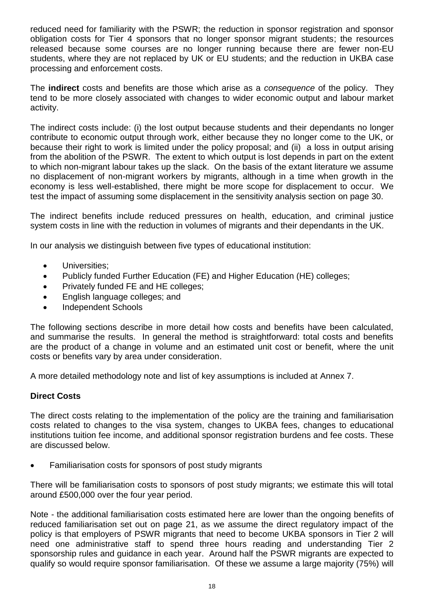reduced need for familiarity with the PSWR; the reduction in sponsor registration and sponsor obligation costs for Tier 4 sponsors that no longer sponsor migrant students; the resources released because some courses are no longer running because there are fewer non-EU students, where they are not replaced by UK or EU students; and the reduction in UKBA case processing and enforcement costs.

The **indirect** costs and benefits are those which arise as a *consequence* of the policy. They tend to be more closely associated with changes to wider economic output and labour market activity.

The indirect costs include: (i) the lost output because students and their dependants no longer contribute to economic output through work, either because they no longer come to the UK, or because their right to work is limited under the policy proposal; and (ii) a loss in output arising from the abolition of the PSWR. The extent to which output is lost depends in part on the extent to which non-migrant labour takes up the slack. On the basis of the extant literature we assume no displacement of non-migrant workers by migrants, although in a time when growth in the economy is less well-established, there might be more scope for displacement to occur. We test the impact of assuming some displacement in the sensitivity analysis section on page 30.

The indirect benefits include reduced pressures on health, education, and criminal justice system costs in line with the reduction in volumes of migrants and their dependants in the UK.

In our analysis we distinguish between five types of educational institution:

- Universities;
- Publicly funded Further Education (FE) and Higher Education (HE) colleges;
- Privately funded FE and HE colleges;
- English language colleges; and
- Independent Schools

The following sections describe in more detail how costs and benefits have been calculated, and summarise the results. In general the method is straightforward: total costs and benefits are the product of a change in volume and an estimated unit cost or benefit, where the unit costs or benefits vary by area under consideration.

A more detailed methodology note and list of key assumptions is included at Annex 7.

## **Direct Costs**

The direct costs relating to the implementation of the policy are the training and familiarisation costs related to changes to the visa system, changes to UKBA fees, changes to educational institutions tuition fee income, and additional sponsor registration burdens and fee costs. These are discussed below.

Familiarisation costs for sponsors of post study migrants

There will be familiarisation costs to sponsors of post study migrants; we estimate this will total around £500,000 over the four year period.

Note - the additional familiarisation costs estimated here are lower than the ongoing benefits of reduced familiarisation set out on page 21, as we assume the direct regulatory impact of the policy is that employers of PSWR migrants that need to become UKBA sponsors in Tier 2 will need one administrative staff to spend three hours reading and understanding Tier 2 sponsorship rules and guidance in each year. Around half the PSWR migrants are expected to qualify so would require sponsor familiarisation. Of these we assume a large majority (75%) will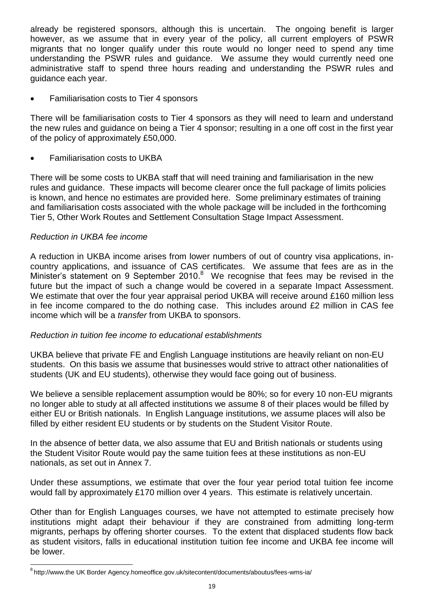already be registered sponsors, although this is uncertain. The ongoing benefit is larger however, as we assume that in every year of the policy, all current employers of PSWR migrants that no longer qualify under this route would no longer need to spend any time understanding the PSWR rules and guidance. We assume they would currently need one administrative staff to spend three hours reading and understanding the PSWR rules and guidance each year.

Familiarisation costs to Tier 4 sponsors

There will be familiarisation costs to Tier 4 sponsors as they will need to learn and understand the new rules and guidance on being a Tier 4 sponsor; resulting in a one off cost in the first year of the policy of approximately £50,000.

Familiarisation costs to UKBA

There will be some costs to UKBA staff that will need training and familiarisation in the new rules and guidance. These impacts will become clearer once the full package of limits policies is known, and hence no estimates are provided here. Some preliminary estimates of training and familiarisation costs associated with the whole package will be included in the forthcoming Tier 5, Other Work Routes and Settlement Consultation Stage Impact Assessment.

## *Reduction in UKBA fee income*

A reduction in UKBA income arises from lower numbers of out of country visa applications, incountry applications, and issuance of CAS certificates. We assume that fees are as in the Minister's statement on 9 September 2010.<sup>8</sup> We recognise that fees may be revised in the future but the impact of such a change would be covered in a separate Impact Assessment. We estimate that over the four year appraisal period UKBA will receive around £160 million less in fee income compared to the do nothing case. This includes around £2 million in CAS fee income which will be a *transfer* from UKBA to sponsors.

## *Reduction in tuition fee income to educational establishments*

UKBA believe that private FE and English Language institutions are heavily reliant on non-EU students. On this basis we assume that businesses would strive to attract other nationalities of students (UK and EU students), otherwise they would face going out of business.

We believe a sensible replacement assumption would be 80%; so for every 10 non-EU migrants no longer able to study at all affected institutions we assume 8 of their places would be filled by either EU or British nationals. In English Language institutions, we assume places will also be filled by either resident EU students or by students on the Student Visitor Route.

In the absence of better data, we also assume that EU and British nationals or students using the Student Visitor Route would pay the same tuition fees at these institutions as non-EU nationals, as set out in Annex 7.

Under these assumptions, we estimate that over the four year period total tuition fee income would fall by approximately £170 million over 4 years. This estimate is relatively uncertain.

Other than for English Languages courses, we have not attempted to estimate precisely how institutions might adapt their behaviour if they are constrained from admitting long-term migrants, perhaps by offering shorter courses. To the extent that displaced students flow back as student visitors, falls in educational institution tuition fee income and UKBA fee income will be lower.

l <sup>8</sup>http://www.the UK Border Agency.homeoffice.gov.uk/sitecontent/documents/aboutus/fees-wms-ia/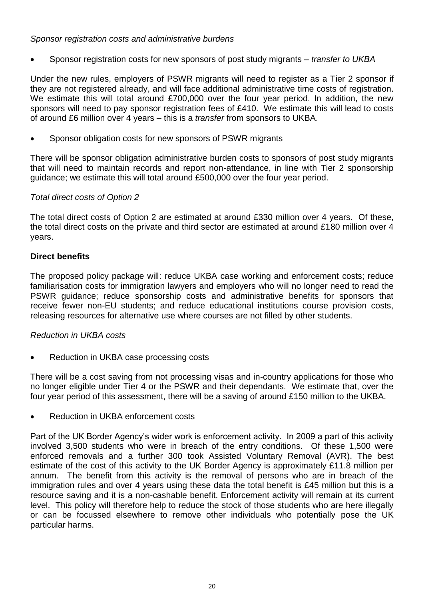## *Sponsor registration costs and administrative burdens*

Sponsor registration costs for new sponsors of post study migrants – *transfer to UKBA*

Under the new rules, employers of PSWR migrants will need to register as a Tier 2 sponsor if they are not registered already, and will face additional administrative time costs of registration. We estimate this will total around £700,000 over the four year period. In addition, the new sponsors will need to pay sponsor registration fees of £410. We estimate this will lead to costs of around £6 million over 4 years – this is a *transfer* from sponsors to UKBA.

Sponsor obligation costs for new sponsors of PSWR migrants

There will be sponsor obligation administrative burden costs to sponsors of post study migrants that will need to maintain records and report non-attendance, in line with Tier 2 sponsorship guidance; we estimate this will total around £500,000 over the four year period.

## *Total direct costs of Option 2*

The total direct costs of Option 2 are estimated at around £330 million over 4 years. Of these, the total direct costs on the private and third sector are estimated at around £180 million over 4 years.

## **Direct benefits**

The proposed policy package will: reduce UKBA case working and enforcement costs; reduce familiarisation costs for immigration lawyers and employers who will no longer need to read the PSWR guidance; reduce sponsorship costs and administrative benefits for sponsors that receive fewer non-EU students; and reduce educational institutions course provision costs, releasing resources for alternative use where courses are not filled by other students.

## *Reduction in UKBA costs*

Reduction in UKBA case processing costs

There will be a cost saving from not processing visas and in-country applications for those who no longer eligible under Tier 4 or the PSWR and their dependants. We estimate that, over the four year period of this assessment, there will be a saving of around £150 million to the UKBA.

Reduction in UKBA enforcement costs

Part of the UK Border Agency"s wider work is enforcement activity. In 2009 a part of this activity involved 3,500 students who were in breach of the entry conditions. Of these 1,500 were enforced removals and a further 300 took Assisted Voluntary Removal (AVR). The best estimate of the cost of this activity to the UK Border Agency is approximately £11.8 million per annum. The benefit from this activity is the removal of persons who are in breach of the immigration rules and over 4 years using these data the total benefit is £45 million but this is a resource saving and it is a non-cashable benefit. Enforcement activity will remain at its current level. This policy will therefore help to reduce the stock of those students who are here illegally or can be focussed elsewhere to remove other individuals who potentially pose the UK particular harms.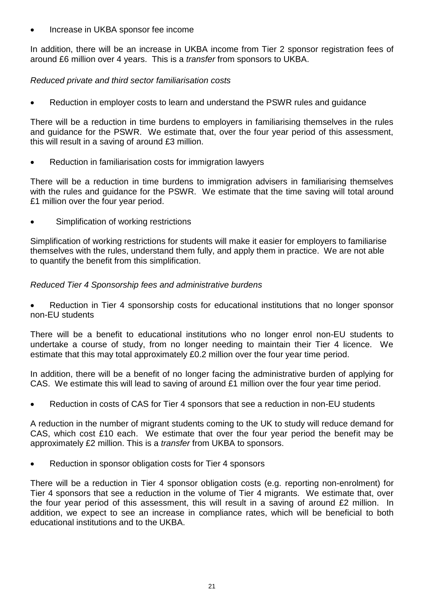Increase in UKBA sponsor fee income

In addition, there will be an increase in UKBA income from Tier 2 sponsor registration fees of around £6 million over 4 years. This is a *transfer* from sponsors to UKBA.

## *Reduced private and third sector familiarisation costs*

Reduction in employer costs to learn and understand the PSWR rules and guidance

There will be a reduction in time burdens to employers in familiarising themselves in the rules and guidance for the PSWR. We estimate that, over the four year period of this assessment, this will result in a saving of around £3 million.

Reduction in familiarisation costs for immigration lawyers

There will be a reduction in time burdens to immigration advisers in familiarising themselves with the rules and guidance for the PSWR. We estimate that the time saving will total around £1 million over the four year period.

Simplification of working restrictions

Simplification of working restrictions for students will make it easier for employers to familiarise themselves with the rules, understand them fully, and apply them in practice. We are not able to quantify the benefit from this simplification.

### *Reduced Tier 4 Sponsorship fees and administrative burdens*

 Reduction in Tier 4 sponsorship costs for educational institutions that no longer sponsor non-EU students

There will be a benefit to educational institutions who no longer enrol non-EU students to undertake a course of study, from no longer needing to maintain their Tier 4 licence. We estimate that this may total approximately £0.2 million over the four year time period.

In addition, there will be a benefit of no longer facing the administrative burden of applying for CAS. We estimate this will lead to saving of around £1 million over the four year time period.

Reduction in costs of CAS for Tier 4 sponsors that see a reduction in non-EU students

A reduction in the number of migrant students coming to the UK to study will reduce demand for CAS, which cost £10 each. We estimate that over the four year period the benefit may be approximately £2 million. This is a *transfer* from UKBA to sponsors.

Reduction in sponsor obligation costs for Tier 4 sponsors

There will be a reduction in Tier 4 sponsor obligation costs (e.g. reporting non-enrolment) for Tier 4 sponsors that see a reduction in the volume of Tier 4 migrants. We estimate that, over the four year period of this assessment, this will result in a saving of around £2 million. In addition, we expect to see an increase in compliance rates, which will be beneficial to both educational institutions and to the UKBA.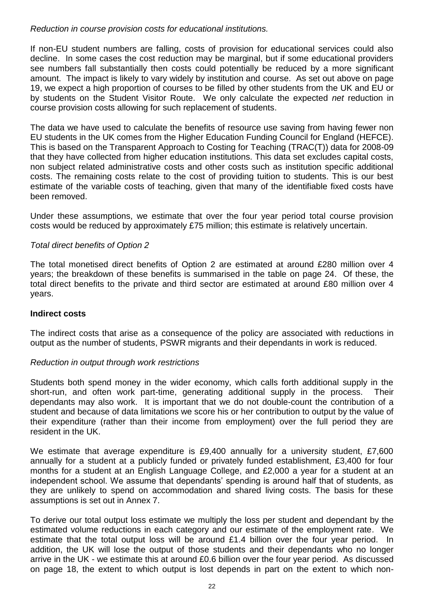## *Reduction in course provision costs for educational institutions.*

If non-EU student numbers are falling, costs of provision for educational services could also decline. In some cases the cost reduction may be marginal, but if some educational providers see numbers fall substantially then costs could potentially be reduced by a more significant amount. The impact is likely to vary widely by institution and course. As set out above on page 19, we expect a high proportion of courses to be filled by other students from the UK and EU or by students on the Student Visitor Route. We only calculate the expected *net* reduction in course provision costs allowing for such replacement of students.

The data we have used to calculate the benefits of resource use saving from having fewer non EU students in the UK comes from the Higher Education Funding Council for England (HEFCE). This is based on the Transparent Approach to Costing for Teaching (TRAC(T)) data for 2008-09 that they have collected from higher education institutions. This data set excludes capital costs, non subject related administrative costs and other costs such as institution specific additional costs. The remaining costs relate to the cost of providing tuition to students. This is our best estimate of the variable costs of teaching, given that many of the identifiable fixed costs have been removed.

Under these assumptions, we estimate that over the four year period total course provision costs would be reduced by approximately £75 million; this estimate is relatively uncertain.

## *Total direct benefits of Option 2*

The total monetised direct benefits of Option 2 are estimated at around £280 million over 4 years; the breakdown of these benefits is summarised in the table on page 24. Of these, the total direct benefits to the private and third sector are estimated at around £80 million over 4 years.

#### **Indirect costs**

The indirect costs that arise as a consequence of the policy are associated with reductions in output as the number of students, PSWR migrants and their dependants in work is reduced.

#### *Reduction in output through work restrictions*

Students both spend money in the wider economy, which calls forth additional supply in the short-run, and often work part-time, generating additional supply in the process. Their dependants may also work. It is important that we do not double-count the contribution of a student and because of data limitations we score his or her contribution to output by the value of their expenditure (rather than their income from employment) over the full period they are resident in the UK.

We estimate that average expenditure is £9,400 annually for a university student, £7,600 annually for a student at a publicly funded or privately funded establishment, £3,400 for four months for a student at an English Language College, and £2,000 a year for a student at an independent school. We assume that dependants' spending is around half that of students, as they are unlikely to spend on accommodation and shared living costs. The basis for these assumptions is set out in Annex 7.

To derive our total output loss estimate we multiply the loss per student and dependant by the estimated volume reductions in each category and our estimate of the employment rate. We estimate that the total output loss will be around £1.4 billion over the four year period. In addition, the UK will lose the output of those students and their dependants who no longer arrive in the UK - we estimate this at around £0.6 billion over the four year period. As discussed on page 18, the extent to which output is lost depends in part on the extent to which non-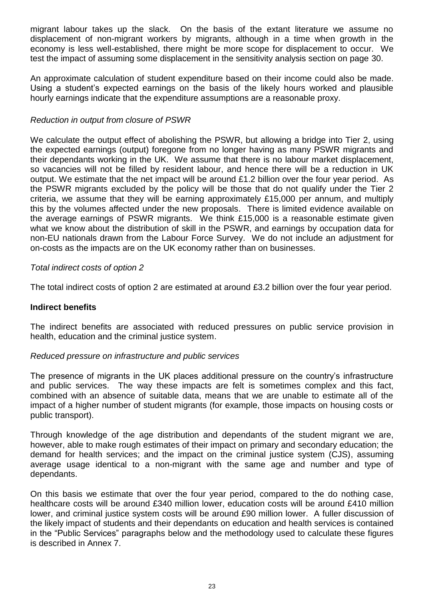migrant labour takes up the slack. On the basis of the extant literature we assume no displacement of non-migrant workers by migrants, although in a time when growth in the economy is less well-established, there might be more scope for displacement to occur. We test the impact of assuming some displacement in the sensitivity analysis section on page 30.

An approximate calculation of student expenditure based on their income could also be made. Using a student"s expected earnings on the basis of the likely hours worked and plausible hourly earnings indicate that the expenditure assumptions are a reasonable proxy.

## *Reduction in output from closure of PSWR*

We calculate the output effect of abolishing the PSWR, but allowing a bridge into Tier 2, using the expected earnings (output) foregone from no longer having as many PSWR migrants and their dependants working in the UK. We assume that there is no labour market displacement, so vacancies will not be filled by resident labour, and hence there will be a reduction in UK output. We estimate that the net impact will be around £1.2 billion over the four year period. As the PSWR migrants excluded by the policy will be those that do not qualify under the Tier 2 criteria, we assume that they will be earning approximately £15,000 per annum, and multiply this by the volumes affected under the new proposals. There is limited evidence available on the average earnings of PSWR migrants. We think £15,000 is a reasonable estimate given what we know about the distribution of skill in the PSWR, and earnings by occupation data for non-EU nationals drawn from the Labour Force Survey. We do not include an adjustment for on-costs as the impacts are on the UK economy rather than on businesses.

## *Total indirect costs of option 2*

The total indirect costs of option 2 are estimated at around £3.2 billion over the four year period.

## **Indirect benefits**

The indirect benefits are associated with reduced pressures on public service provision in health, education and the criminal justice system.

## *Reduced pressure on infrastructure and public services*

The presence of migrants in the UK places additional pressure on the country"s infrastructure and public services. The way these impacts are felt is sometimes complex and this fact, combined with an absence of suitable data, means that we are unable to estimate all of the impact of a higher number of student migrants (for example, those impacts on housing costs or public transport).

Through knowledge of the age distribution and dependants of the student migrant we are, however, able to make rough estimates of their impact on primary and secondary education; the demand for health services; and the impact on the criminal justice system (CJS), assuming average usage identical to a non-migrant with the same age and number and type of dependants.

On this basis we estimate that over the four year period, compared to the do nothing case, healthcare costs will be around £340 million lower, education costs will be around £410 million lower, and criminal justice system costs will be around £90 million lower. A fuller discussion of the likely impact of students and their dependants on education and health services is contained in the "Public Services" paragraphs below and the methodology used to calculate these figures is described in Annex 7.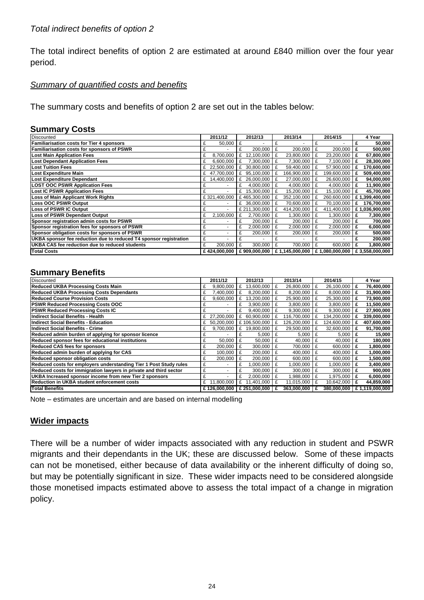The total indirect benefits of option 2 are estimated at around £840 million over the four year period.

## *Summary of quantified costs and benefits*

The summary costs and benefits of option 2 are set out in the tables below:

#### **Summary Costs**

| Discounted                                                        | 2011/12      |           |   | 2012/13       |     | 2013/14        |   | 2014/15        |   | 4 Year         |
|-------------------------------------------------------------------|--------------|-----------|---|---------------|-----|----------------|---|----------------|---|----------------|
| <b>Familiarisation costs for Tier 4 sponsors</b>                  | £            | 50,000    | £ |               |     |                |   |                |   | 50,000         |
| Familiarisation costs for sponsors of PSWR                        |              |           |   | 200.000       | £   | 200.000        | £ | 200.000        | £ | 500,000        |
| <b>Lost Main Application Fees</b>                                 |              | 8,700,000 | £ | 12,100,000    | f   | 23,800,000     | £ | 23,200,000     | £ | 67,800,000     |
| <b>Lost Dependant Application Fees</b>                            |              | 6,600,000 | £ | 7.300.000 E   |     | 7,300,000      | £ | 7,100,000      | £ | 28,300,000     |
| <b>Lost Tuition Fees</b>                                          | 22,500,000   |           | £ | 30.800.000 E  |     | 59,400,000     | £ | 57,900,000     | £ | 170,600,000    |
| <b>Lost Expenditure Main</b>                                      | £ 47.700.000 |           | £ | 95.100.000    | - F | 166,900,000    | £ | 199,600,000    | £ | 509,400,000    |
| <b>Lost Expenditure Dependant</b>                                 | £ 14,400,000 |           | £ | 26,000,000 £  |     | 27,000,000     | £ | 26,600,000     | £ | 94,000,000     |
| <b>LOST OOC PSWR Application Fees</b>                             |              |           | £ | 4,000,000 $E$ |     | 4,000,000      | £ | 4,000,000      | £ | 11,900,000     |
| <b>Lost IC PSWR Application Fees</b>                              |              |           | £ | 15,300,000 £  |     | 15,200,000     | £ | 15,100,000     | £ | 45,700,000     |
| Loss of Main Applicant Work Rights                                | £321,400,000 |           |   | £465,300,000  |     | 352,100,000    |   | 260,600,000    |   | £1,399,400,000 |
| <b>Loss OOC PSWR Output</b>                                       |              |           | £ | 36,000,000 E  |     | 70,600,000     | £ | 70,100,000     | £ | 176,700,000    |
| <b>Loss of PSWR IC Output</b>                                     |              |           |   | £ 211,300,000 | £   | 414,200,000    | £ | 411,400,000    |   | £1,036,900,000 |
| Loss of PSWR Dependant Output                                     |              | 2,100,000 | £ | 2,700,000 £   |     | 1.300.000      | £ | .300.000       | £ | 7,300,000      |
| Sponsor registration admin costs for PSWR                         |              |           |   | $200,000$   £ |     | 200,000        | £ | 200,000        | £ | 700,000        |
| Sponsor registration fees for sponsors of PSWR                    |              |           | £ | 2,000,000     | £   | 2,000,000      | £ | 2,000,000      | £ | 6,000,000      |
| Sponsor obligation costs for sponsors of PSWR                     | £            |           |   | 200,000       | £   | 200,000        | £ | 200,000        | £ | 500,000        |
| UKBA sponsor fee reduction due to reduced T4 sponsor registration | £            |           |   |               | £   |                | £ |                | £ | 200,000        |
| UKBA CAS fee reduction due to reduced students                    | £            | 200,000   | £ | 300.000       | £   | 700,000        | £ | 600,000        | £ | 1,800,000      |
| <b>Total Costs</b>                                                | £424,000,000 |           |   | £909.000.000  |     | £1,145,000,000 |   | £1,080,000,000 |   | £3,558,000,000 |

### **Summary Benefits**

| Discounted                                                        |   | 2011/12      |     | 2012/13         |   | 2013/14     |   | 2014/15     |   | 4 Year         |
|-------------------------------------------------------------------|---|--------------|-----|-----------------|---|-------------|---|-------------|---|----------------|
| <b>Reduced UKBA Processing Costs Main</b>                         | £ | 9.800.000    | £   | 13,600,000      | £ | 26.800.000  | £ | 26.100.000  | £ | 76,400,000     |
| <b>Reduced UKBA Processing Costs Dependants</b>                   | £ | 7.400.000    | £   | 8.200.000       | £ | 8,200,000   | £ | 8,000,000   | £ | 31,900,000     |
| Reduced Course Provision Costs                                    | £ | 9.600.000    | £   | 13.200.000      | £ | 25.900.000  | £ | 25.300.000  | £ | 73,900,000     |
| <b>PSWR Reduced Processing Costs OOC</b>                          | £ |              | £   | 3.900.000       | £ | 3,800,000   | £ | 3,800,000   | £ | 11,500,000     |
| <b>PSWR Reduced Processing Costs IC</b>                           | £ |              | £   | 9,400,000       | £ | 9,300,000   | £ | 9,300,000   | £ | 27,900,000     |
| Indirect Social Benefits - Health                                 |   | £ 27,200,000 | £   | 60.900.000      |   | 116.700.000 | £ | 134.200.000 | £ | 339,000,000    |
| IIndirect Social Benefits - Education                             |   | £ 50,200,000 |     | £106,500,000    |   | 126,200,000 | £ | 124,600,000 | £ | 407,600,000    |
| IIndirect Social Benefits - Crime                                 | £ | 9,700,000    | £   | 19,800,000      | £ | 29,500,000  | £ | 32,600,000  | £ | 91,700,000     |
| Reduced admin burden of applying for sponsor licence              | £ |              | £   | 5,000           | £ | 5,000       | £ | 5,000       | £ | 15,000         |
| Reduced sponsor fees for educational institutions                 | £ | 50.000       | £   | 50,000          | £ | 40,000      | £ | 40.000      | £ | 180,000        |
| <b>Reduced CAS fees for sponsors</b>                              | £ | 200,000      | £   | 300.000         | £ | 700,000     | £ | 600,000     | £ | 1,800,000      |
| Reduced admin burden of applying for CAS                          | £ | 100,000      | l £ | 200.000         | £ | 400.000     | £ | 400,000     | £ | 1,000,000      |
| <b>Reduced sponsor obligation costs</b>                           | £ | 200.000      | £   | 200.000         | £ | 600.000     | £ | 600,000     | £ | 1,500,000      |
| Reduced costs for employers understanding Tier 1 Post Study rules | £ |              | £   | .000.000        | £ | 1.000.000   | £ | 1.000.000   | £ | 3,400,000      |
| Reduced costs for immigration lawyers in private and third sector | £ |              | £   | 300.000         | £ | 300.000     | £ | 300,000     | £ | 900,000        |
| UKBA Increased sponsor income from new Tier 2 sponsors            | £ |              | £   | 2.000.000       | £ | 1.988.000   | £ | 1.975.000   | £ | 6,000,000      |
| Reduction in UKBA student enforcement costs                       | £ | 11.800.000   | £   | 1.401.000       | £ | 11,015,000  | £ | 10,642,000  | £ | 44,859,000     |
| <b>Total Benefits</b>                                             |   | £126.000.000 |     | £ 251.000.000 E |   | 363.000.000 | £ | 380.000.000 |   | £1.119.000.000 |

Note – estimates are uncertain and are based on internal modelling

## **Wider impacts**

There will be a number of wider impacts associated with any reduction in student and PSWR migrants and their dependants in the UK; these are discussed below. Some of these impacts can not be monetised, either because of data availability or the inherent difficulty of doing so, but may be potentially significant in size. These wider impacts need to be considered alongside those monetised impacts estimated above to assess the total impact of a change in migration policy.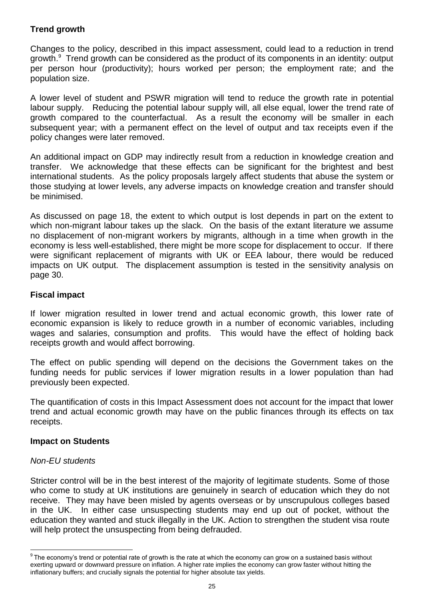## **Trend growth**

Changes to the policy, described in this impact assessment, could lead to a reduction in trend growth. <sup>9</sup> Trend growth can be considered as the product of its components in an identity: output per person hour (productivity); hours worked per person; the employment rate; and the population size.

A lower level of student and PSWR migration will tend to reduce the growth rate in potential labour supply. Reducing the potential labour supply will, all else equal, lower the trend rate of growth compared to the counterfactual. As a result the economy will be smaller in each subsequent year; with a permanent effect on the level of output and tax receipts even if the policy changes were later removed.

An additional impact on GDP may indirectly result from a reduction in knowledge creation and transfer. We acknowledge that these effects can be significant for the brightest and best international students. As the policy proposals largely affect students that abuse the system or those studying at lower levels, any adverse impacts on knowledge creation and transfer should be minimised.

As discussed on page 18, the extent to which output is lost depends in part on the extent to which non-migrant labour takes up the slack. On the basis of the extant literature we assume no displacement of non-migrant workers by migrants, although in a time when growth in the economy is less well-established, there might be more scope for displacement to occur. If there were significant replacement of migrants with UK or EEA labour, there would be reduced impacts on UK output. The displacement assumption is tested in the sensitivity analysis on page 30.

## **Fiscal impact**

If lower migration resulted in lower trend and actual economic growth, this lower rate of economic expansion is likely to reduce growth in a number of economic variables, including wages and salaries, consumption and profits. This would have the effect of holding back receipts growth and would affect borrowing.

The effect on public spending will depend on the decisions the Government takes on the funding needs for public services if lower migration results in a lower population than had previously been expected.

The quantification of costs in this Impact Assessment does not account for the impact that lower trend and actual economic growth may have on the public finances through its effects on tax receipts.

## **Impact on Students**

## *Non-EU students*

Stricter control will be in the best interest of the majority of legitimate students. Some of those who come to study at UK institutions are genuinely in search of education which they do not receive. They may have been misled by agents overseas or by unscrupulous colleges based in the UK. In either case unsuspecting students may end up out of pocket, without the education they wanted and stuck illegally in the UK. Action to strengthen the student visa route will help protect the unsuspecting from being defrauded.

 9 The economy"s trend or potential rate of growth is the rate at which the economy can grow on a sustained basis without exerting upward or downward pressure on inflation. A higher rate implies the economy can grow faster without hitting the inflationary buffers; and crucially signals the potential for higher absolute tax yields.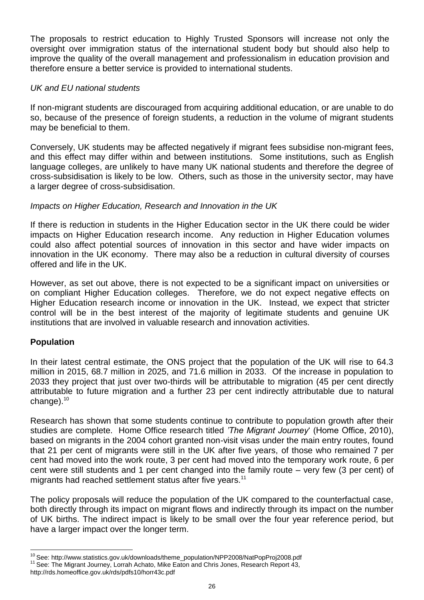The proposals to restrict education to Highly Trusted Sponsors will increase not only the oversight over immigration status of the international student body but should also help to improve the quality of the overall management and professionalism in education provision and therefore ensure a better service is provided to international students.

## *UK and EU national students*

If non-migrant students are discouraged from acquiring additional education, or are unable to do so, because of the presence of foreign students, a reduction in the volume of migrant students may be beneficial to them.

Conversely, UK students may be affected negatively if migrant fees subsidise non-migrant fees, and this effect may differ within and between institutions. Some institutions, such as English language colleges, are unlikely to have many UK national students and therefore the degree of cross-subsidisation is likely to be low. Others, such as those in the university sector, may have a larger degree of cross-subsidisation.

## *Impacts on Higher Education, Research and Innovation in the UK*

If there is reduction in students in the Higher Education sector in the UK there could be wider impacts on Higher Education research income. Any reduction in Higher Education volumes could also affect potential sources of innovation in this sector and have wider impacts on innovation in the UK economy. There may also be a reduction in cultural diversity of courses offered and life in the UK.

However, as set out above, there is not expected to be a significant impact on universities or on compliant Higher Education colleges. Therefore, we do not expect negative effects on Higher Education research income or innovation in the UK. Instead, we expect that stricter control will be in the best interest of the majority of legitimate students and genuine UK institutions that are involved in valuable research and innovation activities.

## **Population**

In their latest central estimate, the ONS project that the population of the UK will rise to 64.3 million in 2015, 68.7 million in 2025, and 71.6 million in 2033. Of the increase in population to 2033 they project that just over two-thirds will be attributable to migration (45 per cent directly attributable to future migration and a further 23 per cent indirectly attributable due to natural change).<sup>10</sup>

Research has shown that some students continue to contribute to population growth after their studies are complete. Home Office research titled *'The Migrant Journey*" (Home Office, 2010), based on migrants in the 2004 cohort granted non-visit visas under the main entry routes, found that 21 per cent of migrants were still in the UK after five years, of those who remained 7 per cent had moved into the work route, 3 per cent had moved into the temporary work route, 6 per cent were still students and 1 per cent changed into the family route – very few (3 per cent) of migrants had reached settlement status after five years.<sup>11</sup>

The policy proposals will reduce the population of the UK compared to the counterfactual case, both directly through its impact on migrant flows and indirectly through its impact on the number of UK births. The indirect impact is likely to be small over the four year reference period, but have a larger impact over the longer term.

l <sup>10</sup> See: [http://www.statistics.gov.uk/downloads/theme\\_population/NPP2008/NatPopProj2008.pdf](http://www.statistics.gov.uk/downloads/theme_population/NPP2008/NatPopProj2008.pdf)

<sup>&</sup>lt;sup>11</sup> See: The Migrant Journey, Lorrah Achato, Mike Eaton and Chris Jones, Research Report 43,

http://rds.homeoffice.gov.uk/rds/pdfs10/horr43c.pdf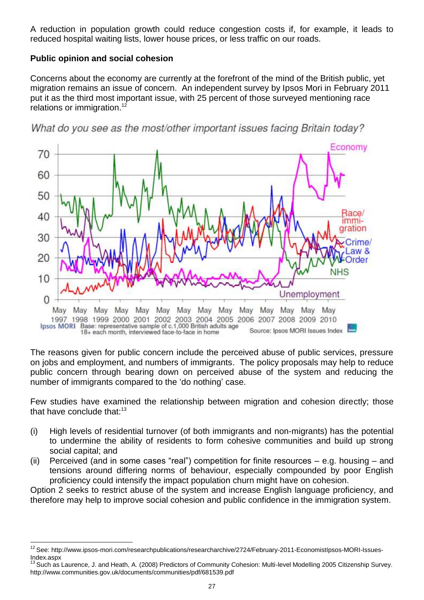A reduction in population growth could reduce congestion costs if, for example, it leads to reduced hospital waiting lists, lower house prices, or less traffic on our roads.

## **Public opinion and social cohesion**

l

Concerns about the economy are currently at the forefront of the mind of the British public, yet migration remains an issue of concern. An independent survey by Ipsos Mori in February 2011 put it as the third most important issue, with 25 percent of those surveyed mentioning race relations or immigration.<sup>12</sup>



What do you see as the most/other important issues facing Britain today?

The reasons given for public concern include the perceived abuse of public services, pressure on jobs and employment, and numbers of immigrants. The policy proposals may help to reduce public concern through bearing down on perceived abuse of the system and reducing the number of immigrants compared to the "do nothing" case.

Few studies have examined the relationship between migration and cohesion directly; those that have conclude that: $13$ 

- (i) High levels of residential turnover (of both immigrants and non-migrants) has the potential to undermine the ability of residents to form cohesive communities and build up strong social capital; and
- (ii) Perceived (and in some cases "real") competition for finite resources e.g. housing and tensions around differing norms of behaviour, especially compounded by poor English proficiency could intensify the impact population churn might have on cohesion.

Option 2 seeks to restrict abuse of the system and increase English language proficiency, and therefore may help to improve social cohesion and public confidence in the immigration system.

<sup>&</sup>lt;sup>12</sup> See: http://www.ipsos-mori.com/researchpublications/researcharchive/2724/February-2011-EconomistIpsos-MORI-Issues-Index.aspx

Such as Laurence, J. and Heath, A. (2008) Predictors of Community Cohesion: Multi-level Modelling 2005 Citizenship Survey. http://www.communities.gov.uk/documents/communities/pdf/681539.pdf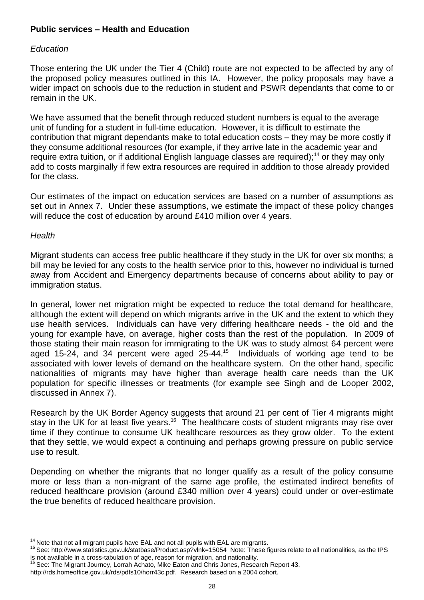## **Public services – Health and Education**

## *Education*

Those entering the UK under the Tier 4 (Child) route are not expected to be affected by any of the proposed policy measures outlined in this IA. However, the policy proposals may have a wider impact on schools due to the reduction in student and PSWR dependants that come to or remain in the UK.

We have assumed that the benefit through reduced student numbers is equal to the average unit of funding for a student in full-time education. However, it is difficult to estimate the contribution that migrant dependants make to total education costs – they may be more costly if they consume additional resources (for example, if they arrive late in the academic year and require extra tuition, or if additional English language classes are required);<sup>14</sup> or they may only add to costs marginally if few extra resources are required in addition to those already provided for the class.

Our estimates of the impact on education services are based on a number of assumptions as set out in Annex 7. Under these assumptions, we estimate the impact of these policy changes will reduce the cost of education by around £410 million over 4 years.

### *Health*

l

Migrant students can access free public healthcare if they study in the UK for over six months; a bill may be levied for any costs to the health service prior to this, however no individual is turned away from Accident and Emergency departments because of concerns about ability to pay or immigration status.

In general, lower net migration might be expected to reduce the total demand for healthcare, although the extent will depend on which migrants arrive in the UK and the extent to which they use health services. Individuals can have very differing healthcare needs - the old and the young for example have, on average, higher costs than the rest of the population. In 2009 of those stating their main reason for immigrating to the UK was to study almost 64 percent were aged 15-24, and 34 percent were aged  $25-44.15$  Individuals of working age tend to be associated with lower levels of demand on the healthcare system. On the other hand, specific nationalities of migrants may have higher than average health care needs than the UK population for specific illnesses or treatments (for example see Singh and de Looper 2002, discussed in Annex 7).

Research by the UK Border Agency suggests that around 21 per cent of Tier 4 migrants might stay in the UK for at least five years.<sup>16</sup> The healthcare costs of student migrants may rise over time if they continue to consume UK healthcare resources as they grow older. To the extent that they settle, we would expect a continuing and perhaps growing pressure on public service use to result.

Depending on whether the migrants that no longer qualify as a result of the policy consume more or less than a non-migrant of the same age profile, the estimated indirect benefits of reduced healthcare provision (around £340 million over 4 years) could under or over-estimate the true benefits of reduced healthcare provision.

 $14$  Note that not all migrant pupils have EAL and not all pupils with EAL are migrants.

<sup>15</sup> See:<http://www.statistics.gov.uk/statbase/Product.asp?vlnk=15054>Note: These figures relate to all nationalities, as the IPS is not available in a cross-tabulation of age, reason for migration, and nationality.

See: The Migrant Journey, Lorrah Achato, Mike Eaton and Chris Jones, Research Report 43,

[http://rds.homeoffice.gov.uk/rds/pdfs10/horr43c.pdf.](http://rds.homeoffice.gov.uk/rds/pdfs10/horr43c.pdf) Research based on a 2004 cohort.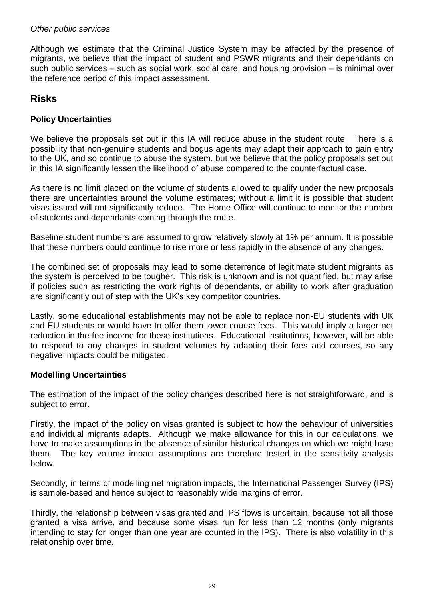## *Other public services*

Although we estimate that the Criminal Justice System may be affected by the presence of migrants, we believe that the impact of student and PSWR migrants and their dependants on such public services – such as social work, social care, and housing provision – is minimal over the reference period of this impact assessment.

# **Risks**

## **Policy Uncertainties**

We believe the proposals set out in this IA will reduce abuse in the student route. There is a possibility that non-genuine students and bogus agents may adapt their approach to gain entry to the UK, and so continue to abuse the system, but we believe that the policy proposals set out in this IA significantly lessen the likelihood of abuse compared to the counterfactual case.

As there is no limit placed on the volume of students allowed to qualify under the new proposals there are uncertainties around the volume estimates; without a limit it is possible that student visas issued will not significantly reduce. The Home Office will continue to monitor the number of students and dependants coming through the route.

Baseline student numbers are assumed to grow relatively slowly at 1% per annum. It is possible that these numbers could continue to rise more or less rapidly in the absence of any changes.

The combined set of proposals may lead to some deterrence of legitimate student migrants as the system is perceived to be tougher. This risk is unknown and is not quantified, but may arise if policies such as restricting the work rights of dependants, or ability to work after graduation are significantly out of step with the UK"s key competitor countries.

Lastly, some educational establishments may not be able to replace non-EU students with UK and EU students or would have to offer them lower course fees. This would imply a larger net reduction in the fee income for these institutions. Educational institutions, however, will be able to respond to any changes in student volumes by adapting their fees and courses, so any negative impacts could be mitigated.

## **Modelling Uncertainties**

The estimation of the impact of the policy changes described here is not straightforward, and is subject to error.

Firstly, the impact of the policy on visas granted is subject to how the behaviour of universities and individual migrants adapts. Although we make allowance for this in our calculations, we have to make assumptions in the absence of similar historical changes on which we might base them. The key volume impact assumptions are therefore tested in the sensitivity analysis below.

Secondly, in terms of modelling net migration impacts, the International Passenger Survey (IPS) is sample-based and hence subject to reasonably wide margins of error.

Thirdly, the relationship between visas granted and IPS flows is uncertain, because not all those granted a visa arrive, and because some visas run for less than 12 months (only migrants intending to stay for longer than one year are counted in the IPS). There is also volatility in this relationship over time.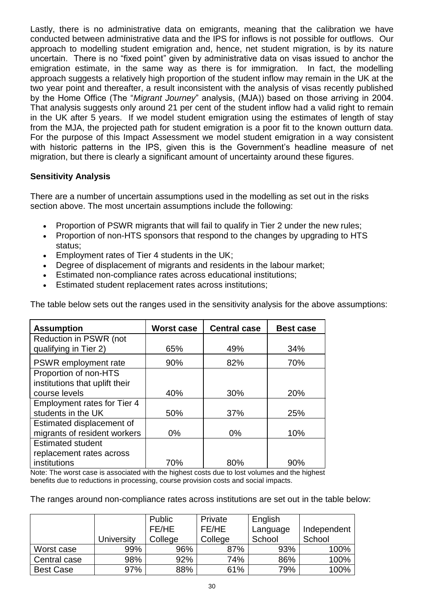Lastly, there is no administrative data on emigrants, meaning that the calibration we have conducted between administrative data and the IPS for inflows is not possible for outflows. Our approach to modelling student emigration and, hence, net student migration, is by its nature uncertain. There is no "fixed point" given by administrative data on visas issued to anchor the emigration estimate, in the same way as there is for immigration. In fact, the modelling approach suggests a relatively high proportion of the student inflow may remain in the UK at the two year point and thereafter, a result inconsistent with the analysis of visas recently published by the Home Office (The "*Migrant Journey*" analysis, (MJA)) based on those arriving in 2004. That analysis suggests only around 21 per cent of the student inflow had a valid right to remain in the UK after 5 years. If we model student emigration using the estimates of length of stay from the MJA, the projected path for student emigration is a poor fit to the known outturn data. For the purpose of this Impact Assessment we model student emigration in a way consistent with historic patterns in the IPS, given this is the Government's headline measure of net migration, but there is clearly a significant amount of uncertainty around these figures.

## **Sensitivity Analysis**

There are a number of uncertain assumptions used in the modelling as set out in the risks section above. The most uncertain assumptions include the following:

- Proportion of PSWR migrants that will fail to qualify in Tier 2 under the new rules;
- Proportion of non-HTS sponsors that respond to the changes by upgrading to HTS status;
- Employment rates of Tier 4 students in the UK;
- Degree of displacement of migrants and residents in the labour market;
- Estimated non-compliance rates across educational institutions;
- Estimated student replacement rates across institutions;

| The table below sets out the ranges used in the sensitivity analysis for the above assumptions: |  |  |
|-------------------------------------------------------------------------------------------------|--|--|
|-------------------------------------------------------------------------------------------------|--|--|

| <b>Assumption</b>                  | <b>Worst case</b> | <b>Central case</b> | <b>Best case</b> |
|------------------------------------|-------------------|---------------------|------------------|
| Reduction in PSWR (not             |                   |                     |                  |
| qualifying in Tier 2)              | 65%               | 49%                 | 34%              |
| PSWR employment rate               | 90%               | 82%                 | 70%              |
| Proportion of non-HTS              |                   |                     |                  |
| institutions that uplift their     |                   |                     |                  |
| course levels                      | 40%               | 30%                 | 20%              |
| <b>Employment rates for Tier 4</b> |                   |                     |                  |
| students in the UK                 | 50%               | 37%                 | 25%              |
| Estimated displacement of          |                   |                     |                  |
| migrants of resident workers       | $0\%$             | 0%                  | 10%              |
| <b>Estimated student</b>           |                   |                     |                  |
| replacement rates across           |                   |                     |                  |
| institutions                       | 70%               | 80%                 | 90%              |

Note: The worst case is associated with the highest costs due to lost volumes and the highest benefits due to reductions in processing, course provision costs and social impacts.

The ranges around non-compliance rates across institutions are set out in the table below:

|                  |            | Public  | Private | English  |             |
|------------------|------------|---------|---------|----------|-------------|
|                  |            | FE/HE   | FE/HE   | Language | Independent |
|                  | University | College | College | School   | School      |
| Worst case       | 99%        | 96%     | 87%     | 93%      | 100%        |
| Central case     | 98%        | 92%     | 74%     | 86%      | 100%        |
| <b>Best Case</b> | 97%        | 88%     | 61%     | 79%      | 100%        |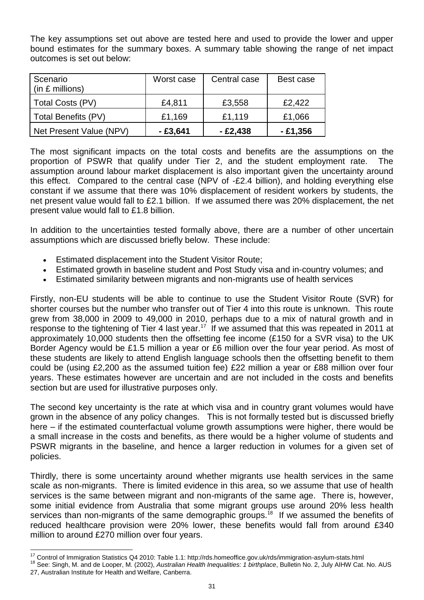The key assumptions set out above are tested here and used to provide the lower and upper bound estimates for the summary boxes. A summary table showing the range of net impact outcomes is set out below:

| Scenario<br>$(in \; \pounds \; \mbox{millions})$ | Worst case | Central case | Best case |
|--------------------------------------------------|------------|--------------|-----------|
| Total Costs (PV)                                 | £4,811     | £3,558       | £2,422    |
| Total Benefits (PV)                              | £1,169     | £1,119       | £1,066    |
| Net Present Value (NPV)                          | - £3,641   | $-£2,438$    | $-£1,356$ |

The most significant impacts on the total costs and benefits are the assumptions on the proportion of PSWR that qualify under Tier 2, and the student employment rate. The assumption around labour market displacement is also important given the uncertainty around this effect. Compared to the central case (NPV of -£2.4 billion), and holding everything else constant if we assume that there was 10% displacement of resident workers by students, the net present value would fall to £2.1 billion. If we assumed there was 20% displacement, the net present value would fall to £1.8 billion.

In addition to the uncertainties tested formally above, there are a number of other uncertain assumptions which are discussed briefly below. These include:

- Estimated displacement into the Student Visitor Route;
- Estimated growth in baseline student and Post Study visa and in-country volumes; and
- Estimated similarity between migrants and non-migrants use of health services

Firstly, non-EU students will be able to continue to use the Student Visitor Route (SVR) for shorter courses but the number who transfer out of Tier 4 into this route is unknown. This route grew from 38,000 in 2009 to 49,000 in 2010, perhaps due to a mix of natural growth and in response to the tightening of Tier 4 last year.<sup>17</sup> If we assumed that this was repeated in 2011 at approximately 10,000 students then the offsetting fee income (£150 for a SVR visa) to the UK Border Agency would be £1.5 million a year or £6 million over the four year period. As most of these students are likely to attend English language schools then the offsetting benefit to them could be (using £2,200 as the assumed tuition fee) £22 million a year or £88 million over four years. These estimates however are uncertain and are not included in the costs and benefits section but are used for illustrative purposes only.

The second key uncertainty is the rate at which visa and in country grant volumes would have grown in the absence of any policy changes. This is not formally tested but is discussed briefly here – if the estimated counterfactual volume growth assumptions were higher, there would be a small increase in the costs and benefits, as there would be a higher volume of students and PSWR migrants in the baseline, and hence a larger reduction in volumes for a given set of policies.

Thirdly, there is some uncertainty around whether migrants use health services in the same scale as non-migrants. There is limited evidence in this area, so we assume that use of health services is the same between migrant and non-migrants of the same age. There is, however, some initial evidence from Australia that some migrant groups use around 20% less health services than non-migrants of the same demographic groups.<sup>18</sup> If we assumed the benefits of reduced healthcare provision were 20% lower, these benefits would fall from around £340 million to around £270 million over four years.

l

<sup>&</sup>lt;sup>17</sup> Control of Immigration Statistics Q4 2010: Table 1.1: http://rds.homeoffice.gov.uk/rds/immigration-asylum-stats.html

<sup>18</sup> See: Singh, M. and de Looper, M. (2002), *Australian Health Inequalities: 1 birthplace*, Bulletin No. 2, July AIHW Cat. No. AUS 27, Australian Institute for Health and Welfare, Canberra.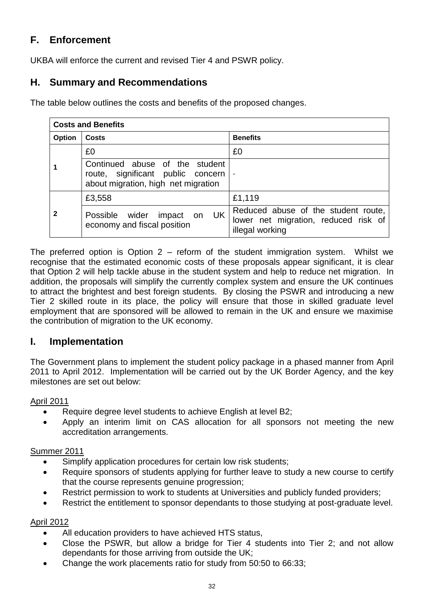# **F. Enforcement**

UKBA will enforce the current and revised Tier 4 and PSWR policy.

# **H. Summary and Recommendations**

The table below outlines the costs and benefits of the proposed changes.

| <b>Costs and Benefits</b> |                                                                                                            |                                                                                                |  |  |  |  |
|---------------------------|------------------------------------------------------------------------------------------------------------|------------------------------------------------------------------------------------------------|--|--|--|--|
| Option                    | Costs                                                                                                      | <b>Benefits</b>                                                                                |  |  |  |  |
|                           | £0                                                                                                         | £0                                                                                             |  |  |  |  |
|                           | Continued abuse of the student<br>route, significant public concern<br>about migration, high net migration | $\overline{\phantom{a}}$                                                                       |  |  |  |  |
| 2                         | £3,558                                                                                                     | £1,119                                                                                         |  |  |  |  |
|                           | UK<br>Possible wider<br>impact on<br>economy and fiscal position                                           | Reduced abuse of the student route,<br>lower net migration, reduced risk of<br>illegal working |  |  |  |  |

The preferred option is Option 2 – reform of the student immigration system. Whilst we recognise that the estimated economic costs of these proposals appear significant, it is clear that Option 2 will help tackle abuse in the student system and help to reduce net migration. In addition, the proposals will simplify the currently complex system and ensure the UK continues to attract the brightest and best foreign students. By closing the PSWR and introducing a new Tier 2 skilled route in its place, the policy will ensure that those in skilled graduate level employment that are sponsored will be allowed to remain in the UK and ensure we maximise the contribution of migration to the UK economy.

# **I. Implementation**

The Government plans to implement the student policy package in a phased manner from April 2011 to April 2012. Implementation will be carried out by the UK Border Agency, and the key milestones are set out below:

## April 2011

- Require degree level students to achieve English at level B2;
- Apply an interim limit on CAS allocation for all sponsors not meeting the new accreditation arrangements.

## Summer 2011

- Simplify application procedures for certain low risk students;
- Require sponsors of students applying for further leave to study a new course to certify that the course represents genuine progression;
- Restrict permission to work to students at Universities and publicly funded providers;
- Restrict the entitlement to sponsor dependants to those studying at post-graduate level.

## April 2012

- All education providers to have achieved HTS status,
- Close the PSWR, but allow a bridge for Tier 4 students into Tier 2; and not allow dependants for those arriving from outside the UK;
- Change the work placements ratio for study from 50:50 to 66:33;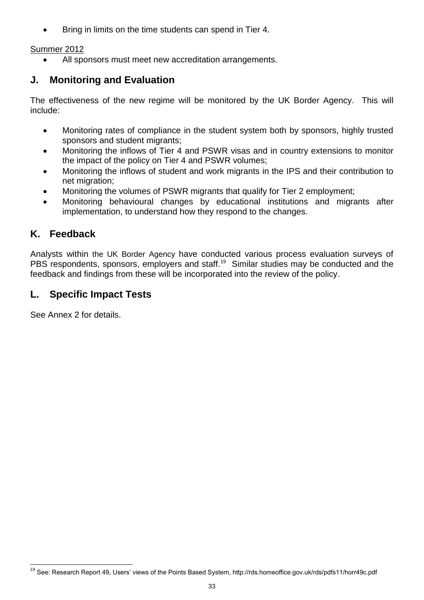Bring in limits on the time students can spend in Tier 4.

# Summer 2012

All sponsors must meet new accreditation arrangements.

# **J. Monitoring and Evaluation**

The effectiveness of the new regime will be monitored by the UK Border Agency. This will include:

- Monitoring rates of compliance in the student system both by sponsors, highly trusted sponsors and student migrants;
- Monitoring the inflows of Tier 4 and PSWR visas and in country extensions to monitor the impact of the policy on Tier 4 and PSWR volumes;
- Monitoring the inflows of student and work migrants in the IPS and their contribution to net migration;
- Monitoring the volumes of PSWR migrants that qualify for Tier 2 employment;
- Monitoring behavioural changes by educational institutions and migrants after implementation, to understand how they respond to the changes.

# **K. Feedback**

Analysts within the UK Border Agency have conducted various process evaluation surveys of PBS respondents, sponsors, employers and staff.<sup>19</sup> Similar studies may be conducted and the feedback and findings from these will be incorporated into the review of the policy.

# **L. Specific Impact Tests**

See Annex 2 for details.

l <sup>19</sup> See: Research Report 49, Users' views of the Points Based System, http://rds.homeoffice.gov.uk/rds/pdfs11/horr49c.pdf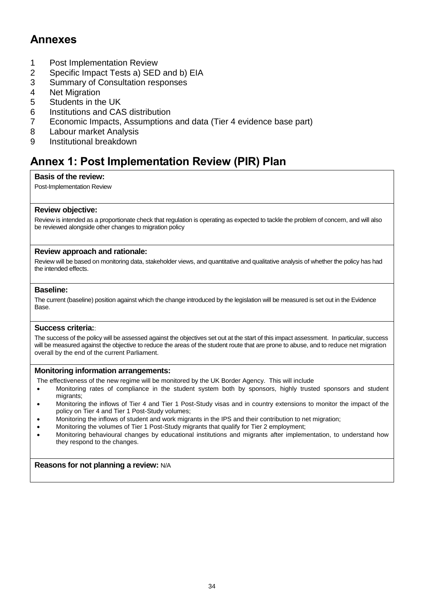# **Annexes**

- 1 Post Implementation Review
- 2 Specific Impact Tests a) SED and b) EIA
- 3 Summary of Consultation responses<br>4 Net Migration
- **Net Migration**
- 5 Students in the UK
- 6 Institutions and CAS distribution
- 7 Economic Impacts, Assumptions and data (Tier 4 evidence base part)
- 8 Labour market Analysis
- 9 Institutional breakdown

# **Annex 1: Post Implementation Review (PIR) Plan**

#### **Basis of the review:**

Post-Implementation Review

#### **Review objective:**

Review is intended as a proportionate check that regulation is operating as expected to tackle the problem of concern, and will also be reviewed alongside other changes to migration policy

#### **Review approach and rationale:**

Review will be based on monitoring data, stakeholder views, and quantitative and qualitative analysis of whether the policy has had the intended effects.

#### **Baseline:**

The current (baseline) position against which the change introduced by the legislation will be measured is set out in the Evidence Base.

#### **Success criteria:**:

The success of the policy will be assessed against the objectives set out at the start of this impact assessment. In particular, success will be measured against the objective to reduce the areas of the student route that are prone to abuse, and to reduce net migration overall by the end of the current Parliament.

#### **Monitoring information arrangements:**

The effectiveness of the new regime will be monitored by the UK Border Agency. This will include

- Monitoring rates of compliance in the student system both by sponsors, highly trusted sponsors and student migrants;
- Monitoring the inflows of Tier 4 and Tier 1 Post-Study visas and in country extensions to monitor the impact of the policy on Tier 4 and Tier 1 Post-Study volumes;
- Monitoring the inflows of student and work migrants in the IPS and their contribution to net migration;
- Monitoring the volumes of Tier 1 Post-Study migrants that qualify for Tier 2 employment;
- Monitoring behavioural changes by educational institutions and migrants after implementation, to understand how they respond to the changes.

#### **Reasons for not planning a review:** N/A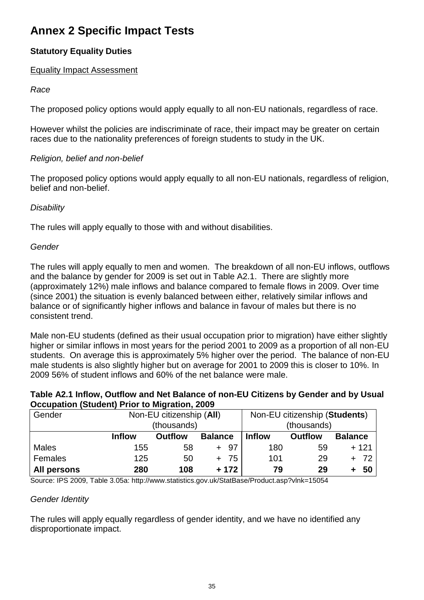# **Annex 2 Specific Impact Tests**

# **Statutory Equality Duties**

## Equality Impact Assessment

## *Race*

The proposed policy options would apply equally to all non-EU nationals, regardless of race.

However whilst the policies are indiscriminate of race, their impact may be greater on certain races due to the nationality preferences of foreign students to study in the UK.

## *Religion, belief and non-belief*

The proposed policy options would apply equally to all non-EU nationals, regardless of religion, belief and non-belief.

## *Disability*

The rules will apply equally to those with and without disabilities.

## *Gender*

The rules will apply equally to men and women. The breakdown of all non-EU inflows, outflows and the balance by gender for 2009 is set out in Table A2.1. There are slightly more (approximately 12%) male inflows and balance compared to female flows in 2009. Over time (since 2001) the situation is evenly balanced between either, relatively similar inflows and balance or of significantly higher inflows and balance in favour of males but there is no consistent trend.

Male non-EU students (defined as their usual occupation prior to migration) have either slightly higher or similar inflows in most years for the period 2001 to 2009 as a proportion of all non-EU students. On average this is approximately 5% higher over the period. The balance of non-EU male students is also slightly higher but on average for 2001 to 2009 this is closer to 10%. In 2009 56% of student inflows and 60% of the net balance were male.

## **Table A2.1 Inflow, Outflow and Net Balance of non-EU Citizens by Gender and by Usual Occupation (Student) Prior to Migration, 2009**

| Gender       | Non-EU citizenship (AII) | Non-EU citizenship (Students) |                |               |                |                |
|--------------|--------------------------|-------------------------------|----------------|---------------|----------------|----------------|
|              |                          | (thousands)                   |                |               | (thousands)    |                |
|              | <b>Inflow</b>            | <b>Outflow</b>                | <b>Balance</b> | <b>Inflow</b> | <b>Outflow</b> | <b>Balance</b> |
| <b>Males</b> | 155                      | 58                            | -97            | 180           | 59             | $+121$         |
| Females      | 125                      | 50                            | 75             | 101           | 29             | $+ 72$         |
| All persons  | 280                      | 108                           | $+172$         | 79            | 29             | 50             |

Source: IPS 2009, Table 3.05a: http://www.statistics.gov.uk/StatBase/Product.asp?vlnk=15054

## *Gender Identity*

The rules will apply equally regardless of gender identity, and we have no identified any disproportionate impact.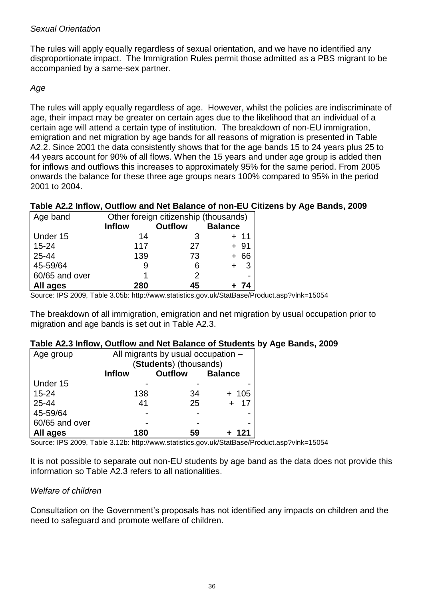## *Sexual Orientation*

The rules will apply equally regardless of sexual orientation, and we have no identified any disproportionate impact. The Immigration Rules permit those admitted as a PBS migrant to be accompanied by a same-sex partner.

## *Age*

The rules will apply equally regardless of age. However, whilst the policies are indiscriminate of age, their impact may be greater on certain ages due to the likelihood that an individual of a certain age will attend a certain type of institution. The breakdown of non-EU immigration, emigration and net migration by age bands for all reasons of migration is presented in Table A2.2. Since 2001 the data consistently shows that for the age bands 15 to 24 years plus 25 to 44 years account for 90% of all flows. When the 15 years and under age group is added then for inflows and outflows this increases to approximately 95% for the same period. From 2005 onwards the balance for these three age groups nears 100% compared to 95% in the period 2001 to 2004.

## **Table A2.2 Inflow, Outflow and Net Balance of non-EU Citizens by Age Bands, 2009**

| Age band       | Other foreign citizenship (thousands) |                |                |  |  |  |
|----------------|---------------------------------------|----------------|----------------|--|--|--|
|                | <b>Inflow</b>                         | <b>Outflow</b> | <b>Balance</b> |  |  |  |
| Under 15       | 14                                    | 3              | + 11           |  |  |  |
| $15 - 24$      | 117                                   | 27             | $+91$          |  |  |  |
| 25-44          | 139                                   | 73             | $+66$          |  |  |  |
| 45-59/64       |                                       | 6              | - 3            |  |  |  |
| 60/65 and over |                                       | 2              | -              |  |  |  |
| All ages       | 280                                   | 45             | -74            |  |  |  |

Source: IPS 2009, Table 3.05b: http://www.statistics.gov.uk/StatBase/Product.asp?vlnk=15054

The breakdown of all immigration, emigration and net migration by usual occupation prior to migration and age bands is set out in Table A2.3.

## **Table A2.3 Inflow, Outflow and Net Balance of Students by Age Bands, 2009**

| Age group      | All migrants by usual occupation - |                |                |  |  |  |  |
|----------------|------------------------------------|----------------|----------------|--|--|--|--|
|                | (Students) (thousands)             |                |                |  |  |  |  |
|                | <b>Inflow</b>                      | <b>Outflow</b> | <b>Balance</b> |  |  |  |  |
| Under 15       |                                    |                |                |  |  |  |  |
| $15 - 24$      | 138                                | 34             | $+ 105$        |  |  |  |  |
| 25-44          | 41                                 | 25             | 17             |  |  |  |  |
| 45-59/64       |                                    |                | -              |  |  |  |  |
| 60/65 and over |                                    |                | -              |  |  |  |  |
| All ages       | 121                                |                |                |  |  |  |  |

Source: IPS 2009, Table 3.12b: http://www.statistics.gov.uk/StatBase/Product.asp?vlnk=15054

It is not possible to separate out non-EU students by age band as the data does not provide this information so Table A2.3 refers to all nationalities.

## *Welfare of children*

Consultation on the Government"s proposals has not identified any impacts on children and the need to safeguard and promote welfare of children.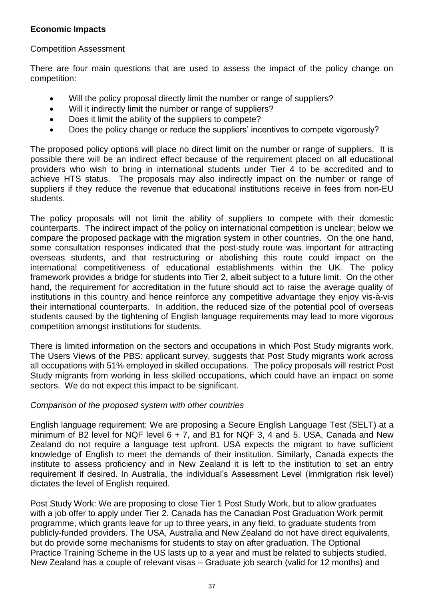## **Economic Impacts**

#### Competition Assessment

There are four main questions that are used to assess the impact of the policy change on competition:

- Will the policy proposal directly limit the number or range of suppliers?
- Will it indirectly limit the number or range of suppliers?
- Does it limit the ability of the suppliers to compete?
- Does the policy change or reduce the suppliers' incentives to compete vigorously?

The proposed policy options will place no direct limit on the number or range of suppliers. It is possible there will be an indirect effect because of the requirement placed on all educational providers who wish to bring in international students under Tier 4 to be accredited and to achieve HTS status. The proposals may also indirectly impact on the number or range of suppliers if they reduce the revenue that educational institutions receive in fees from non-EU students.

The policy proposals will not limit the ability of suppliers to compete with their domestic counterparts. The indirect impact of the policy on international competition is unclear; below we compare the proposed package with the migration system in other countries. On the one hand, some consultation responses indicated that the post-study route was important for attracting overseas students, and that restructuring or abolishing this route could impact on the international competitiveness of educational establishments within the UK. The policy framework provides a bridge for students into Tier 2, albeit subject to a future limit. On the other hand, the requirement for accreditation in the future should act to raise the average quality of institutions in this country and hence reinforce any competitive advantage they enjoy vis-à-vis their international counterparts. In addition, the reduced size of the potential pool of overseas students caused by the tightening of English language requirements may lead to more vigorous competition amongst institutions for students.

There is limited information on the sectors and occupations in which Post Study migrants work. The Users Views of the PBS: applicant survey, suggests that Post Study migrants work across all occupations with 51% employed in skilled occupations. The policy proposals will restrict Post Study migrants from working in less skilled occupations, which could have an impact on some sectors. We do not expect this impact to be significant.

## *Comparison of the proposed system with other countries*

English language requirement: We are proposing a Secure English Language Test (SELT) at a minimum of B2 level for NQF level  $6 + 7$ , and B1 for NQF 3, 4 and 5. USA, Canada and New Zealand do not require a language test upfront. USA expects the migrant to have sufficient knowledge of English to meet the demands of their institution. Similarly, Canada expects the institute to assess proficiency and in New Zealand it is left to the institution to set an entry requirement if desired. In Australia, the individual"s Assessment Level (immigration risk level) dictates the level of English required.

Post Study Work: We are proposing to close Tier 1 Post Study Work, but to allow graduates with a job offer to apply under Tier 2. Canada has the Canadian Post Graduation Work permit programme, which grants leave for up to three years, in any field, to graduate students from publicly-funded providers. The USA, Australia and New Zealand do not have direct equivalents, but do provide some mechanisms for students to stay on after graduation. The Optional Practice Training Scheme in the US lasts up to a year and must be related to subjects studied. New Zealand has a couple of relevant visas – Graduate job search (valid for 12 months) and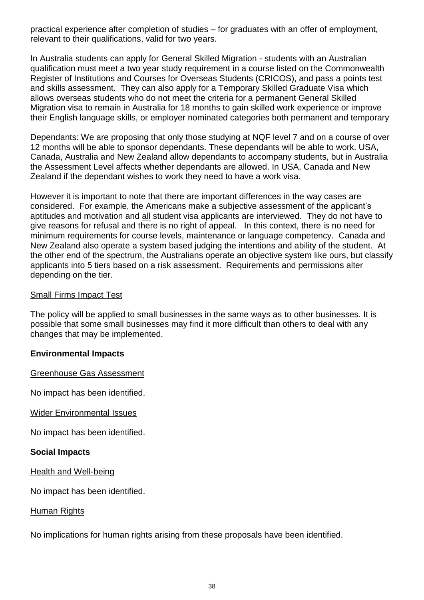practical experience after completion of studies – for graduates with an offer of employment, relevant to their qualifications, valid for two years.

In Australia students can apply for General Skilled Migration - students with an Australian qualification must meet a two year study requirement in a course listed on the Commonwealth Register of Institutions and Courses for Overseas Students (CRICOS), and pass a points test and skills assessment. They can also apply for a Temporary Skilled Graduate Visa which allows overseas students who do not meet the criteria for a permanent General Skilled Migration visa to remain in Australia for 18 months to gain skilled work experience or improve their English language skills, or employer nominated categories both permanent and temporary

Dependants: We are proposing that only those studying at NQF level 7 and on a course of over 12 months will be able to sponsor dependants. These dependants will be able to work. USA, Canada, Australia and New Zealand allow dependants to accompany students, but in Australia the Assessment Level affects whether dependants are allowed. In USA, Canada and New Zealand if the dependant wishes to work they need to have a work visa.

However it is important to note that there are important differences in the way cases are considered. For example, the Americans make a subjective assessment of the applicant"s aptitudes and motivation and all student visa applicants are interviewed. They do not have to give reasons for refusal and there is no right of appeal. In this context, there is no need for minimum requirements for course levels, maintenance or language competency. Canada and New Zealand also operate a system based judging the intentions and ability of the student. At the other end of the spectrum, the Australians operate an objective system like ours, but classify applicants into 5 tiers based on a risk assessment. Requirements and permissions alter depending on the tier.

## Small Firms Impact Test

The policy will be applied to small businesses in the same ways as to other businesses. It is possible that some small businesses may find it more difficult than others to deal with any changes that may be implemented.

## **Environmental Impacts**

Greenhouse Gas Assessment

No impact has been identified.

Wider Environmental Issues

No impact has been identified.

## **Social Impacts**

Health and Well-being

No impact has been identified.

## Human Rights

No implications for human rights arising from these proposals have been identified.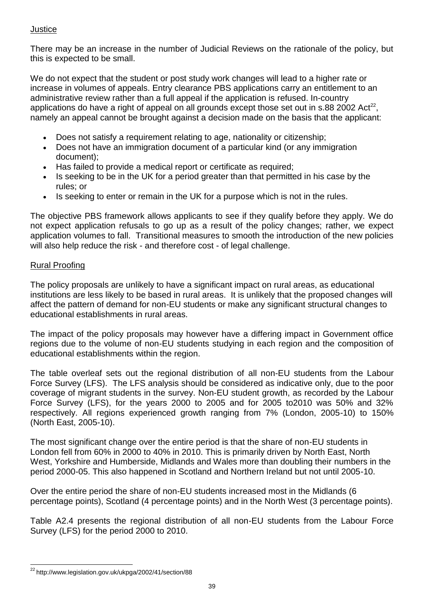## **Justice**

There may be an increase in the number of Judicial Reviews on the rationale of the policy, but this is expected to be small.

We do not expect that the student or post study work changes will lead to a higher rate or increase in volumes of appeals. Entry clearance PBS applications carry an entitlement to an administrative review rather than a full appeal if the application is refused. In-country applications do have a right of appeal on all grounds except those set out in s.88 2002 Act<sup>22</sup>, namely an appeal cannot be brought against a decision made on the basis that the applicant:

- Does not satisfy a requirement relating to age, nationality or citizenship;
- Does not have an immigration document of a particular kind (or any immigration document);
- Has failed to provide a medical report or certificate as required;
- Is seeking to be in the UK for a period greater than that permitted in his case by the rules; or
- Is seeking to enter or remain in the UK for a purpose which is not in the rules.

The objective PBS framework allows applicants to see if they qualify before they apply. We do not expect application refusals to go up as a result of the policy changes; rather, we expect application volumes to fall. Transitional measures to smooth the introduction of the new policies will also help reduce the risk - and therefore cost - of legal challenge.

## Rural Proofing

The policy proposals are unlikely to have a significant impact on rural areas, as educational institutions are less likely to be based in rural areas. It is unlikely that the proposed changes will affect the pattern of demand for non-EU students or make any significant structural changes to educational establishments in rural areas.

The impact of the policy proposals may however have a differing impact in Government office regions due to the volume of non-EU students studying in each region and the composition of educational establishments within the region.

The table overleaf sets out the regional distribution of all non-EU students from the Labour Force Survey (LFS). The LFS analysis should be considered as indicative only, due to the poor coverage of migrant students in the survey. Non-EU student growth, as recorded by the Labour Force Survey (LFS), for the years 2000 to 2005 and for 2005 to2010 was 50% and 32% respectively. All regions experienced growth ranging from 7% (London, 2005-10) to 150% (North East, 2005-10).

The most significant change over the entire period is that the share of non-EU students in London fell from 60% in 2000 to 40% in 2010. This is primarily driven by North East, North West, Yorkshire and Humberside, Midlands and Wales more than doubling their numbers in the period 2000-05. This also happened in Scotland and Northern Ireland but not until 2005-10.

Over the entire period the share of non-EU students increased most in the Midlands (6 percentage points), Scotland (4 percentage points) and in the North West (3 percentage points).

Table A2.4 presents the regional distribution of all non-EU students from the Labour Force Survey (LFS) for the period 2000 to 2010.

l <sup>22</sup> http://www.legislation.gov.uk/ukpga/2002/41/section/88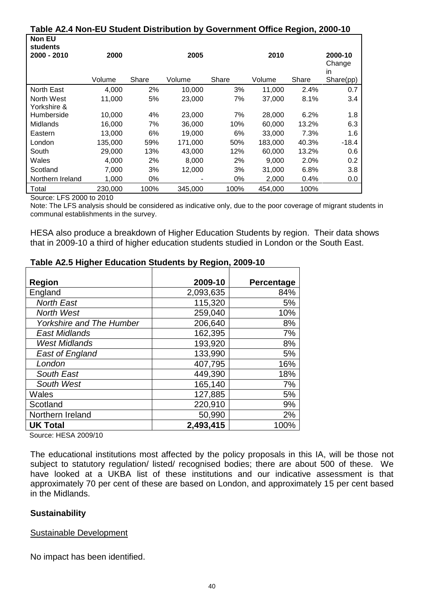## **Table A2.4 Non-EU Student Distribution by Government Office Region, 2000-10**

| <b>Non EU</b><br><b>students</b> |         |       |         |       |         |       |                         |
|----------------------------------|---------|-------|---------|-------|---------|-------|-------------------------|
| 2000 - 2010                      | 2000    |       | 2005    |       | 2010    |       | 2000-10<br>Change<br>in |
|                                  | Volume  | Share | Volume  | Share | Volume  | Share | Share(pp)               |
| North East                       | 4,000   | 2%    | 10,000  | 3%    | 11,000  | 2.4%  | 0.7                     |
| North West                       | 11,000  | 5%    | 23,000  | 7%    | 37,000  | 8.1%  | 3.4                     |
| Yorkshire &                      |         |       |         |       |         |       |                         |
| Humberside                       | 10,000  | 4%    | 23,000  | 7%    | 28,000  | 6.2%  | 1.8                     |
| Midlands                         | 16,000  | 7%    | 36,000  | 10%   | 60,000  | 13.2% | 6.3                     |
| Eastern                          | 13,000  | 6%    | 19.000  | 6%    | 33.000  | 7.3%  | 1.6                     |
| London                           | 135,000 | 59%   | 171,000 | 50%   | 183,000 | 40.3% | $-18.4$                 |
| South                            | 29,000  | 13%   | 43,000  | 12%   | 60,000  | 13.2% | 0.6                     |
| Wales                            | 4,000   | 2%    | 8,000   | 2%    | 9,000   | 2.0%  | 0.2                     |
| Scotland                         | 7,000   | 3%    | 12,000  | 3%    | 31,000  | 6.8%  | 3.8                     |
| Northern Ireland                 | 1,000   | 0%    |         | 0%    | 2,000   | 0.4%  | 0.0                     |
| Total                            | 230,000 | 100%  | 345.000 | 100%  | 454,000 | 100%  |                         |

Source: LFS 2000 to 2010

Note: The LFS analysis should be considered as indicative only, due to the poor coverage of migrant students in communal establishments in the survey.

HESA also produce a breakdown of Higher Education Students by region. Their data shows that in 2009-10 a third of higher education students studied in London or the South East.

|                                 | 2009-10   |            |
|---------------------------------|-----------|------------|
| <b>Region</b>                   |           | Percentage |
| England                         | 2,093,635 | 84%        |
| <b>North East</b>               | 115,320   | 5%         |
| <b>North West</b>               | 259,040   | 10%        |
| <b>Yorkshire and The Humber</b> | 206,640   | 8%         |
| <b>East Midlands</b>            | 162,395   | 7%         |
| <b>West Midlands</b>            | 193,920   | 8%         |
| <b>East of England</b>          | 133,990   | 5%         |
| London                          | 407,795   | 16%        |
| South East                      | 449,390   | 18%        |
| South West                      | 165,140   | 7%         |
| Wales                           | 127,885   | 5%         |
| Scotland                        | 220,910   | 9%         |
| Northern Ireland                | 50,990    | 2%         |
| <b>UK Total</b>                 | 2,493,415 | 100%       |

## **Table A2.5 Higher Education Students by Region, 2009-10**

Source: HESA 2009/10

The educational institutions most affected by the policy proposals in this IA, will be those not subject to statutory regulation/ listed/ recognised bodies; there are about 500 of these. We have looked at a UKBA list of these institutions and our indicative assessment is that approximately 70 per cent of these are based on London, and approximately 15 per cent based in the Midlands.

## **Sustainability**

Sustainable Development

No impact has been identified.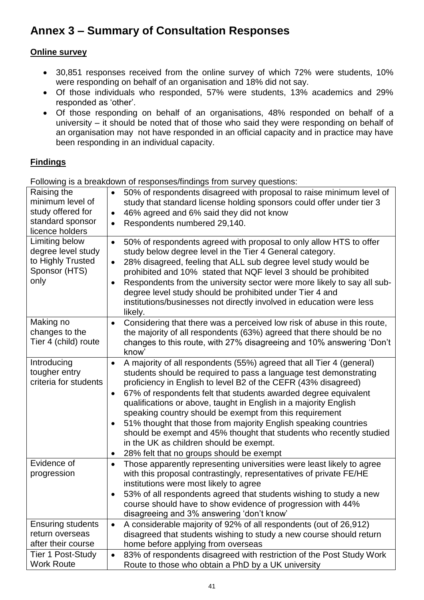# **Annex 3 – Summary of Consultation Responses**

## **Online survey**

- 30,851 responses received from the online survey of which 72% were students, 10% were responding on behalf of an organisation and 18% did not say.
- Of those individuals who responded, 57% were students, 13% academics and 29% responded as 'other'.
- Of those responding on behalf of an organisations, 48% responded on behalf of a university – it should be noted that of those who said they were responding on behalf of an organisation may not have responded in an official capacity and in practice may have been responding in an individual capacity.

# **Findings**

Following is a breakdown of responses/findings from survey questions:

| Raising the<br>minimum level of<br>study offered for<br>standard sponsor<br>licence holders | 50% of respondents disagreed with proposal to raise minimum level of<br>$\bullet$<br>study that standard license holding sponsors could offer under tier 3<br>46% agreed and 6% said they did not know<br>$\bullet$<br>Respondents numbered 29,140.<br>$\bullet$                                                                                                                                                                                                                                                                                                                                                                                                                                   |
|---------------------------------------------------------------------------------------------|----------------------------------------------------------------------------------------------------------------------------------------------------------------------------------------------------------------------------------------------------------------------------------------------------------------------------------------------------------------------------------------------------------------------------------------------------------------------------------------------------------------------------------------------------------------------------------------------------------------------------------------------------------------------------------------------------|
| Limiting below<br>degree level study<br>to Highly Trusted<br>Sponsor (HTS)<br>only          | 50% of respondents agreed with proposal to only allow HTS to offer<br>$\bullet$<br>study below degree level in the Tier 4 General category.<br>28% disagreed, feeling that ALL sub degree level study would be<br>$\bullet$<br>prohibited and 10% stated that NQF level 3 should be prohibited<br>Respondents from the university sector were more likely to say all sub-<br>$\bullet$<br>degree level study should be prohibited under Tier 4 and<br>institutions/businesses not directly involved in education were less<br>likely.                                                                                                                                                              |
| Making no<br>changes to the<br>Tier 4 (child) route                                         | Considering that there was a perceived low risk of abuse in this route,<br>$\bullet$<br>the majority of all respondents (63%) agreed that there should be no<br>changes to this route, with 27% disagreeing and 10% answering 'Don't<br>know'                                                                                                                                                                                                                                                                                                                                                                                                                                                      |
| Introducing<br>tougher entry<br>criteria for students                                       | A majority of all respondents (55%) agreed that all Tier 4 (general)<br>$\bullet$<br>students should be required to pass a language test demonstrating<br>proficiency in English to level B2 of the CEFR (43% disagreed)<br>67% of respondents felt that students awarded degree equivalent<br>$\bullet$<br>qualifications or above, taught in English in a majority English<br>speaking country should be exempt from this requirement<br>51% thought that those from majority English speaking countries<br>$\bullet$<br>should be exempt and 45% thought that students who recently studied<br>in the UK as children should be exempt.<br>28% felt that no groups should be exempt<br>$\bullet$ |
| Evidence of<br>progression                                                                  | Those apparently representing universities were least likely to agree<br>$\bullet$<br>with this proposal contrastingly, representatives of private FE/HE<br>institutions were most likely to agree<br>53% of all respondents agreed that students wishing to study a new<br>$\bullet$<br>course should have to show evidence of progression with 44%<br>disagreeing and 3% answering 'don't know'                                                                                                                                                                                                                                                                                                  |
| <b>Ensuring students</b><br>return overseas<br>after their course                           | A considerable majority of 92% of all respondents (out of 26,912)<br>$\bullet$<br>disagreed that students wishing to study a new course should return<br>home before applying from overseas                                                                                                                                                                                                                                                                                                                                                                                                                                                                                                        |
| Tier 1 Post-Study<br><b>Work Route</b>                                                      | 83% of respondents disagreed with restriction of the Post Study Work<br>$\bullet$<br>Route to those who obtain a PhD by a UK university                                                                                                                                                                                                                                                                                                                                                                                                                                                                                                                                                            |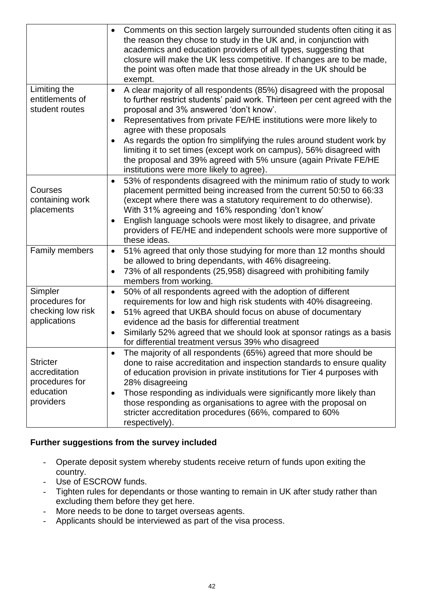|                                                                              | Comments on this section largely surrounded students often citing it as<br>$\bullet$<br>the reason they chose to study in the UK and, in conjunction with<br>academics and education providers of all types, suggesting that<br>closure will make the UK less competitive. If changes are to be made,<br>the point was often made that those already in the UK should be<br>exempt.                                                                                                                                                                                                                        |
|------------------------------------------------------------------------------|------------------------------------------------------------------------------------------------------------------------------------------------------------------------------------------------------------------------------------------------------------------------------------------------------------------------------------------------------------------------------------------------------------------------------------------------------------------------------------------------------------------------------------------------------------------------------------------------------------|
| Limiting the<br>entitlements of<br>student routes                            | A clear majority of all respondents (85%) disagreed with the proposal<br>$\bullet$<br>to further restrict students' paid work. Thirteen per cent agreed with the<br>proposal and 3% answered 'don't know'.<br>Representatives from private FE/HE institutions were more likely to<br>$\bullet$<br>agree with these proposals<br>As regards the option fro simplifying the rules around student work by<br>$\bullet$<br>limiting it to set times (except work on campus), 56% disagreed with<br>the proposal and 39% agreed with 5% unsure (again Private FE/HE<br>institutions were more likely to agree). |
| Courses<br>containing work<br>placements                                     | 53% of respondents disagreed with the minimum ratio of study to work<br>$\bullet$<br>placement permitted being increased from the current 50:50 to 66:33<br>(except where there was a statutory requirement to do otherwise).<br>With 31% agreeing and 16% responding 'don't know'<br>English language schools were most likely to disagree, and private<br>$\bullet$<br>providers of FE/HE and independent schools were more supportive of<br>these ideas.                                                                                                                                                |
| Family members                                                               | 51% agreed that only those studying for more than 12 months should<br>$\bullet$<br>be allowed to bring dependants, with 46% disagreeing.<br>73% of all respondents (25,958) disagreed with prohibiting family<br>$\bullet$<br>members from working.                                                                                                                                                                                                                                                                                                                                                        |
| Simpler<br>procedures for<br>checking low risk<br>applications               | 50% of all respondents agreed with the adoption of different<br>$\bullet$<br>requirements for low and high risk students with 40% disagreeing.<br>51% agreed that UKBA should focus on abuse of documentary<br>$\bullet$<br>evidence ad the basis for differential treatment<br>Similarly 52% agreed that we should look at sponsor ratings as a basis<br>$\bullet$<br>for differential treatment versus 39% who disagreed                                                                                                                                                                                 |
| <b>Stricter</b><br>accreditation<br>procedures for<br>education<br>providers | The majority of all respondents (65%) agreed that more should be<br>$\bullet$<br>done to raise accreditation and inspection standards to ensure quality<br>of education provision in private institutions for Tier 4 purposes with<br>28% disagreeing<br>Those responding as individuals were significantly more likely than<br>$\bullet$<br>those responding as organisations to agree with the proposal on<br>stricter accreditation procedures (66%, compared to 60%<br>respectively).                                                                                                                  |

## **Further suggestions from the survey included**

- Operate deposit system whereby students receive return of funds upon exiting the country.
- Use of ESCROW funds.
- Tighten rules for dependants or those wanting to remain in UK after study rather than excluding them before they get here.
- More needs to be done to target overseas agents.
- Applicants should be interviewed as part of the visa process.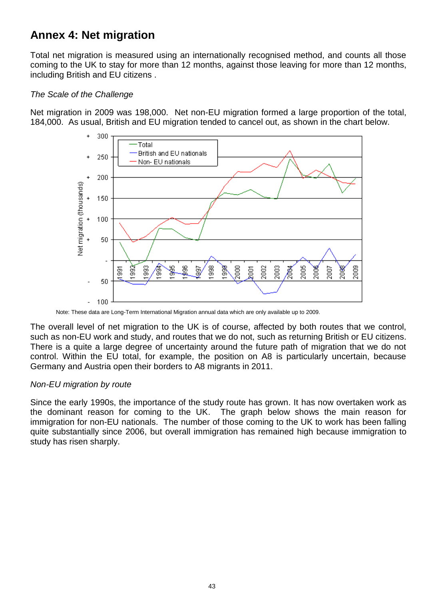# **Annex 4: Net migration**

Total net migration is measured using an internationally recognised method, and counts all those coming to the UK to stay for more than 12 months, against those leaving for more than 12 months, including British and EU citizens .

## *The Scale of the Challenge*

Net migration in 2009 was 198,000. Net non-EU migration formed a large proportion of the total, 184,000. As usual, British and EU migration tended to cancel out, as shown in the chart below.



Note: These data are Long-Term International Migration annual data which are only available up to 2009.

The overall level of net migration to the UK is of course, affected by both routes that we control, such as non-EU work and study, and routes that we do not, such as returning British or EU citizens. There is a quite a large degree of uncertainty around the future path of migration that we do not control. Within the EU total, for example, the position on A8 is particularly uncertain, because Germany and Austria open their borders to A8 migrants in 2011.

## *Non-EU migration by route*

Since the early 1990s, the importance of the study route has grown. It has now overtaken work as the dominant reason for coming to the UK. The graph below shows the main reason for immigration for non-EU nationals. The number of those coming to the UK to work has been falling quite substantially since 2006, but overall immigration has remained high because immigration to study has risen sharply.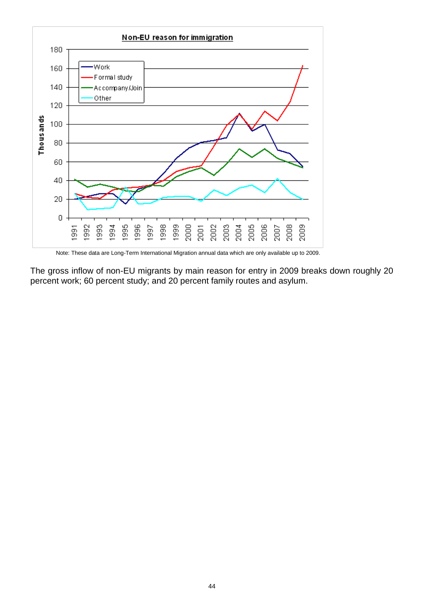

Note: These data are Long-Term International Migration annual data which are only available up to 2009.

The gross inflow of non-EU migrants by main reason for entry in 2009 breaks down roughly 20 percent work; 60 percent study; and 20 percent family routes and asylum.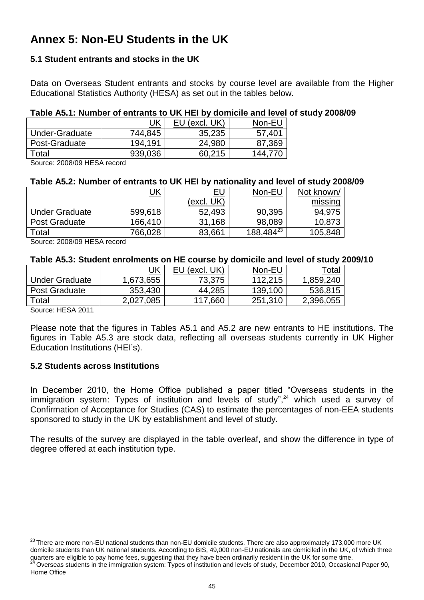# **Annex 5: Non-EU Students in the UK**

# **5.1 Student entrants and stocks in the UK**

Data on Overseas Student entrants and stocks by course level are available from the Higher Educational Statistics Authority (HESA) as set out in the tables below.

## **Table A5.1: Number of entrants to UK HEI by domicile and level of study 2008/09**

|                | <u>UK</u> | (excl. UK) | Non-EU |
|----------------|-----------|------------|--------|
| Under-Graduate | 744,845   | 35,235     | 57,401 |
| Post-Graduate  | 194.191   | 24,980     | 87,369 |
| Total          | 939,036   | 60.215     | 144.7  |

Source: 2008/09 HESA record

## **Table A5.2: Number of entrants to UK HEI by nationality and level of study 2008/09**

|                       | <u>JK</u> | <u>EU</u>  | Non-EU    | Not known/ |
|-----------------------|-----------|------------|-----------|------------|
|                       |           | (excl. UK) |           | missing    |
| <b>Under Graduate</b> | 599,618   | 52,493     | 90,395    | 94,975     |
| <b>Post Graduate</b>  | 166,410   | 31,168     | 98,089    | 10,873     |
| Total                 | 766,028   | 83,661     | 188,48423 | 105,848    |

Source: 2008/09 HESA record

### **Table A5.3: Student enrolments on HE course by domicile and level of study 2009/10**

|                               | <u>UK</u> | EU (excl. UK) | Non-EU  | ™ota.     |
|-------------------------------|-----------|---------------|---------|-----------|
| <b>Under Graduate</b>         | 1,673,655 | 73,375        | 112.215 | 1,859,240 |
| <b>Post Graduate</b>          | 353,430   | 44,285        | 139,100 | 536,815   |
| $\tau$ otal                   | 2,027,085 | 117,660       | 251,310 | 2,396,055 |
| $1.1 - 0.1 - 0.011$<br>$\sim$ |           |               |         |           |

Source: HESA 2011

l

Please note that the figures in Tables A5.1 and A5.2 are new entrants to HE institutions. The figures in Table A5.3 are stock data, reflecting all overseas students currently in UK Higher Education Institutions (HEI"s).

## **5.2 Students across Institutions**

In December 2010, the Home Office published a paper titled "Overseas students in the immigration system: Types of institution and levels of study",<sup>24</sup> which used a survey of Confirmation of Acceptance for Studies (CAS) to estimate the percentages of non-EEA students sponsored to study in the UK by establishment and level of study.

The results of the survey are displayed in the table overleaf, and show the difference in type of degree offered at each institution type.

 $^{23}$ There are more non-EU national students than non-EU domicile students. There are also approximately 173,000 more UK domicile students than UK national students. According to BIS, 49,000 non-EU nationals are domiciled in the UK, of which three quarters are eligible to pay home fees, suggesting that they have been ordinarily resident in the UK for some time. <sup>24</sup> Overseas students in the immigration system: Types of institution and levels of study, December 2010, Occasional Paper 90, Home Office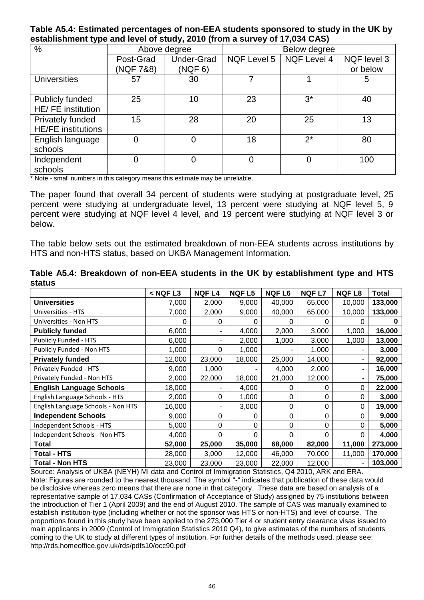### **Table A5.4: Estimated percentages of non-EEA students sponsored to study in the UK by establishment type and level of study, 2010 (from a survey of 17,034 CAS)**

|                           | . .       |                   |              |                    |             |  |  |  |
|---------------------------|-----------|-------------------|--------------|--------------------|-------------|--|--|--|
| $\%$                      |           | Above degree      | Below degree |                    |             |  |  |  |
|                           | Post-Grad | <b>Under-Grad</b> | NQF Level 5  | <b>NQF Level 4</b> | NQF level 3 |  |  |  |
|                           | (NQF 7&8) | (NGF 6)           |              |                    | or below    |  |  |  |
| <b>Universities</b>       | 57        | 30                |              |                    | 5           |  |  |  |
|                           |           |                   |              |                    |             |  |  |  |
| Publicly funded           | 25        | 10                | 23           | $3^*$              | 40          |  |  |  |
| HE/ FE institution        |           |                   |              |                    |             |  |  |  |
| Privately funded          | 15        | 28                | 20           | 25                 | 13          |  |  |  |
| <b>HE/FE</b> institutions |           |                   |              |                    |             |  |  |  |
| English language          |           |                   | 18           | $2^*$              | 80          |  |  |  |
| schools                   |           |                   |              |                    |             |  |  |  |
| Independent               |           |                   |              |                    | 100         |  |  |  |
| schools                   |           |                   |              |                    |             |  |  |  |

\* Note - small numbers in this category means this estimate may be unreliable.

The paper found that overall 34 percent of students were studying at postgraduate level, 25 percent were studying at undergraduate level, 13 percent were studying at NQF level 5, 9 percent were studying at NQF level 4 level, and 19 percent were studying at NQF level 3 or below.

The table below sets out the estimated breakdown of non-EEA students across institutions by HTS and non-HTS status, based on UKBA Management Information.

|                                    | $<$ NQF L3 | <b>NQFL4</b>   | <b>NQFL5</b> | <b>NQFL6</b> | <b>NQFL7</b> | <b>NQFL8</b> | <b>Total</b> |
|------------------------------------|------------|----------------|--------------|--------------|--------------|--------------|--------------|
| <b>Universities</b>                | 7,000      | 2,000          | 9,000        | 40,000       | 65,000       | 10,000       | 133,000      |
| Universities - HTS                 | 7,000      | 2,000          | 9,000        | 40,000       | 65,000       | 10,000       | 133,000      |
| Universities - Non HTS             | 0          | 0              | O            | 0            | 0            |              |              |
| <b>Publicly funded</b>             | 6,000      | $\blacksquare$ | 4,000        | 2,000        | 3,000        | 1,000        | 16,000       |
| Publicly Funded - HTS              | 6,000      | -              | 2,000        | 1,000        | 3,000        | 1,000        | 13,000       |
| Publicly Funded - Non HTS          | 1,000      | 0              | 1,000        |              | 1,000        |              | 3,000        |
| <b>Privately funded</b>            | 12,000     | 23,000         | 18,000       | 25,000       | 14,000       |              | 92,000       |
| Privately Funded - HTS             | 9,000      | 1,000          |              | 4,000        | 2,000        |              | 16,000       |
| Privately Funded - Non HTS         | 2,000      | 22,000         | 18,000       | 21,000       | 12,000       |              | 75,000       |
| <b>English Language Schools</b>    | 18,000     | ٠              | 4,000        | 0            | 0            | 0            | 22,000       |
| English Language Schools - HTS     | 2,000      | 0              | 1,000        | 0            | 0            | 0            | 3,000        |
| English Language Schools - Non HTS | 16,000     | ۰              | 3,000        | 0            | 0            | 0            | 19,000       |
| <b>Independent Schools</b>         | 9,000      | 0              | 0            | 0            | 0            | 0            | 9,000        |
| Independent Schools - HTS          | 5,000      | 0              | 0            | 0            | 0            | 0            | 5,000        |
| Independent Schools - Non HTS      | 4,000      | 0              | 0            | 0            | 0            | ∩            | 4,000        |
| <b>Total</b>                       | 52,000     | 25,000         | 35,000       | 68,000       | 82,000       | 11,000       | 273,000      |
| <b>Total - HTS</b>                 | 28,000     | 3,000          | 12,000       | 46,000       | 70,000       | 11,000       | 170,000      |
| <b>Total - Non HTS</b>             | 23,000     | 23,000         | 23,000       | 22,000       | 12,000       |              | 103,000      |

**Table A5.4: Breakdown of non-EEA students in the UK by establishment type and HTS status**

Source: Analysis of UKBA (NEYH) MI data and Control of Immigration Statistics, Q4 2010, ARK and ERA. Note: Figures are rounded to the nearest thousand. The symbol "-" indicates that publication of these data would be disclosive whereas zero means that there are none in that category. These data are based on analysis of a representative sample of 17,034 CASs (Confirmation of Acceptance of Study) assigned by 75 institutions between the introduction of Tier 1 (April 2009) and the end of August 2010. The sample of CAS was manually examined to establish institution-type (including whether or not the sponsor was HTS or non-HTS) and level of course. The proportions found in this study have been applied to the 273,000 Tier 4 or student entry clearance visas issued to main applicants in 2009 (Control of Immigration Statistics 2010 Q4), to give estimates of the numbers of students coming to the UK to study at different types of institution. For further details of the methods used, please see: <http://rds.homeoffice.gov.uk/rds/pdfs10/occ90.pdf>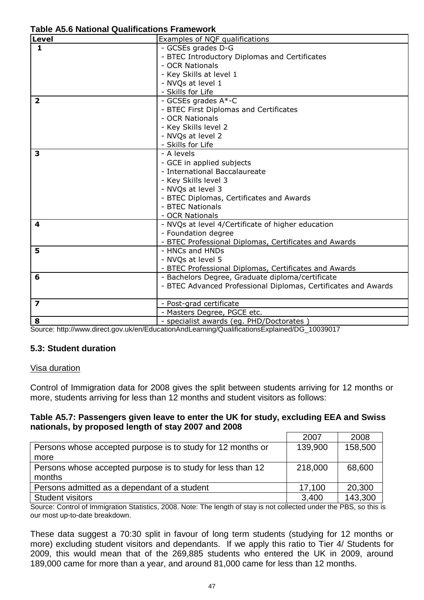| Level                   | Examples of NQF qualifications                                 |
|-------------------------|----------------------------------------------------------------|
| $\mathbf{1}$            | - GCSEs grades D-G                                             |
|                         | - BTEC Introductory Diplomas and Certificates                  |
|                         | - OCR Nationals                                                |
|                         | - Key Skills at level 1                                        |
|                         | - NVQs at level 1                                              |
|                         | - Skills for Life                                              |
| $\overline{2}$          | - GCSEs grades A*-C                                            |
|                         | - BTEC First Diplomas and Certificates                         |
|                         | - OCR Nationals                                                |
|                         | - Key Skills level 2                                           |
|                         | - NVQs at level 2                                              |
|                         | - Skills for Life                                              |
| 3                       | - A levels                                                     |
|                         | - GCE in applied subjects                                      |
|                         | - International Baccalaureate                                  |
|                         | - Key Skills level 3                                           |
|                         | - NVQs at level 3                                              |
|                         | - BTEC Diplomas, Certificates and Awards                       |
|                         | - BTEC Nationals                                               |
|                         | - OCR Nationals                                                |
| 4                       | - NVQs at level 4/Certificate of higher education              |
|                         | - Foundation degree                                            |
|                         | - BTEC Professional Diplomas, Certificates and Awards          |
| 5                       | - HNCs and HNDs                                                |
|                         | - NVQs at level 5                                              |
|                         | - BTEC Professional Diplomas, Certificates and Awards          |
| 6                       | - Bachelors Degree, Graduate diploma/certificate               |
|                         | - BTEC Advanced Professional Diplomas, Certificates and Awards |
| $\overline{\mathbf{z}}$ | - Post-grad certificate                                        |
|                         | - Masters Degree, PGCE etc.                                    |
| 8                       | - specialist awards (eg. PHD/Doctorates)                       |

Source: [http://www.direct.gov.uk/en/EducationAndLearning/QualificationsExplained/DG\\_10039017](http://www.direct.gov.uk/en/EducationAndLearning/QualificationsExplained/DG_10039017)

## **5.3: Student duration**

## Visa duration

Control of Immigration data for 2008 gives the split between students arriving for 12 months or more, students arriving for less than 12 months and student visitors as follows:

## **Table A5.7: Passengers given leave to enter the UK for study, excluding EEA and Swiss nationals, by proposed length of stay 2007 and 2008**

|                                                             | 2007    | 2008    |
|-------------------------------------------------------------|---------|---------|
| Persons whose accepted purpose is to study for 12 months or | 139,900 | 158,500 |
| more                                                        |         |         |
| Persons whose accepted purpose is to study for less than 12 | 218,000 | 68,600  |
| months                                                      |         |         |
| Persons admitted as a dependant of a student                | 17,100  | 20,300  |
| <b>Student visitors</b>                                     | 3,400   | 143,300 |

Source: Control of Immigration Statistics, 2008. Note: The length of stay is not collected under the PBS, so this is our most up-to-date breakdown.

These data suggest a 70:30 split in favour of long term students (studying for 12 months or more) excluding student visitors and dependants. If we apply this ratio to Tier 4/ Students for 2009, this would mean that of the 269,885 students who entered the UK in 2009, around 189,000 came for more than a year, and around 81,000 came for less than 12 months.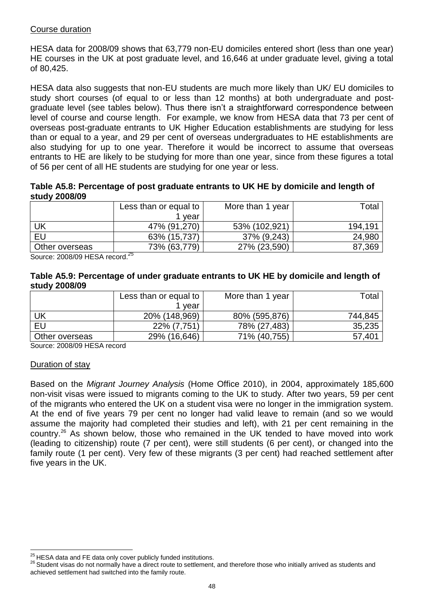## Course duration

HESA data for 2008/09 shows that 63,779 non-EU domiciles entered short (less than one year) HE courses in the UK at post graduate level, and 16,646 at under graduate level, giving a total of 80,425.

HESA data also suggests that non-EU students are much more likely than UK/ EU domiciles to study short courses (of equal to or less than 12 months) at both undergraduate and postgraduate level (see tables below). Thus there isn"t a straightforward correspondence between level of course and course length. For example, we know from HESA data that 73 per cent of overseas post-graduate entrants to UK Higher Education establishments are studying for less than or equal to a year, and 29 per cent of overseas undergraduates to HE establishments are also studying for up to one year. Therefore it would be incorrect to assume that overseas entrants to HE are likely to be studying for more than one year, since from these figures a total of 56 per cent of all HE students are studying for one year or less.

**Table A5.8: Percentage of post graduate entrants to UK HE by domicile and length of study 2008/09**

|                | Less than or equal to | More than 1 year | Total   |
|----------------|-----------------------|------------------|---------|
|                | vear                  |                  |         |
| UK             | 47% (91,270)          | 53% (102,921)    | 194,191 |
| EU             | 63% (15,737)          | 37% (9,243)      | 24,980  |
| Other overseas | 73% (63,779)<br>$-$   | 27% (23,590)     | 87,369  |

Source: 2008/09 HESA record. *25*

#### **Table A5.9: Percentage of under graduate entrants to UK HE by domicile and length of study 2008/09**

|                | Less than or equal to | More than 1 year | Total   |
|----------------|-----------------------|------------------|---------|
|                | vear                  |                  |         |
| UK             | 20% (148,969)         | 80% (595,876)    | 744,845 |
| EU             | 22% (7,751)           | 78% (27,483)     | 35,235  |
| Other overseas | 29% (16,646)          | 71% (40,755)     | 57,401  |

Source: 2008/09 HESA record

## Duration of stay

l

Based on the *Migrant Journey Analysis* (Home Office 2010), in 2004, approximately 185,600 non-visit visas were issued to migrants coming to the UK to study. After two years, 59 per cent of the migrants who entered the UK on a student visa were no longer in the immigration system. At the end of five years 79 per cent no longer had valid leave to remain (and so we would assume the majority had completed their studies and left), with 21 per cent remaining in the country.<sup>26</sup> As shown below, those who remained in the UK tended to have moved into work (leading to citizenship) route (7 per cent), were still students (6 per cent), or changed into the family route (1 per cent). Very few of these migrants (3 per cent) had reached settlement after five years in the UK.

 $^{25}$ HESA data and FE data only cover publicly funded institutions.

<sup>&</sup>lt;sup>26</sup> Student visas do not normally have a direct route to settlement, and therefore those who initially arrived as students and achieved settlement had switched into the family route.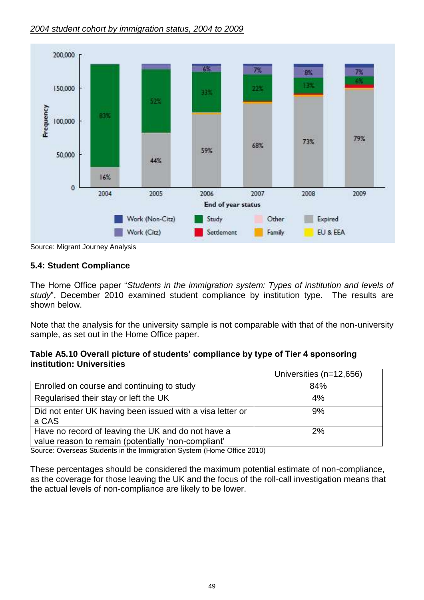## *2004 student cohort by immigration status, 2004 to 2009*



Source: Migrant Journey Analysis

## **5.4: Student Compliance**

The Home Office paper "*Students in the immigration system: Types of institution and levels of study*", December 2010 examined student compliance by institution type. The results are shown below.

Note that the analysis for the university sample is not comparable with that of the non-university sample, as set out in the Home Office paper.

## **Table A5.10 Overall picture of students" compliance by type of Tier 4 sponsoring institution: Universities**

|                                                                                                           | Universities (n=12,656) |
|-----------------------------------------------------------------------------------------------------------|-------------------------|
| Enrolled on course and continuing to study                                                                | 84%                     |
| Regularised their stay or left the UK                                                                     | 4%                      |
| Did not enter UK having been issued with a visa letter or<br>a CAS                                        | 9%                      |
| Have no record of leaving the UK and do not have a<br>value reason to remain (potentially 'non-compliant' | 2%                      |

Source: Overseas Students in the Immigration System (Home Office 2010)

These percentages should be considered the maximum potential estimate of non-compliance, as the coverage for those leaving the UK and the focus of the roll-call investigation means that the actual levels of non-compliance are likely to be lower.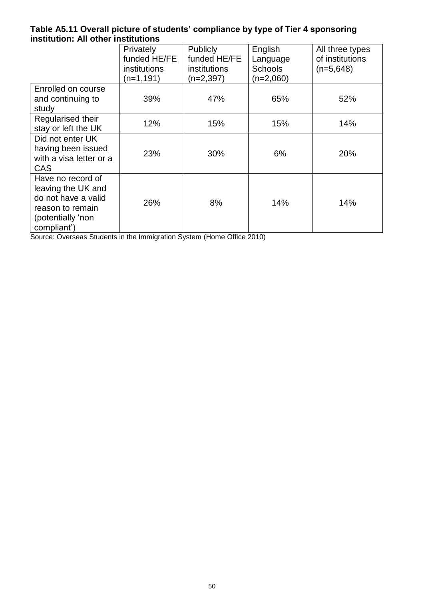## **Table A5.11 Overall picture of students" compliance by type of Tier 4 sponsoring institution: All other institutions**

|                         | Privately    | <b>Publicly</b> | English        | All three types |
|-------------------------|--------------|-----------------|----------------|-----------------|
|                         | funded HE/FE | funded HE/FE    | Language       | of institutions |
|                         | institutions | institutions    | <b>Schools</b> | $(n=5,648)$     |
|                         | (n=1,191)    | $(n=2,397)$     | $(n=2,060)$    |                 |
| Enrolled on course      |              |                 |                |                 |
| and continuing to       | 39%          | 47%             | 65%            | 52%             |
| study                   |              |                 |                |                 |
| Regularised their       | 12%          | 15%             | 15%            | 14%             |
| stay or left the UK     |              |                 |                |                 |
| Did not enter UK        |              |                 |                |                 |
| having been issued      | 23%          | 30%             | 6%             | 20%             |
| with a visa letter or a |              |                 |                |                 |
| <b>CAS</b>              |              |                 |                |                 |
| Have no record of       |              |                 |                |                 |
| leaving the UK and      |              |                 |                |                 |
| do not have a valid     |              |                 |                |                 |
| reason to remain        | 26%          | 8%              | 14%            | 14%             |
| (potentially 'non       |              |                 |                |                 |
| compliant')             |              |                 |                |                 |

Source: Overseas Students in the Immigration System (Home Office 2010)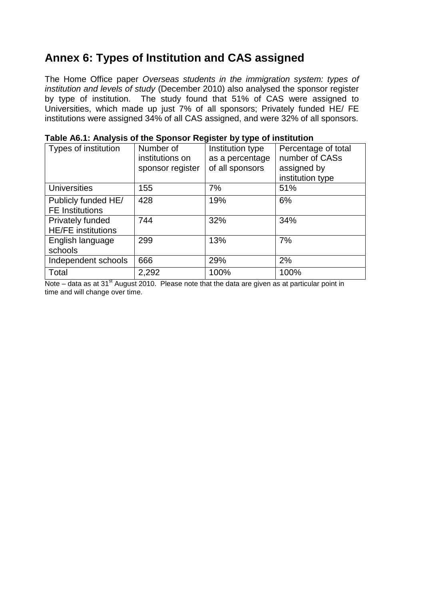# **Annex 6: Types of Institution and CAS assigned**

The Home Office paper *Overseas students in the immigration system: types of institution and levels of study* (December 2010) also analysed the sponsor register by type of institution. The study found that 51% of CAS were assigned to Universities, which made up just 7% of all sponsors; Privately funded HE/ FE institutions were assigned 34% of all CAS assigned, and were 32% of all sponsors.

| Types of institution                          | Number of<br>institutions on<br>sponsor register | . <i>.</i><br>Institution type<br>as a percentage<br>of all sponsors | Percentage of total<br>number of CASs<br>assigned by<br>institution type |
|-----------------------------------------------|--------------------------------------------------|----------------------------------------------------------------------|--------------------------------------------------------------------------|
| <b>Universities</b>                           | 155                                              | 7%                                                                   | 51%                                                                      |
| Publicly funded HE/<br><b>FE</b> Institutions | 428                                              | 19%                                                                  | 6%                                                                       |
| Privately funded<br><b>HE/FE</b> institutions | 744                                              | 32%                                                                  | 34%                                                                      |
| English language<br>schools                   | 299                                              | 13%                                                                  | 7%                                                                       |
| Independent schools                           | 666                                              | 29%                                                                  | 2%                                                                       |
| Total<br>$\overline{a}$                       | 2,292                                            | 100%                                                                 | 100%                                                                     |

| Table A6.1: Analysis of the Sponsor Register by type of institution |  |
|---------------------------------------------------------------------|--|
|---------------------------------------------------------------------|--|

Note – data as at  $31<sup>st</sup>$  August 2010. Please note that the data are given as at particular point in time and will change over time.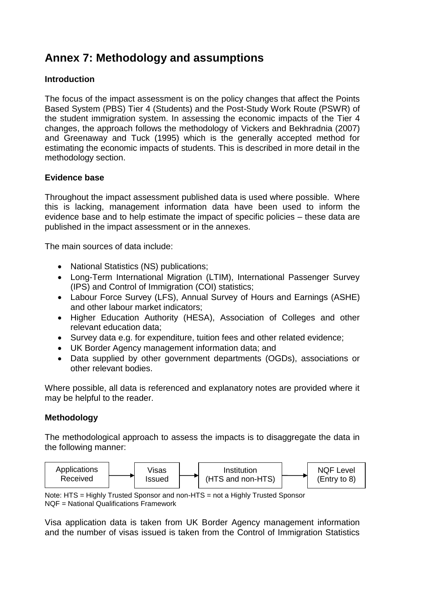# **Annex 7: Methodology and assumptions**

## **Introduction**

The focus of the impact assessment is on the policy changes that affect the Points Based System (PBS) Tier 4 (Students) and the Post-Study Work Route (PSWR) of the student immigration system. In assessing the economic impacts of the Tier 4 changes, the approach follows the methodology of Vickers and Bekhradnia (2007) and Greenaway and Tuck (1995) which is the generally accepted method for estimating the economic impacts of students. This is described in more detail in the methodology section.

## **Evidence base**

Throughout the impact assessment published data is used where possible. Where this is lacking, management information data have been used to inform the evidence base and to help estimate the impact of specific policies – these data are published in the impact assessment or in the annexes.

The main sources of data include:

- National Statistics (NS) publications;
- Long-Term International Migration (LTIM), International Passenger Survey (IPS) and Control of Immigration (COI) statistics;
- Labour Force Survey (LFS), Annual Survey of Hours and Earnings (ASHE) and other labour market indicators;
- Higher Education Authority (HESA), Association of Colleges and other relevant education data;
- Survey data e.g. for expenditure, tuition fees and other related evidence;
- UK Border Agency management information data; and
- Data supplied by other government departments (OGDs), associations or other relevant bodies.

Where possible, all data is referenced and explanatory notes are provided where it may be helpful to the reader.

## **Methodology**

The methodological approach to assess the impacts is to disaggregate the data in the following manner:



Note: HTS = Highly Trusted Sponsor and non-HTS = not a Highly Trusted Sponsor NQF = National Qualifications Framework

Visa application data is taken from UK Border Agency management information and the number of visas issued is taken from the Control of Immigration Statistics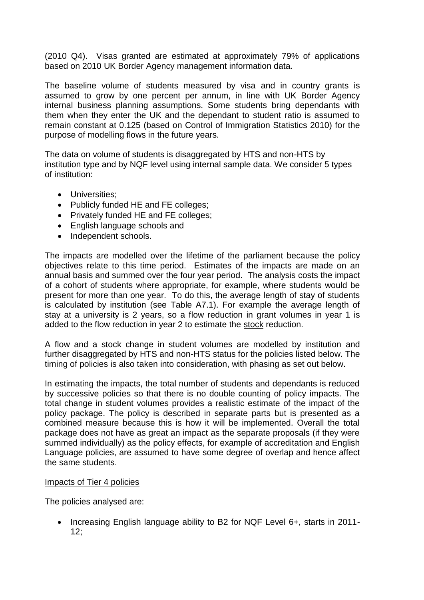(2010 Q4). Visas granted are estimated at approximately 79% of applications based on 2010 UK Border Agency management information data.

The baseline volume of students measured by visa and in country grants is assumed to grow by one percent per annum, in line with UK Border Agency internal business planning assumptions. Some students bring dependants with them when they enter the UK and the dependant to student ratio is assumed to remain constant at 0.125 (based on Control of Immigration Statistics 2010) for the purpose of modelling flows in the future years.

The data on volume of students is disaggregated by HTS and non-HTS by institution type and by NQF level using internal sample data. We consider 5 types of institution:

- Universities:
- Publicly funded HE and FE colleges;
- Privately funded HE and FE colleges;
- English language schools and
- Independent schools.

The impacts are modelled over the lifetime of the parliament because the policy objectives relate to this time period. Estimates of the impacts are made on an annual basis and summed over the four year period. The analysis costs the impact of a cohort of students where appropriate, for example, where students would be present for more than one year. To do this, the average length of stay of students is calculated by institution (see Table A7.1). For example the average length of stay at a university is 2 years, so a flow reduction in grant volumes in year 1 is added to the flow reduction in year 2 to estimate the stock reduction.

A flow and a stock change in student volumes are modelled by institution and further disaggregated by HTS and non-HTS status for the policies listed below. The timing of policies is also taken into consideration, with phasing as set out below.

In estimating the impacts, the total number of students and dependants is reduced by successive policies so that there is no double counting of policy impacts. The total change in student volumes provides a realistic estimate of the impact of the policy package. The policy is described in separate parts but is presented as a combined measure because this is how it will be implemented. Overall the total package does not have as great an impact as the separate proposals (if they were summed individually) as the policy effects, for example of accreditation and English Language policies, are assumed to have some degree of overlap and hence affect the same students.

#### Impacts of Tier 4 policies

The policies analysed are:

• Increasing English language ability to B2 for NQF Level 6+, starts in 2011-12;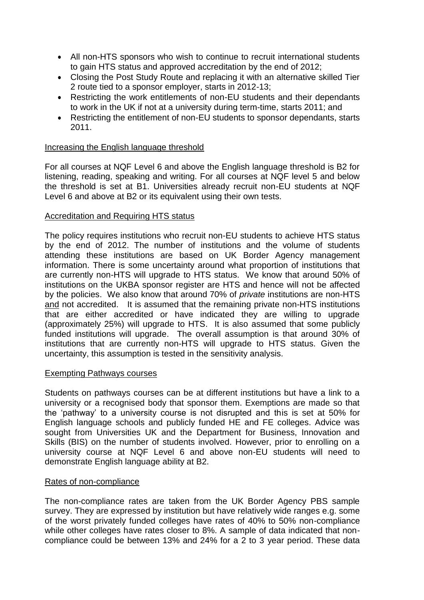- All non-HTS sponsors who wish to continue to recruit international students to gain HTS status and approved accreditation by the end of 2012;
- Closing the Post Study Route and replacing it with an alternative skilled Tier 2 route tied to a sponsor employer, starts in 2012-13;
- Restricting the work entitlements of non-EU students and their dependants to work in the UK if not at a university during term-time, starts 2011; and
- Restricting the entitlement of non-EU students to sponsor dependants, starts 2011.

## Increasing the English language threshold

For all courses at NQF Level 6 and above the English language threshold is B2 for listening, reading, speaking and writing. For all courses at NQF level 5 and below the threshold is set at B1. Universities already recruit non-EU students at NQF Level 6 and above at B2 or its equivalent using their own tests.

## Accreditation and Requiring HTS status

The policy requires institutions who recruit non-EU students to achieve HTS status by the end of 2012. The number of institutions and the volume of students attending these institutions are based on UK Border Agency management information. There is some uncertainty around what proportion of institutions that are currently non-HTS will upgrade to HTS status. We know that around 50% of institutions on the UKBA sponsor register are HTS and hence will not be affected by the policies. We also know that around 70% of *private* institutions are non-HTS and not accredited. It is assumed that the remaining private non-HTS institutions that are either accredited or have indicated they are willing to upgrade (approximately 25%) will upgrade to HTS. It is also assumed that some publicly funded institutions will upgrade. The overall assumption is that around 30% of institutions that are currently non-HTS will upgrade to HTS status. Given the uncertainty, this assumption is tested in the sensitivity analysis.

## Exempting Pathways courses

Students on pathways courses can be at different institutions but have a link to a university or a recognised body that sponsor them. Exemptions are made so that the "pathway" to a university course is not disrupted and this is set at 50% for English language schools and publicly funded HE and FE colleges. Advice was sought from Universities UK and the Department for Business, Innovation and Skills (BIS) on the number of students involved. However, prior to enrolling on a university course at NQF Level 6 and above non-EU students will need to demonstrate English language ability at B2.

#### Rates of non-compliance

The non-compliance rates are taken from the UK Border Agency PBS sample survey. They are expressed by institution but have relatively wide ranges e.g. some of the worst privately funded colleges have rates of 40% to 50% non-compliance while other colleges have rates closer to 8%. A sample of data indicated that noncompliance could be between 13% and 24% for a 2 to 3 year period. These data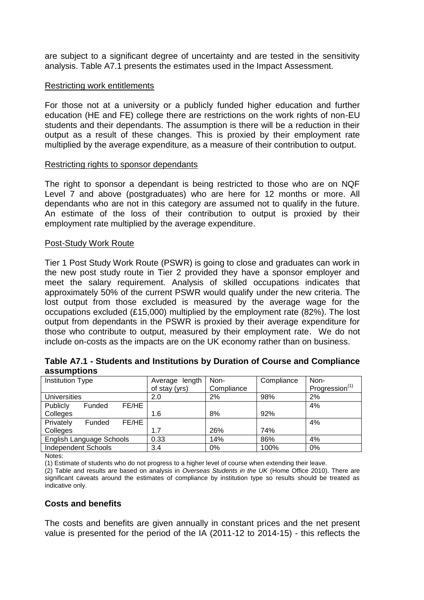are subject to a significant degree of uncertainty and are tested in the sensitivity analysis. Table A7.1 presents the estimates used in the Impact Assessment.

### Restricting work entitlements

For those not at a university or a publicly funded higher education and further education (HE and FE) college there are restrictions on the work rights of non-EU students and their dependants. The assumption is there will be a reduction in their output as a result of these changes. This is proxied by their employment rate multiplied by the average expenditure, as a measure of their contribution to output.

### Restricting rights to sponsor dependants

The right to sponsor a dependant is being restricted to those who are on NQF Level 7 and above (postgraduates) who are here for 12 months or more. All dependants who are not in this category are assumed not to qualify in the future. An estimate of the loss of their contribution to output is proxied by their employment rate multiplied by the average expenditure.

### Post-Study Work Route

Tier 1 Post Study Work Route (PSWR) is going to close and graduates can work in the new post study route in Tier 2 provided they have a sponsor employer and meet the salary requirement. Analysis of skilled occupations indicates that approximately 50% of the current PSWR would qualify under the new criteria. The lost output from those excluded is measured by the average wage for the occupations excluded (£15,000) multiplied by the employment rate (82%). The lost output from dependants in the PSWR is proxied by their average expenditure for those who contribute to output, measured by their employment rate. We do not include on-costs as the impacts are on the UK economy rather than on business.

| Table A7.1 - Students and Institutions by Duration of Course and Compliance |  |  |
|-----------------------------------------------------------------------------|--|--|
| assumptions                                                                 |  |  |

| <b>Institution Type</b>      | Average length | Non-       | Compliance | Non-                       |
|------------------------------|----------------|------------|------------|----------------------------|
|                              | of stay (yrs)  | Compliance |            | Progression <sup>(1)</sup> |
| <b>Universities</b>          | 2.0            | 2%         | 98%        | 2%                         |
| FE/HE<br>Publicly<br>Funded  |                |            |            | 4%                         |
| Colleges                     | 1.6            | 8%         | 92%        |                            |
| FE/HE<br>Privately<br>Funded |                |            |            | 4%                         |
| Colleges                     | 1.7            | 26%        | 74%        |                            |
| English Language Schools     | 0.33           | 14%        | 86%        | 4%                         |
| <b>Independent Schools</b>   | 3.4            | $0\%$      | 100%       | $0\%$                      |

Notes:

(1) Estimate of students who do not progress to a higher level of course when extending their leave.

(2) Table and results are based on analysis in *Overseas Students in the UK* (Home Office 2010). There are significant caveats around the estimates of compliance by institution type so results should be treated as indicative only.

## **Costs and benefits**

The costs and benefits are given annually in constant prices and the net present value is presented for the period of the IA (2011-12 to 2014-15) - this reflects the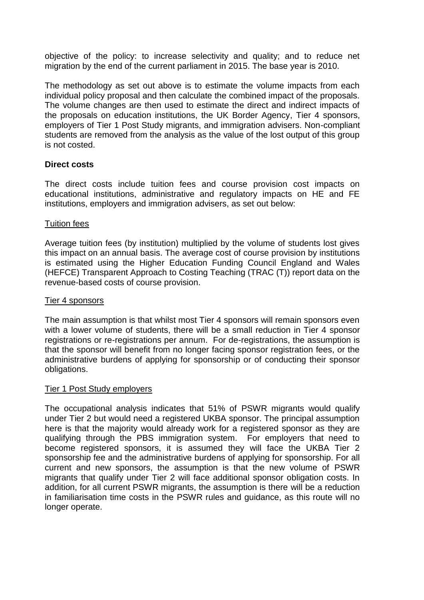objective of the policy: to increase selectivity and quality; and to reduce net migration by the end of the current parliament in 2015. The base year is 2010.

The methodology as set out above is to estimate the volume impacts from each individual policy proposal and then calculate the combined impact of the proposals. The volume changes are then used to estimate the direct and indirect impacts of the proposals on education institutions, the UK Border Agency, Tier 4 sponsors, employers of Tier 1 Post Study migrants, and immigration advisers. Non-compliant students are removed from the analysis as the value of the lost output of this group is not costed.

## **Direct costs**

The direct costs include tuition fees and course provision cost impacts on educational institutions, administrative and regulatory impacts on HE and FE institutions, employers and immigration advisers, as set out below:

### Tuition fees

Average tuition fees (by institution) multiplied by the volume of students lost gives this impact on an annual basis. The average cost of course provision by institutions is estimated using the Higher Education Funding Council England and Wales (HEFCE) Transparent Approach to Costing Teaching (TRAC (T)) report data on the revenue-based costs of course provision.

#### Tier 4 sponsors

The main assumption is that whilst most Tier 4 sponsors will remain sponsors even with a lower volume of students, there will be a small reduction in Tier 4 sponsor registrations or re-registrations per annum. For de-registrations, the assumption is that the sponsor will benefit from no longer facing sponsor registration fees, or the administrative burdens of applying for sponsorship or of conducting their sponsor obligations.

#### Tier 1 Post Study employers

The occupational analysis indicates that 51% of PSWR migrants would qualify under Tier 2 but would need a registered UKBA sponsor. The principal assumption here is that the majority would already work for a registered sponsor as they are qualifying through the PBS immigration system. For employers that need to become registered sponsors, it is assumed they will face the UKBA Tier 2 sponsorship fee and the administrative burdens of applying for sponsorship. For all current and new sponsors, the assumption is that the new volume of PSWR migrants that qualify under Tier 2 will face additional sponsor obligation costs. In addition, for all current PSWR migrants, the assumption is there will be a reduction in familiarisation time costs in the PSWR rules and guidance, as this route will no longer operate.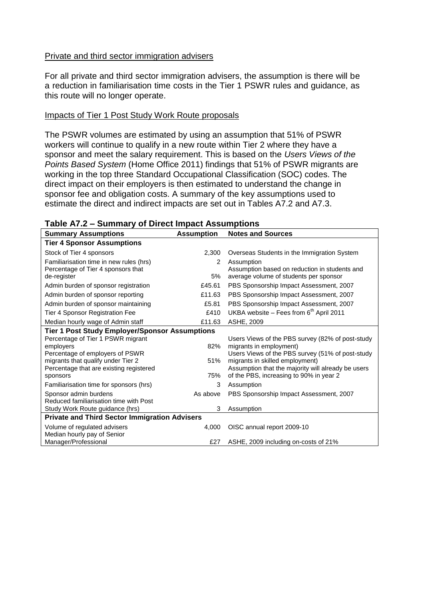### Private and third sector immigration advisers

For all private and third sector immigration advisers, the assumption is there will be a reduction in familiarisation time costs in the Tier 1 PSWR rules and guidance, as this route will no longer operate.

### Impacts of Tier 1 Post Study Work Route proposals

The PSWR volumes are estimated by using an assumption that 51% of PSWR workers will continue to qualify in a new route within Tier 2 where they have a sponsor and meet the salary requirement. This is based on the *Users Views of the Points Based System* (Home Office 2011) findings that 51% of PSWR migrants are working in the top three Standard Occupational Classification (SOC) codes. The direct impact on their employers is then estimated to understand the change in sponsor fee and obligation costs. A summary of the key assumptions used to estimate the direct and indirect impacts are set out in Tables A7.2 and A7.3.

| <b>Summary Assumptions</b>                            | <b>Assumption</b> | <b>Notes and Sources</b>                           |  |
|-------------------------------------------------------|-------------------|----------------------------------------------------|--|
| <b>Tier 4 Sponsor Assumptions</b>                     |                   |                                                    |  |
| Stock of Tier 4 sponsors                              | 2,300             | Overseas Students in the Immigration System        |  |
| Familiarisation time in new rules (hrs)               | 2                 | Assumption                                         |  |
| Percentage of Tier 4 sponsors that                    |                   | Assumption based on reduction in students and      |  |
| de-register                                           | 5%                | average volume of students per sponsor             |  |
| Admin burden of sponsor registration                  | £45.61            | PBS Sponsorship Impact Assessment, 2007            |  |
| Admin burden of sponsor reporting                     | £11.63            | PBS Sponsorship Impact Assessment, 2007            |  |
| Admin burden of sponsor maintaining                   | £5.81             | PBS Sponsorship Impact Assessment, 2007            |  |
| Tier 4 Sponsor Registration Fee                       | £410              | UKBA website – Fees from $6th$ April 2011          |  |
| Median hourly wage of Admin staff                     | £11.63            | ASHE, 2009                                         |  |
| <b>Tier 1 Post Study Employer/Sponsor Assumptions</b> |                   |                                                    |  |
| Percentage of Tier 1 PSWR migrant                     |                   | Users Views of the PBS survey (82% of post-study   |  |
| employers                                             | 82%               | migrants in employment)                            |  |
| Percentage of employers of PSWR                       |                   | Users Views of the PBS survey (51% of post-study   |  |
| migrants that qualify under Tier 2                    | 51%               | migrants in skilled employment)                    |  |
| Percentage that are existing registered               |                   | Assumption that the majority will already be users |  |
| sponsors                                              | 75%               | of the PBS, increasing to 90% in year 2            |  |
| Familiarisation time for sponsors (hrs)               | 3                 | Assumption                                         |  |
| Sponsor admin burdens                                 | As above          | PBS Sponsorship Impact Assessment, 2007            |  |
| Reduced familiarisation time with Post                |                   |                                                    |  |
| Study Work Route guidance (hrs)                       | 3                 | Assumption                                         |  |
| <b>Private and Third Sector Immigration Advisers</b>  |                   |                                                    |  |
| Volume of regulated advisers                          | 4.000             | OISC annual report 2009-10                         |  |
| Median hourly pay of Senior                           |                   |                                                    |  |
| Manager/Professional                                  | £27               | ASHE, 2009 including on-costs of 21%               |  |

#### **Table A7.2 – Summary of Direct Impact Assumptions**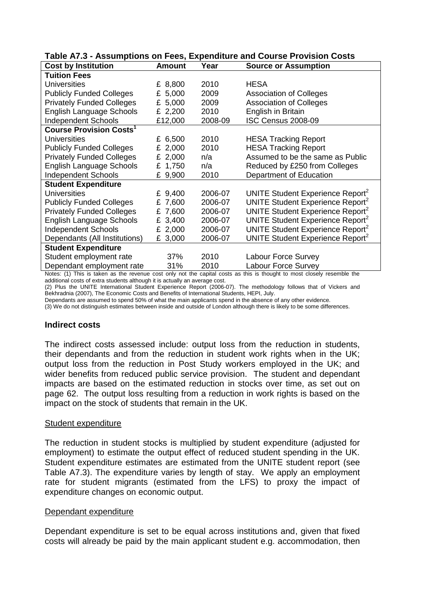| <b>Cost by Institution</b>                | <b>Amount</b> | Year    | <b>Source or Assumption</b>                                                                                                                           |
|-------------------------------------------|---------------|---------|-------------------------------------------------------------------------------------------------------------------------------------------------------|
| <b>Tuition Fees</b>                       |               |         |                                                                                                                                                       |
| <b>Universities</b>                       | £ 8,800       | 2010    | HESA                                                                                                                                                  |
| <b>Publicly Funded Colleges</b>           | £ 5,000       | 2009    | <b>Association of Colleges</b>                                                                                                                        |
| <b>Privately Funded Colleges</b>          | £ 5,000       | 2009    | <b>Association of Colleges</b>                                                                                                                        |
| English Language Schools                  | £ 2,200       | 2010    | English in Britain                                                                                                                                    |
| <b>Independent Schools</b>                | £12,000       | 2008-09 | <b>ISC Census 2008-09</b>                                                                                                                             |
| <b>Course Provision Costs<sup>1</sup></b> |               |         |                                                                                                                                                       |
| <b>Universities</b>                       | £ 6,500       | 2010    | <b>HESA Tracking Report</b>                                                                                                                           |
| <b>Publicly Funded Colleges</b>           | £ 2,000       | 2010    | <b>HESA Tracking Report</b>                                                                                                                           |
| <b>Privately Funded Colleges</b>          | £ $2,000$     | n/a     | Assumed to be the same as Public                                                                                                                      |
| English Language Schools                  | £ 1,750       | n/a     | Reduced by £250 from Colleges                                                                                                                         |
| <b>Independent Schools</b>                | £ 9,900       | 2010    | Department of Education                                                                                                                               |
| <b>Student Expenditure</b>                |               |         |                                                                                                                                                       |
| <b>Universities</b>                       | £ 9,400       | 2006-07 | UNITE Student Experience Report <sup>2</sup>                                                                                                          |
| <b>Publicly Funded Colleges</b>           | £ 7,600       | 2006-07 | UNITE Student Experience Report <sup>2</sup>                                                                                                          |
| <b>Privately Funded Colleges</b>          | £ 7,600       | 2006-07 | UNITE Student Experience Report <sup>2</sup>                                                                                                          |
| English Language Schools                  | £ 3,400       | 2006-07 | UNITE Student Experience Report <sup>2</sup>                                                                                                          |
| <b>Independent Schools</b>                | £ 2,000       | 2006-07 | UNITE Student Experience Report <sup>2</sup>                                                                                                          |
| Dependants (All Institutions)             | £ 3,000       | 2006-07 | UNITE Student Experience Report <sup>2</sup>                                                                                                          |
| <b>Student Expenditure</b>                |               |         |                                                                                                                                                       |
| Student employment rate                   | 37%           | 2010    | Labour Force Survey                                                                                                                                   |
| Dependant employment rate                 | 31%           | 2010    | <b>Labour Force Survey</b><br>Notes: (1) This is taken as the revenue cost only not the capital costs as this is thought to most closely resemble the |

### **Table A7.3 - Assumptions on Fees, Expenditure and Course Provision Costs**

not the capital costs as this is thought to most closely resemble the additional costs of extra students although it is actually an average cost.

(2) Plus the UNITE International Student Experience Report (2006-07). The methodology follows that of Vickers and Bekhradnia (2007), The Economic Costs and Benefits of International Students, HEPI, July.

Dependants are assumed to spend 50% of what the main applicants spend in the absence of any other evidence.

(3) We do not distinguish estimates between inside and outside of London although there is likely to be some differences.

#### **Indirect costs**

The indirect costs assessed include: output loss from the reduction in students, their dependants and from the reduction in student work rights when in the UK; output loss from the reduction in Post Study workers employed in the UK; and wider benefits from reduced public service provision. The student and dependant impacts are based on the estimated reduction in stocks over time, as set out on page 62. The output loss resulting from a reduction in work rights is based on the impact on the stock of students that remain in the UK.

#### Student expenditure

The reduction in student stocks is multiplied by student expenditure (adjusted for employment) to estimate the output effect of reduced student spending in the UK. Student expenditure estimates are estimated from the UNITE student report (see Table A7.3). The expenditure varies by length of stay. We apply an employment rate for student migrants (estimated from the LFS) to proxy the impact of expenditure changes on economic output.

#### Dependant expenditure

Dependant expenditure is set to be equal across institutions and, given that fixed costs will already be paid by the main applicant student e.g. accommodation, then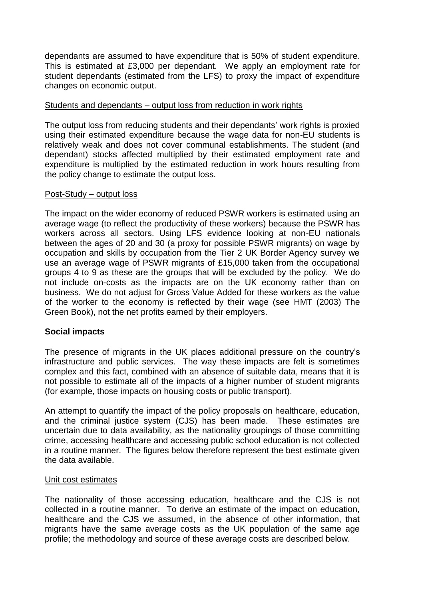dependants are assumed to have expenditure that is 50% of student expenditure. This is estimated at £3,000 per dependant. We apply an employment rate for student dependants (estimated from the LFS) to proxy the impact of expenditure changes on economic output.

### Students and dependants – output loss from reduction in work rights

The output loss from reducing students and their dependants' work rights is proxied using their estimated expenditure because the wage data for non-EU students is relatively weak and does not cover communal establishments. The student (and dependant) stocks affected multiplied by their estimated employment rate and expenditure is multiplied by the estimated reduction in work hours resulting from the policy change to estimate the output loss.

#### Post-Study – output loss

The impact on the wider economy of reduced PSWR workers is estimated using an average wage (to reflect the productivity of these workers) because the PSWR has workers across all sectors. Using LFS evidence looking at non-EU nationals between the ages of 20 and 30 (a proxy for possible PSWR migrants) on wage by occupation and skills by occupation from the Tier 2 UK Border Agency survey we use an average wage of PSWR migrants of £15,000 taken from the occupational groups 4 to 9 as these are the groups that will be excluded by the policy. We do not include on-costs as the impacts are on the UK economy rather than on business. We do not adjust for Gross Value Added for these workers as the value of the worker to the economy is reflected by their wage (see HMT (2003) The Green Book), not the net profits earned by their employers.

## **Social impacts**

The presence of migrants in the UK places additional pressure on the country"s infrastructure and public services. The way these impacts are felt is sometimes complex and this fact, combined with an absence of suitable data, means that it is not possible to estimate all of the impacts of a higher number of student migrants (for example, those impacts on housing costs or public transport).

An attempt to quantify the impact of the policy proposals on healthcare, education, and the criminal justice system (CJS) has been made. These estimates are uncertain due to data availability, as the nationality groupings of those committing crime, accessing healthcare and accessing public school education is not collected in a routine manner. The figures below therefore represent the best estimate given the data available.

#### Unit cost estimates

The nationality of those accessing education, healthcare and the CJS is not collected in a routine manner. To derive an estimate of the impact on education, healthcare and the CJS we assumed, in the absence of other information, that migrants have the same average costs as the UK population of the same age profile; the methodology and source of these average costs are described below.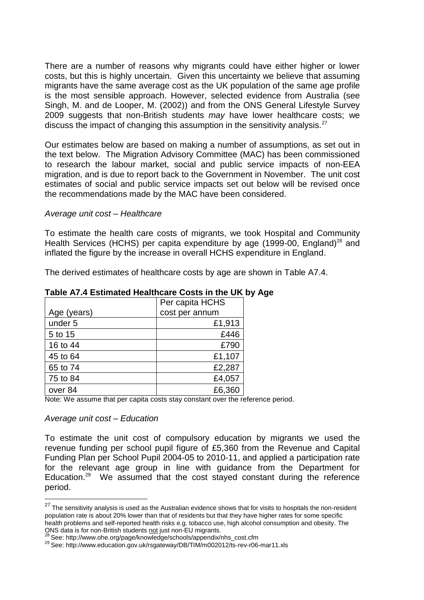There are a number of reasons why migrants could have either higher or lower costs, but this is highly uncertain. Given this uncertainty we believe that assuming migrants have the same average cost as the UK population of the same age profile is the most sensible approach. However, selected evidence from Australia (see Singh, M. and de Looper, M. (2002)) and from the ONS General Lifestyle Survey 2009 suggests that non-British students *may* have lower healthcare costs; we discuss the impact of changing this assumption in the sensitivity analysis. $27$ 

Our estimates below are based on making a number of assumptions, as set out in the text below. The Migration Advisory Committee (MAC) has been commissioned to research the labour market, social and public service impacts of non-EEA migration, and is due to report back to the Government in November. The unit cost estimates of social and public service impacts set out below will be revised once the recommendations made by the MAC have been considered.

#### *Average unit cost – Healthcare*

To estimate the health care costs of migrants, we took Hospital and Community Health Services (HCHS) per capita expenditure by age (1999-00, England)<sup>28</sup> and inflated the figure by the increase in overall HCHS expenditure in England.

The derived estimates of healthcare costs by age are shown in Table A7.4.

|             | Per capita HCHS |  |
|-------------|-----------------|--|
| Age (years) | cost per annum  |  |
| under 5     | £1,913          |  |
| 5 to 15     | £446            |  |
| 16 to 44    | £790            |  |
| 45 to 64    | £1,107          |  |
| 65 to 74    | £2,287          |  |
| 75 to 84    | £4,057          |  |
| over 84     | £6,360          |  |

#### **Table A7.4 Estimated Healthcare Costs in the UK by Age**

Note: We assume that per capita costs stay constant over the reference period.

#### *Average unit cost – Education*

1

To estimate the unit cost of compulsory education by migrants we used the revenue funding per school pupil figure of £5,360 from the Revenue and Capital Funding Plan per School Pupil 2004-05 to 2010-11, and applied a participation rate for the relevant age group in line with guidance from the Department for Education.<sup>29</sup> We assumed that the cost stayed constant during the reference period.

 $27$  The sensitivity analysis is used as the Australian evidence shows that for visits to hospitals the non-resident population rate is about 20% lower than that of residents but that they have higher rates for some specific health problems and self-reported health risks e.g. tobacco use, high alcohol consumption and obesity. The ONS data is for non-British students not just non-EU migrants.

<sup>28</sup> See: http://www.ohe.org/page/knowledge/schools/appendix/nhs\_cost.cfm

<sup>29</sup> See: http://www.education.gov.uk/rsgateway/DB/TIM/m002012/ts-rev-r06-mar11.xls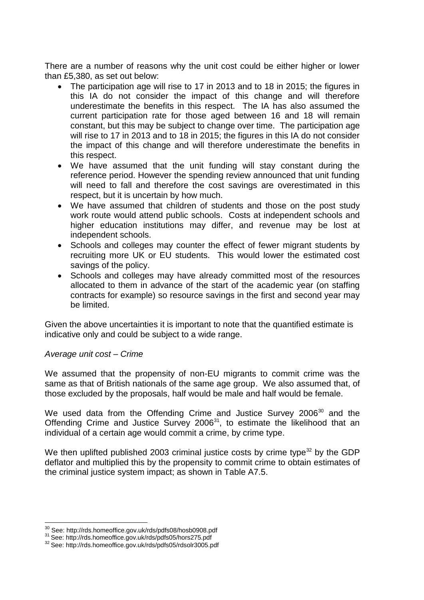There are a number of reasons why the unit cost could be either higher or lower than £5,380, as set out below:

- The participation age will rise to 17 in 2013 and to 18 in 2015; the figures in this IA do not consider the impact of this change and will therefore underestimate the benefits in this respect. The IA has also assumed the current participation rate for those aged between 16 and 18 will remain constant, but this may be subject to change over time. The participation age will rise to 17 in 2013 and to 18 in 2015; the figures in this IA do not consider the impact of this change and will therefore underestimate the benefits in this respect.
- We have assumed that the unit funding will stay constant during the reference period. However the spending review announced that unit funding will need to fall and therefore the cost savings are overestimated in this respect, but it is uncertain by how much.
- We have assumed that children of students and those on the post study work route would attend public schools. Costs at independent schools and higher education institutions may differ, and revenue may be lost at independent schools.
- Schools and colleges may counter the effect of fewer migrant students by recruiting more UK or EU students. This would lower the estimated cost savings of the policy.
- Schools and colleges may have already committed most of the resources allocated to them in advance of the start of the academic year (on staffing contracts for example) so resource savings in the first and second year may be limited.

Given the above uncertainties it is important to note that the quantified estimate is indicative only and could be subject to a wide range.

## *Average unit cost – Crime*

<u>.</u>

We assumed that the propensity of non-EU migrants to commit crime was the same as that of British nationals of the same age group. We also assumed that, of those excluded by the proposals, half would be male and half would be female.

We used data from the Offending Crime and Justice Survey  $2006^{30}$  and the Offending Crime and Justice Survey  $2006^{31}$ , to estimate the likelihood that an individual of a certain age would commit a crime, by crime type.

We then uplifted published 2003 criminal justice costs by crime type<sup>32</sup> by the GDP deflator and multiplied this by the propensity to commit crime to obtain estimates of the criminal justice system impact; as shown in Table A7.5.

<sup>30</sup> See:<http://rds.homeoffice.gov.uk/rds/pdfs08/hosb0908.pdf>

<sup>31</sup> See: http://rds.homeoffice.gov.uk/rds/pdfs05/hors275.pdf

<sup>32</sup> See: http://rds.homeoffice.gov.uk/rds/pdfs05/rdsolr3005.pdf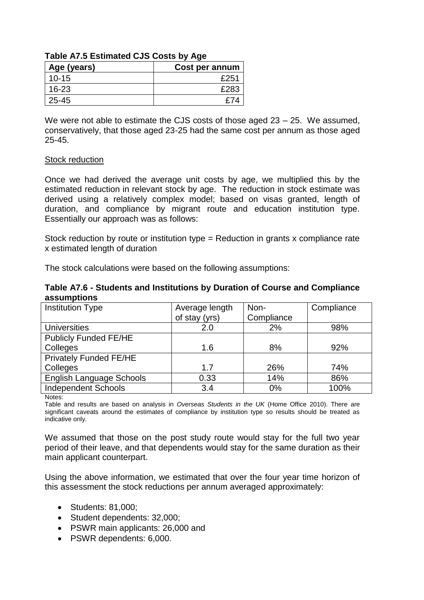| Table AT 3 EStimated CJS COStS by Age |                |  |
|---------------------------------------|----------------|--|
| Age (years)                           | Cost per annum |  |
| $10 - 15$                             | £251           |  |
| $16 - 23$                             | £283           |  |
| 25-45                                 | f74            |  |

## **Table A7.5 Estimated CJS Costs by Age**

We were not able to estimate the CJS costs of those aged 23 – 25. We assumed, conservatively, that those aged 23-25 had the same cost per annum as those aged 25-45.

#### Stock reduction

Once we had derived the average unit costs by age, we multiplied this by the estimated reduction in relevant stock by age. The reduction in stock estimate was derived using a relatively complex model; based on visas granted, length of duration, and compliance by migrant route and education institution type. Essentially our approach was as follows:

Stock reduction by route or institution type = Reduction in grants x compliance rate x estimated length of duration

The stock calculations were based on the following assumptions:

| Table A7.6 - Students and Institutions by Duration of Course and Compliance |  |  |
|-----------------------------------------------------------------------------|--|--|
| assumptions                                                                 |  |  |

| <b>Institution Type</b>       | Average length | Non-       | Compliance |
|-------------------------------|----------------|------------|------------|
|                               | of stay (yrs)  | Compliance |            |
| <b>Universities</b>           | 2.0            | 2%         | 98%        |
| <b>Publicly Funded FE/HE</b>  |                |            |            |
| Colleges                      | 1.6            | 8%         | 92%        |
| <b>Privately Funded FE/HE</b> |                |            |            |
| Colleges                      | 1.7            | 26%        | 74%        |
| English Language Schools      | 0.33           | 14%        | 86%        |
| <b>Independent Schools</b>    | 3.4            | 0%         | 100%       |

Notes:

Table and results are based on analysis in *Overseas Students in the UK* (Home Office 2010). There are significant caveats around the estimates of compliance by institution type so results should be treated as indicative only.

We assumed that those on the post study route would stay for the full two year period of their leave, and that dependents would stay for the same duration as their main applicant counterpart.

Using the above information, we estimated that over the four year time horizon of this assessment the stock reductions per annum averaged approximately:

- Students: 81,000;
- Student dependents: 32,000;
- PSWR main applicants: 26,000 and
- PSWR dependents: 6,000.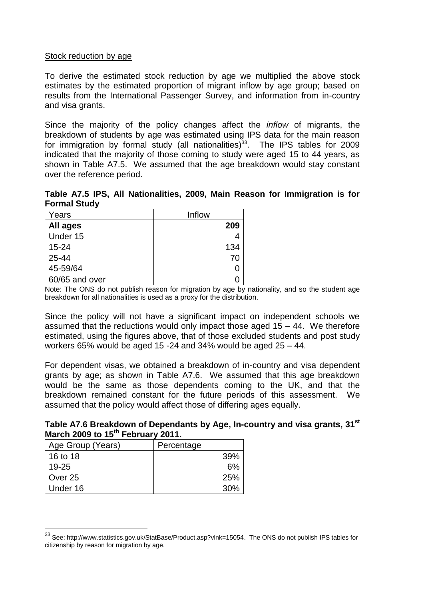### Stock reduction by age

To derive the estimated stock reduction by age we multiplied the above stock estimates by the estimated proportion of migrant inflow by age group; based on results from the International Passenger Survey, and information from in-country and visa grants.

Since the majority of the policy changes affect the *inflow* of migrants, the breakdown of students by age was estimated using IPS data for the main reason for immigration by formal study (all nationalities) $^{33}$ . The IPS tables for 2009 indicated that the majority of those coming to study were aged 15 to 44 years, as shown in Table A7.5. We assumed that the age breakdown would stay constant over the reference period.

**Table A7.5 IPS, All Nationalities, 2009, Main Reason for Immigration is for Formal Study**

| Years           | Inflow |
|-----------------|--------|
| <b>All ages</b> | 209    |
| Under 15        |        |
| $15 - 24$       | 134    |
| 25-44           | 70     |
| 45-59/64        | 0      |
| 60/65 and over  |        |

Note: The ONS do not publish reason for migration by age by nationality, and so the student age breakdown for all nationalities is used as a proxy for the distribution.

Since the policy will not have a significant impact on independent schools we assumed that the reductions would only impact those aged 15 – 44. We therefore estimated, using the figures above, that of those excluded students and post study workers 65% would be aged 15 -24 and 34% would be aged 25 – 44.

For dependent visas, we obtained a breakdown of in-country and visa dependent grants by age; as shown in Table A7.6. We assumed that this age breakdown would be the same as those dependents coming to the UK, and that the breakdown remained constant for the future periods of this assessment. We assumed that the policy would affect those of differing ages equally.

**Table A7.6 Breakdown of Dependants by Age, In-country and visa grants, 31st March 2009 to 15th February 2011.**

| Age Group (Years) | Percentage |
|-------------------|------------|
| 16 to 18          | 39%        |
| $19 - 25$         | 6%         |
| Over 25           | 25%        |
| Under 16          | 30%        |

1

<sup>33</sup> See: [http://www.statistics.gov.uk/StatBase/Product.asp?vlnk=15054.](http://www.statistics.gov.uk/StatBase/Product.asp?vlnk=15054) The ONS do not publish IPS tables for citizenship by reason for migration by age.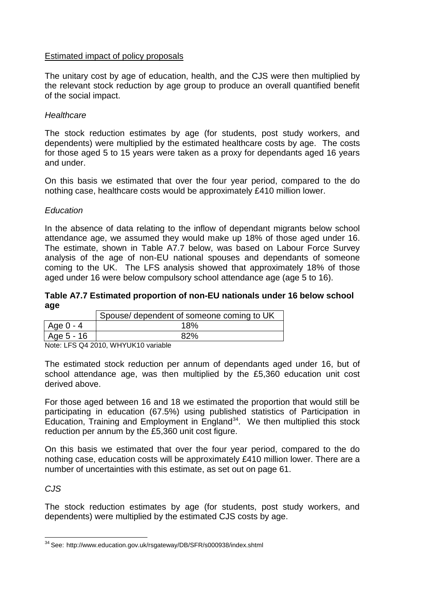## Estimated impact of policy proposals

The unitary cost by age of education, health, and the CJS were then multiplied by the relevant stock reduction by age group to produce an overall quantified benefit of the social impact.

### *Healthcare*

The stock reduction estimates by age (for students, post study workers, and dependents) were multiplied by the estimated healthcare costs by age. The costs for those aged 5 to 15 years were taken as a proxy for dependants aged 16 years and under.

On this basis we estimated that over the four year period, compared to the do nothing case, healthcare costs would be approximately £410 million lower.

### *Education*

In the absence of data relating to the inflow of dependant migrants below school attendance age, we assumed they would make up 18% of those aged under 16. The estimate, shown in Table A7.7 below, was based on Labour Force Survey analysis of the age of non-EU national spouses and dependants of someone coming to the UK. The LFS analysis showed that approximately 18% of those aged under 16 were below compulsory school attendance age (age 5 to 16).

#### **Table A7.7 Estimated proportion of non-EU nationals under 16 below school age**

|            | Spouse/ dependent of someone coming to UK |
|------------|-------------------------------------------|
| Age 0 - 4  | 18%                                       |
| Age 5 - 16 | 82%                                       |

Note: LFS Q4 2010, WHYUK10 variable

The estimated stock reduction per annum of dependants aged under 16, but of school attendance age, was then multiplied by the £5,360 education unit cost derived above.

For those aged between 16 and 18 we estimated the proportion that would still be participating in education (67.5%) using published statistics of Participation in Education, Training and Employment in England<sup>34</sup>. We then multiplied this stock reduction per annum by the £5,360 unit cost figure.

On this basis we estimated that over the four year period, compared to the do nothing case, education costs will be approximately £410 million lower. There are a number of uncertainties with this estimate, as set out on page 61.

## *CJS*

1

The stock reduction estimates by age (for students, post study workers, and dependents) were multiplied by the estimated CJS costs by age.

<sup>&</sup>lt;sup>34</sup> See: <http://www.education.gov.uk/rsgateway/DB/SFR/s000938/index.shtml>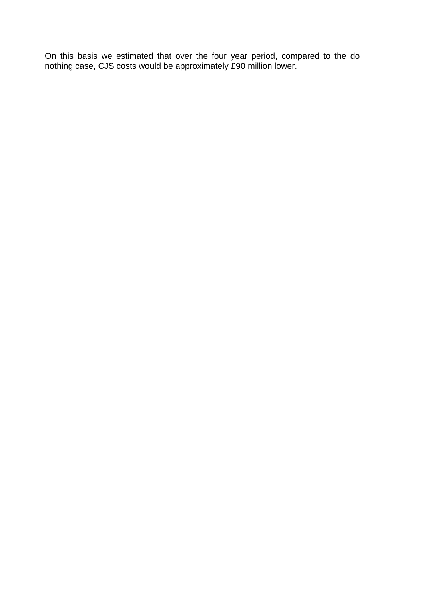On this basis we estimated that over the four year period, compared to the do nothing case, CJS costs would be approximately £90 million lower.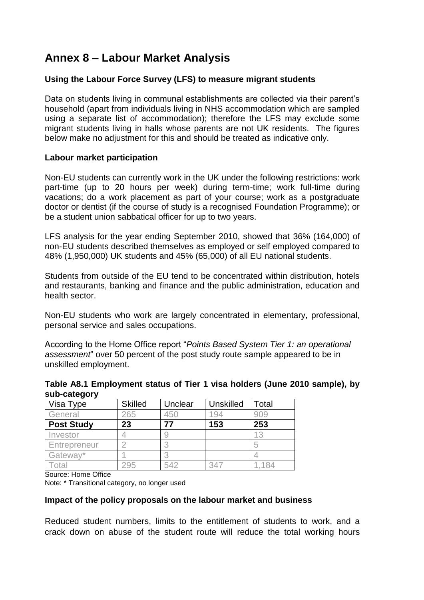# **Annex 8 – Labour Market Analysis**

## **Using the Labour Force Survey (LFS) to measure migrant students**

Data on students living in communal establishments are collected via their parent"s household (apart from individuals living in NHS accommodation which are sampled using a separate list of accommodation); therefore the LFS may exclude some migrant students living in halls whose parents are not UK residents. The figures below make no adjustment for this and should be treated as indicative only.

## **Labour market participation**

Non-EU students can currently work in the UK under the following restrictions: work part-time (up to 20 hours per week) during term-time; work full-time during vacations; do a work placement as part of your course; work as a postgraduate doctor or dentist (if the course of study is a recognised Foundation Programme); or be a student union sabbatical officer for up to two years.

LFS analysis for the year ending September 2010, showed that 36% (164,000) of non-EU students described themselves as employed or self employed compared to 48% (1,950,000) UK students and 45% (65,000) of all EU national students.

Students from outside of the EU tend to be concentrated within distribution, hotels and restaurants, banking and finance and the public administration, education and health sector.

Non-EU students who work are largely concentrated in elementary, professional, personal service and sales occupations.

According to the Home Office report "*Points Based System Tier 1: an operational assessment*" over 50 percent of the post study route sample appeared to be in unskilled employment.

### **Table A8.1 Employment status of Tier 1 visa holders (June 2010 sample), by sub-category**

| Visa Type         | <b>Skilled</b> | Unclear | <b>Unskilled</b> | Total |
|-------------------|----------------|---------|------------------|-------|
| General           | 265            | 450     |                  |       |
| <b>Post Study</b> | 23             |         | 153              | 253   |
| Investor          |                |         |                  | 13    |
| Entrepreneur      |                |         |                  |       |
| Gateway*          |                |         |                  |       |
| ota               |                | 542     |                  |       |

Source: Home Office

Note: \* Transitional category, no longer used

## **Impact of the policy proposals on the labour market and business**

Reduced student numbers, limits to the entitlement of students to work, and a crack down on abuse of the student route will reduce the total working hours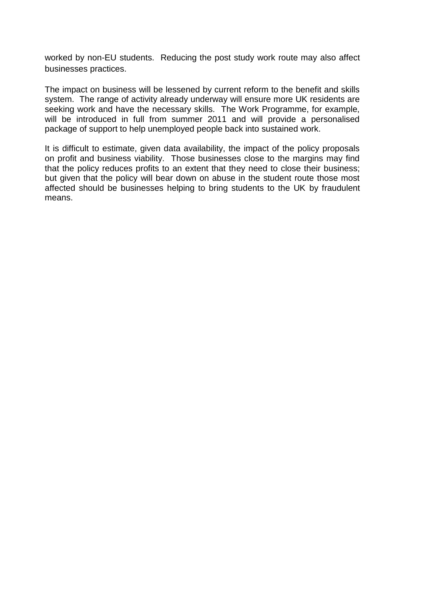worked by non-EU students. Reducing the post study work route may also affect businesses practices.

The impact on business will be lessened by current reform to the benefit and skills system. The range of activity already underway will ensure more UK residents are seeking work and have the necessary skills. The Work Programme, for example, will be introduced in full from summer 2011 and will provide a personalised package of support to help unemployed people back into sustained work.

It is difficult to estimate, given data availability, the impact of the policy proposals on profit and business viability. Those businesses close to the margins may find that the policy reduces profits to an extent that they need to close their business; but given that the policy will bear down on abuse in the student route those most affected should be businesses helping to bring students to the UK by fraudulent means.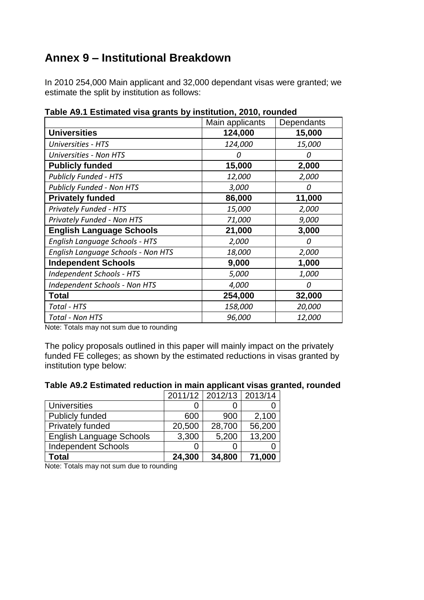# **Annex 9 – Institutional Breakdown**

In 2010 254,000 Main applicant and 32,000 dependant visas were granted; we estimate the split by institution as follows:

| , טיימיי <del>ם</del>                | Main applicants | Dependants   |
|--------------------------------------|-----------------|--------------|
| <b>Universities</b>                  | 124,000         | 15,000       |
| <b>Universities - HTS</b>            | 124,000         | 15,000       |
| <b>Universities - Non HTS</b>        | 0               | Ω            |
| <b>Publicly funded</b>               | 15,000          | 2,000        |
| <b>Publicly Funded - HTS</b>         | 12,000          | 2,000        |
| <b>Publicly Funded - Non HTS</b>     | 3,000           | 0            |
| <b>Privately funded</b>              | 86,000          | 11,000       |
| <b>Privately Funded - HTS</b>        | 15,000          | 2,000        |
| <b>Privately Funded - Non HTS</b>    | 71,000          | 9,000        |
| <b>English Language Schools</b>      | 21,000          | 3,000        |
| English Language Schools - HTS       | 2,000           | 0            |
| English Language Schools - Non HTS   | 18,000          | 2,000        |
| <b>Independent Schools</b>           | 9,000           | 1,000        |
| <b>Independent Schools - HTS</b>     | 5,000           | <i>1,000</i> |
| <b>Independent Schools - Non HTS</b> | 4,000           | Ω            |
| <b>Total</b>                         | 254,000         | 32,000       |
| Total - HTS                          | 158,000         | 20,000       |
| <b>Total - Non HTS</b>               | 96,000          | 12,000       |

**Table A9.1 Estimated visa grants by institution, 2010, rounded**

Note: Totals may not sum due to rounding

The policy proposals outlined in this paper will mainly impact on the privately funded FE colleges; as shown by the estimated reductions in visas granted by institution type below:

|                                 |        | 2011/12 2012/13 2013/14 |        |
|---------------------------------|--------|-------------------------|--------|
| <b>Universities</b>             |        |                         |        |
| Publicly funded                 | 600    | 900                     | 2,100  |
| Privately funded                | 20,500 | 28,700                  | 56,200 |
| <b>English Language Schools</b> | 3,300  | 5,200                   | 13,200 |
| <b>Independent Schools</b>      | Ω      |                         |        |
| <b>Total</b>                    | 24,300 | 34,800                  | 71,000 |

Note: Totals may not sum due to rounding